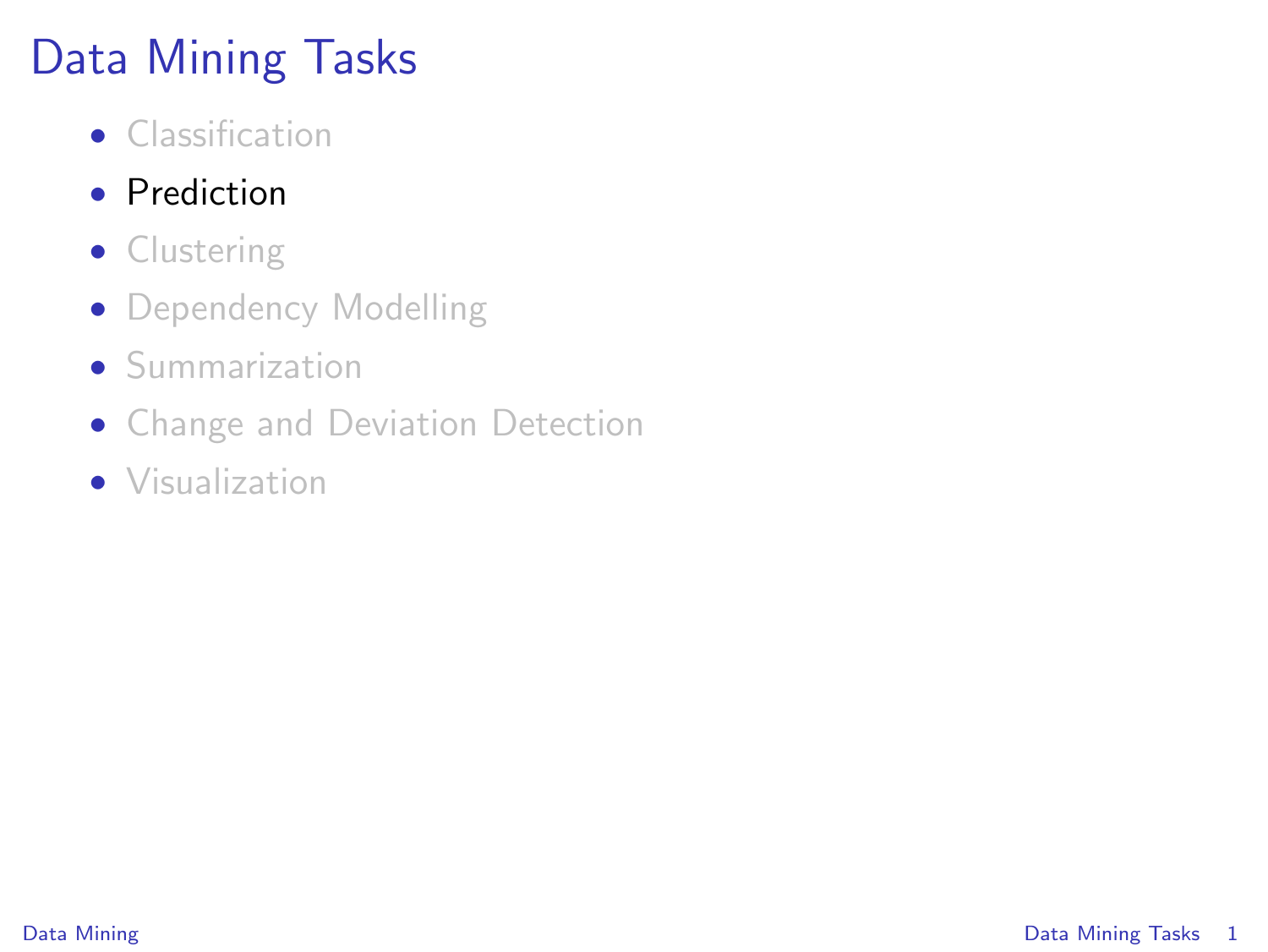# Data Mining Tasks

- Classification
- Prediction
- Clustering
- Dependency Modelling
- Summarization
- Change and Deviation Detection
- <span id="page-0-0"></span>• Visualization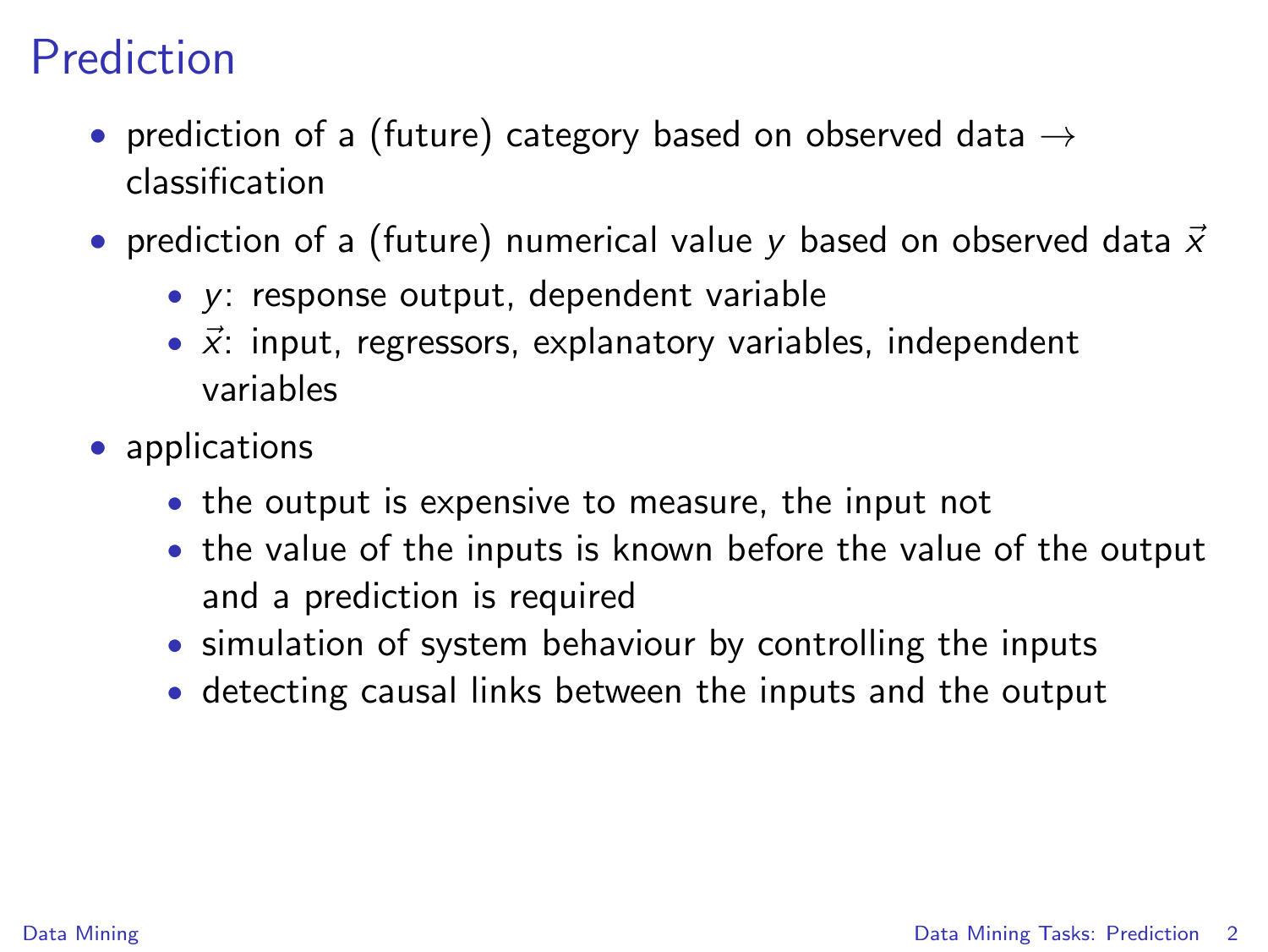# Prediction

- prediction of a (future) category based on observed data  $\rightarrow$ classification
- prediction of a (future) numerical value y based on observed data  $\vec{x}$ 
	- y: response output, dependent variable
	- $\vec{x}$ : input, regressors, explanatory variables, independent variables
- <span id="page-1-0"></span>• applications
	- the output is expensive to measure, the input not
	- the value of the inputs is known before the value of the output and a prediction is required
	- simulation of system behaviour by controlling the inputs
	- detecting causal links between the inputs and the output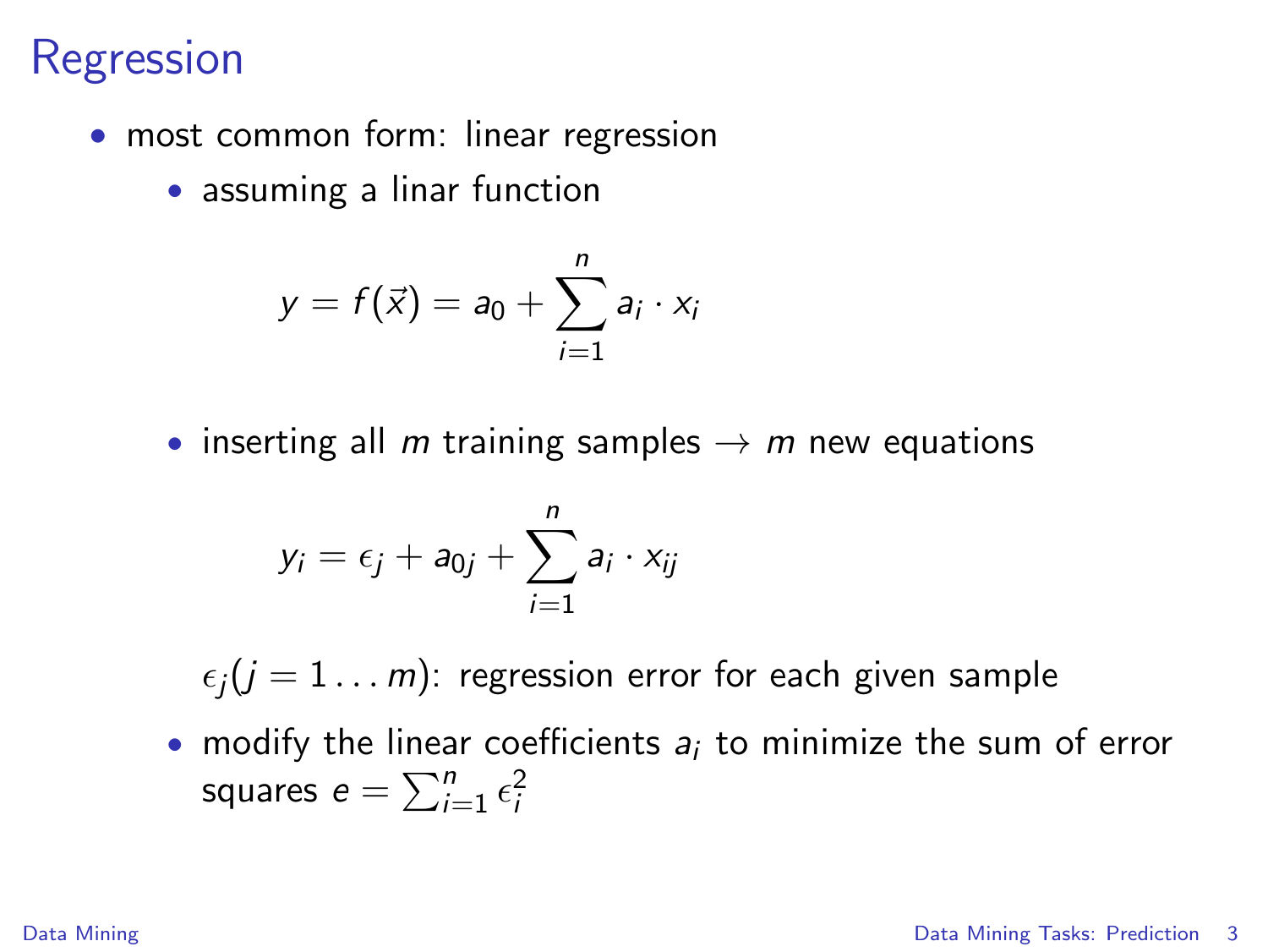- most common form: linear regression
	- assuming a linar function

$$
y = f(\vec{x}) = a_0 + \sum_{i=1}^n a_i \cdot x_i
$$

• inserting all m training samples  $\rightarrow$  m new equations

$$
y_i = \epsilon_j + a_{0j} + \sum_{i=1}^n a_i \cdot x_{ij}
$$

 $\epsilon_j$ ( $j = 1 ... m$ ): regression error for each given sample

• modify the linear coefficients  $a_i$  to minimize the sum of error squares  $e = \sum_{i=1}^{n} \epsilon_i^2$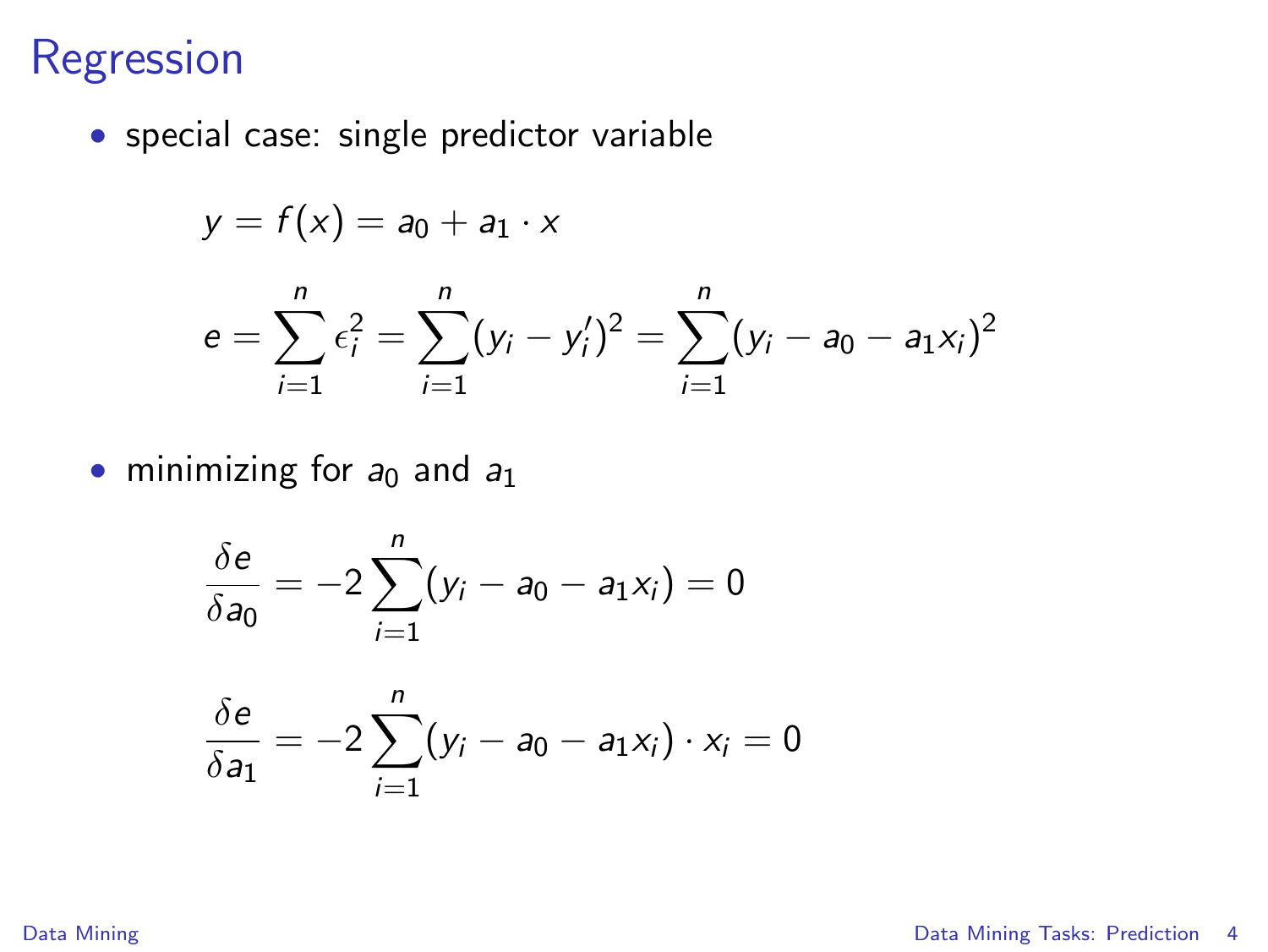• special case: single predictor variable

$$
y = f(x) = a_0 + a_1 \cdot x
$$

$$
e = \sum_{i=1}^n \epsilon_i^2 = \sum_{i=1}^n (y_i - y_i')^2 = \sum_{i=1}^n (y_i - a_0 - a_1 x_i)^2
$$

• minimizing for  $a_0$  and  $a_1$ 

$$
\frac{\delta e}{\delta a_0} = -2 \sum_{i=1}^n (y_i - a_0 - a_1 x_i) = 0
$$

$$
\frac{\delta e}{\delta a_1}=-2\sum_{i=1}^n(y_i-a_0-a_1x_i)\cdot x_i=0
$$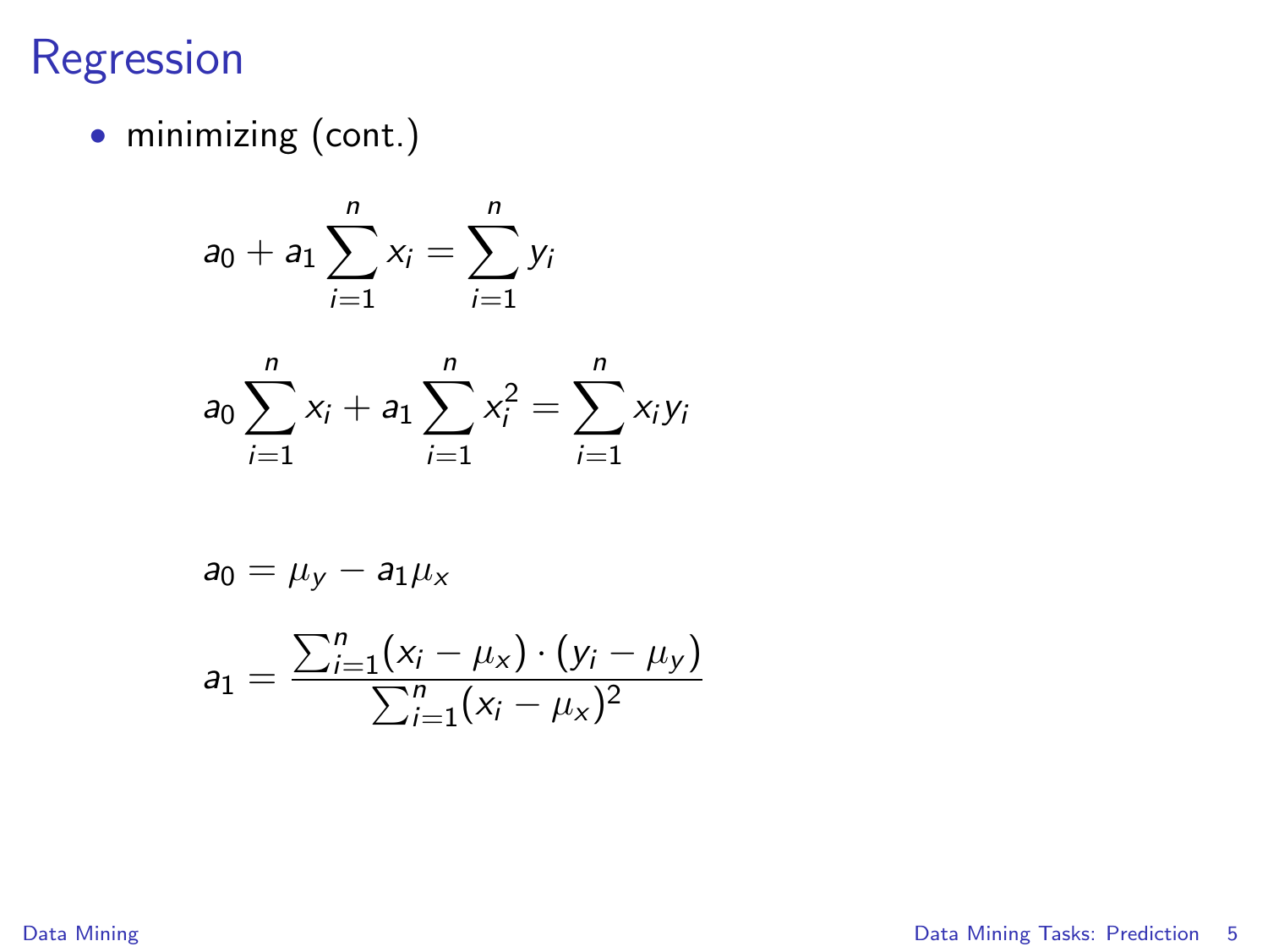• minimizing (cont.)

$$
a_0 + a_1 \sum_{i=1}^n x_i = \sum_{i=1}^n y_i
$$

$$
a_0\sum_{i=1}^n x_i + a_1\sum_{i=1}^n x_i^2 = \sum_{i=1}^n x_i y_i
$$

$$
a_0 = \mu_y - a_1 \mu_x
$$

$$
a_1 = \frac{\sum_{i=1}^{n} (x_i - \mu_x) \cdot (y_i - \mu_y)}{\sum_{i=1}^{n} (x_i - \mu_x)^2}
$$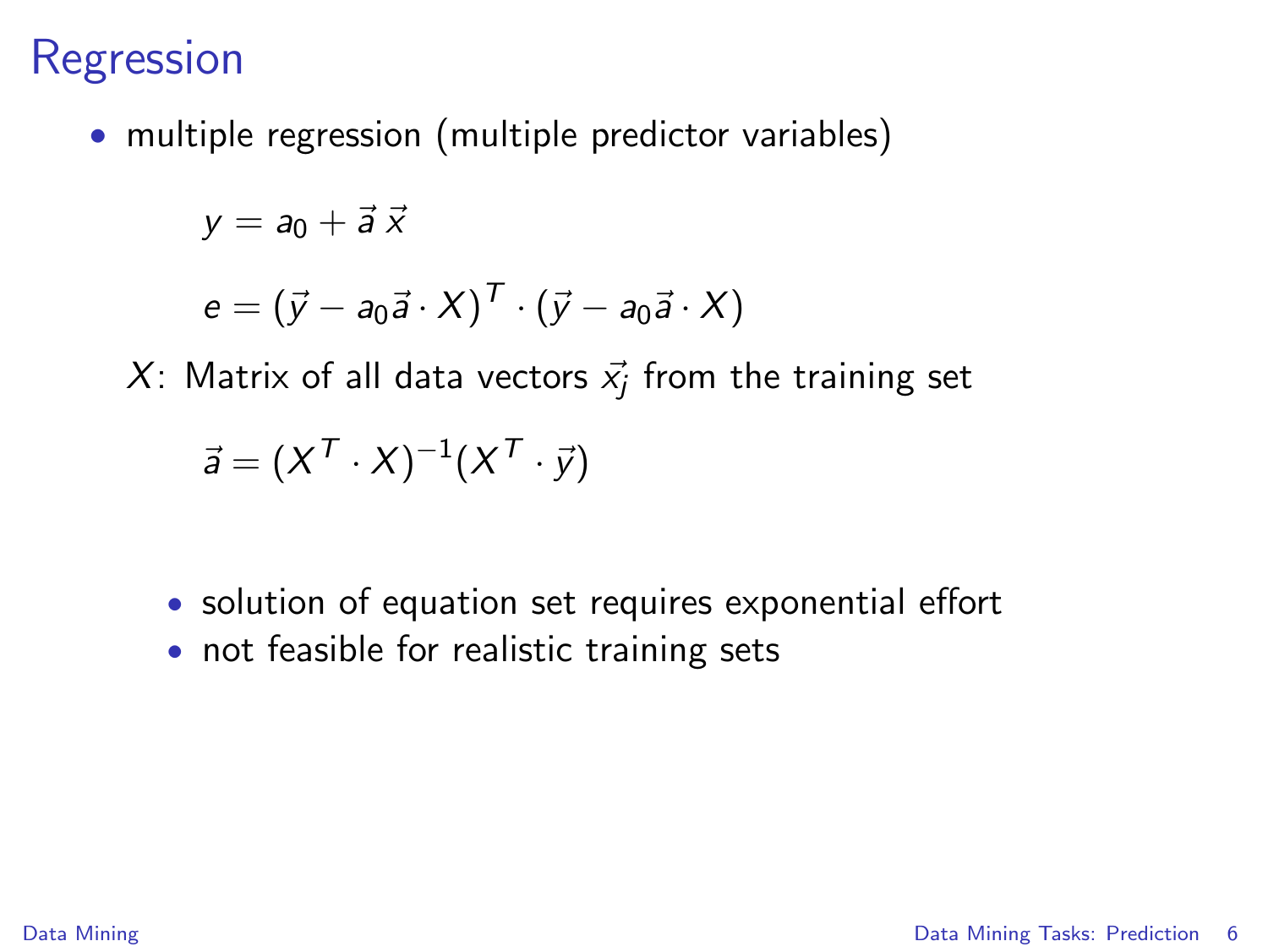• multiple regression (multiple predictor variables)

$$
y=a_0+\vec{a}\,\vec{x}
$$

$$
e = (\vec{y} - a_0 \vec{a} \cdot X)^T \cdot (\vec{y} - a_0 \vec{a} \cdot X)
$$

 $X$ : Matrix of all data vectors  $\vec{x_j}$  from the training set

$$
\vec{a} = (X^T \cdot X)^{-1} (X^T \cdot \vec{y})
$$

- solution of equation set requires exponential effort
- not feasible for realistic training sets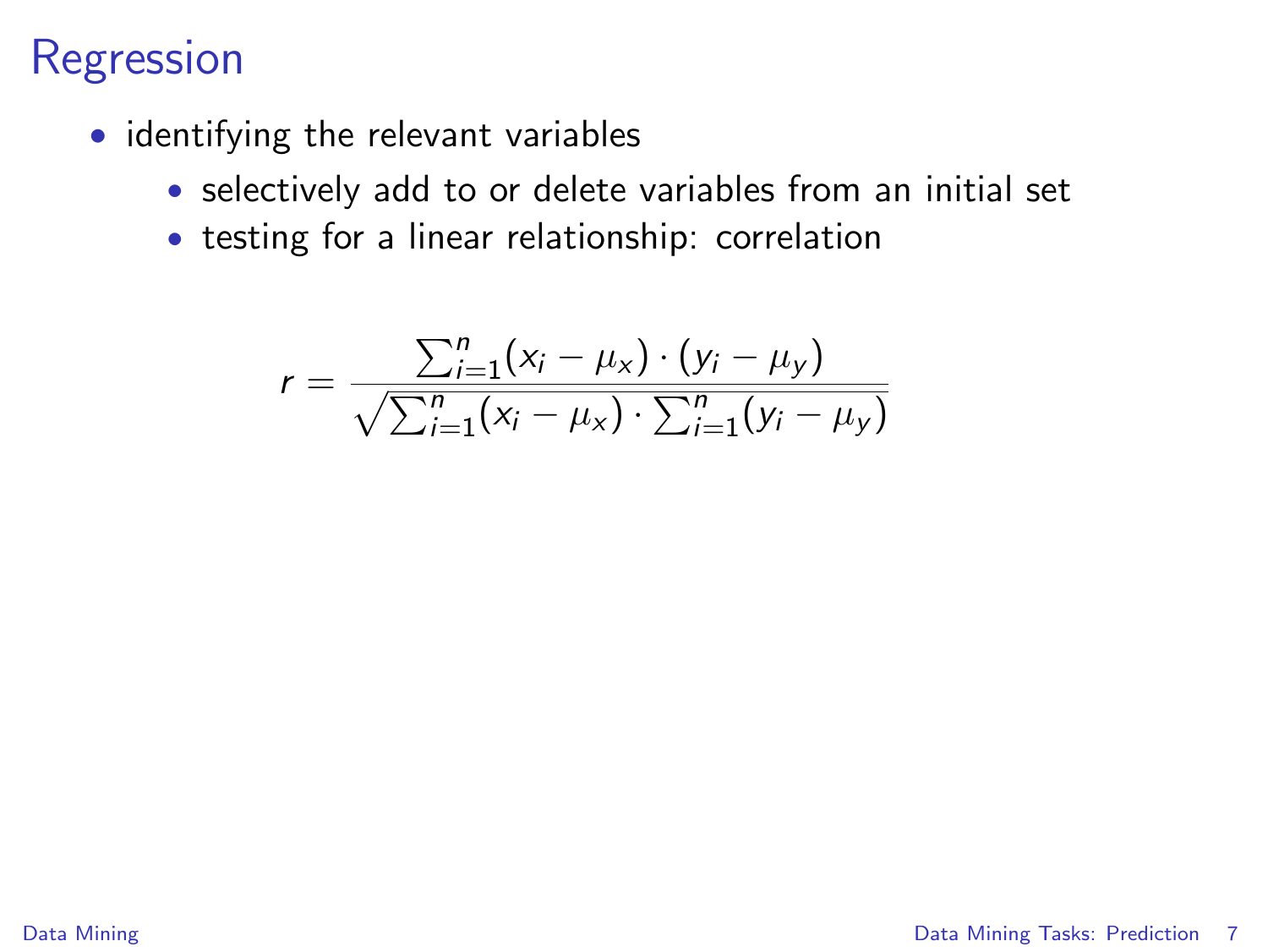- identifying the relevant variables
	- selectively add to or delete variables from an initial set
	- testing for a linear relationship: correlation

$$
r = \frac{\sum_{i=1}^{n} (x_i - \mu_X) \cdot (y_i - \mu_Y)}{\sqrt{\sum_{i=1}^{n} (x_i - \mu_X) \cdot \sum_{i=1}^{n} (y_i - \mu_Y)}}
$$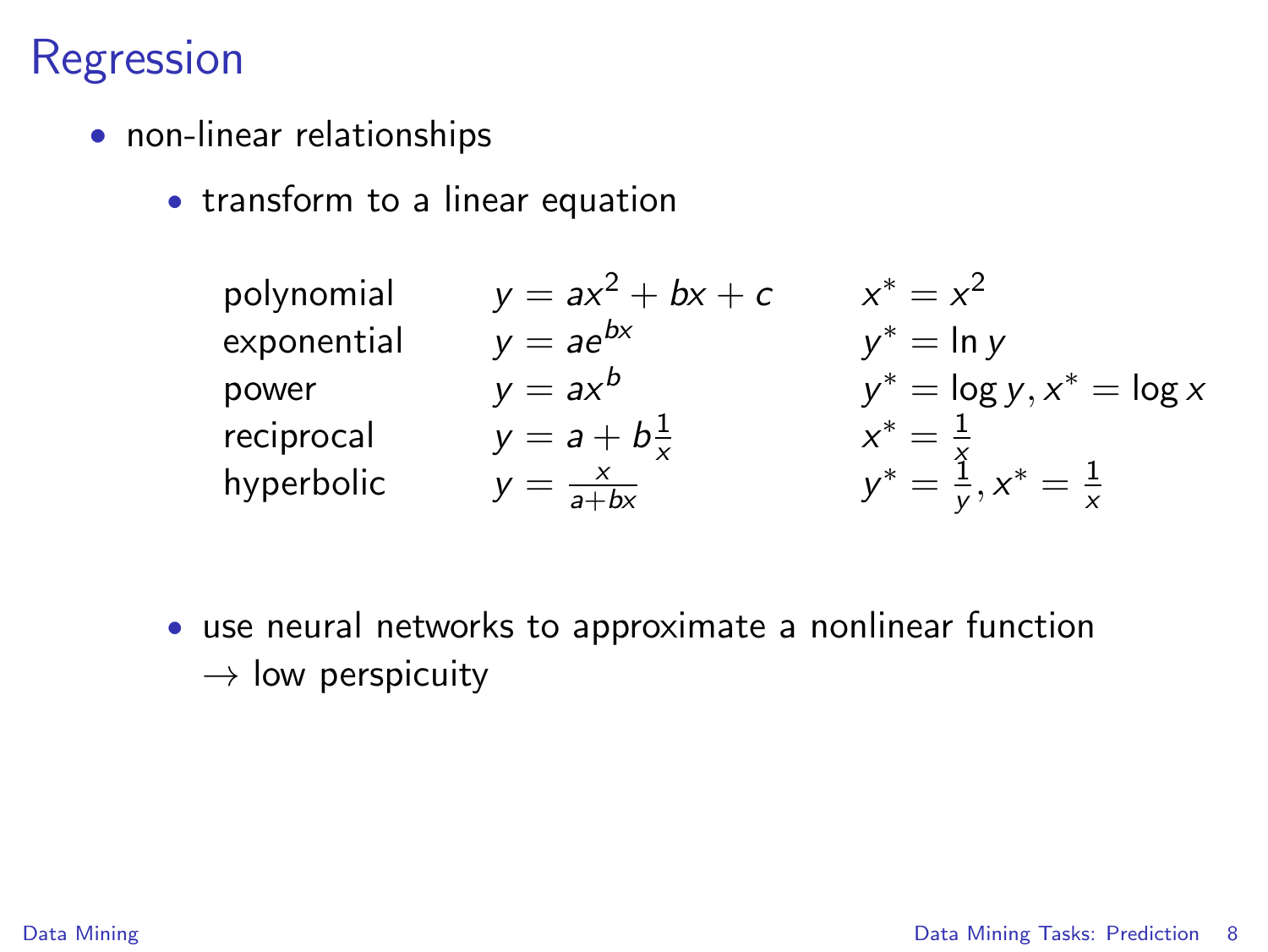- non-linear relationships
	- transform to a linear equation

| polynomial  | $y = ax^2 + bx + c$    | $x^* = x^2$                            |
|-------------|------------------------|----------------------------------------|
| exponential | $y = ae^{bx}$          | $y^* = \ln y$                          |
| power       | $y = ax^b$             | $y^* = \log y, x^* = \log x$           |
| reciprocal  | $y = a + b\frac{1}{x}$ | $x^* = \frac{1}{x}$                    |
| hyperbolic  | $y = \frac{x}{a + bx}$ | $y^* = \frac{y}{y}, x^* = \frac{1}{x}$ |

• use neural networks to approximate a nonlinear function  $\rightarrow$  low perspicuity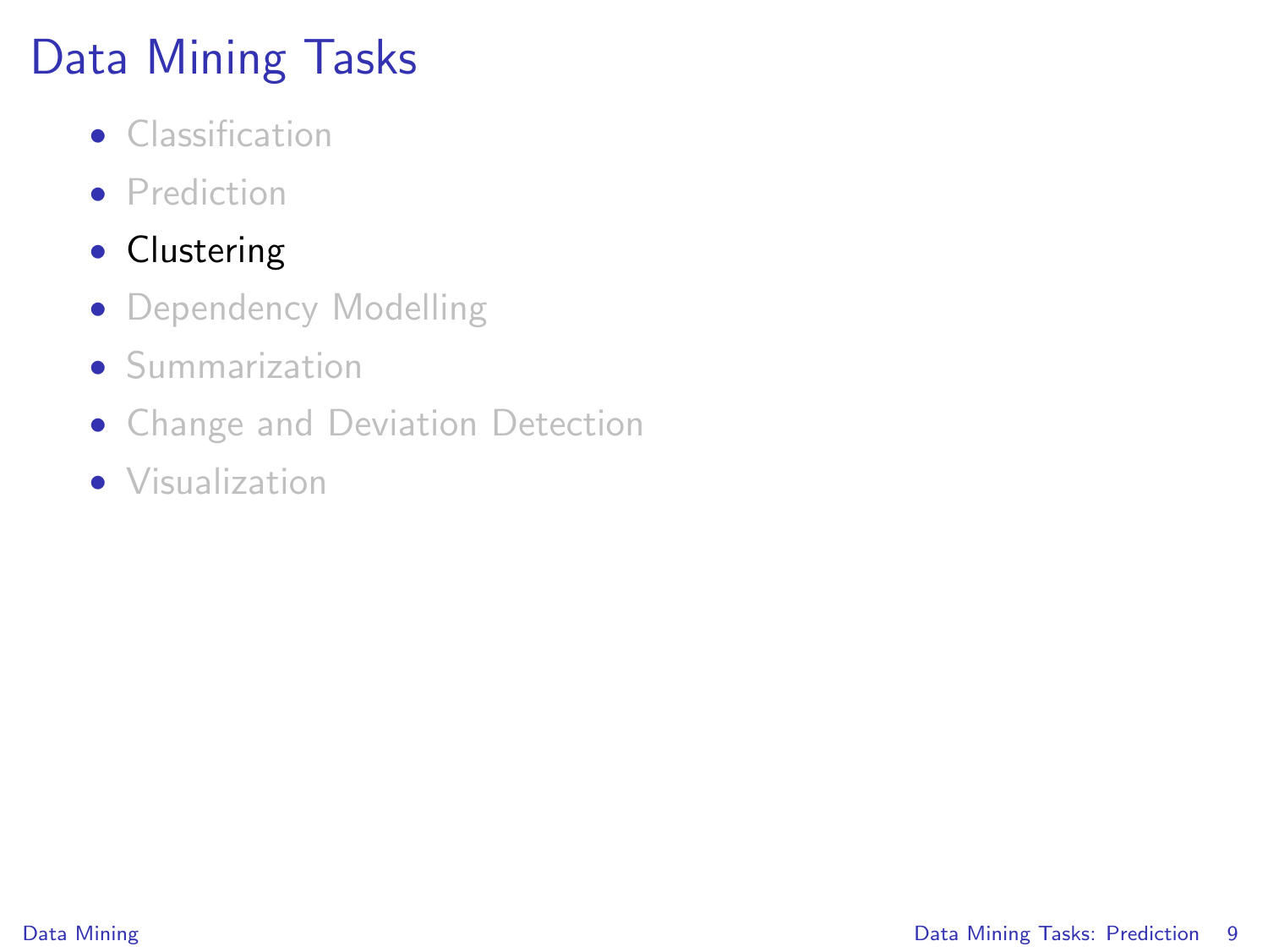# Data Mining Tasks

- Classification
- Prediction
- Clustering
- Dependency Modelling
- Summarization
- Change and Deviation Detection
- Visualization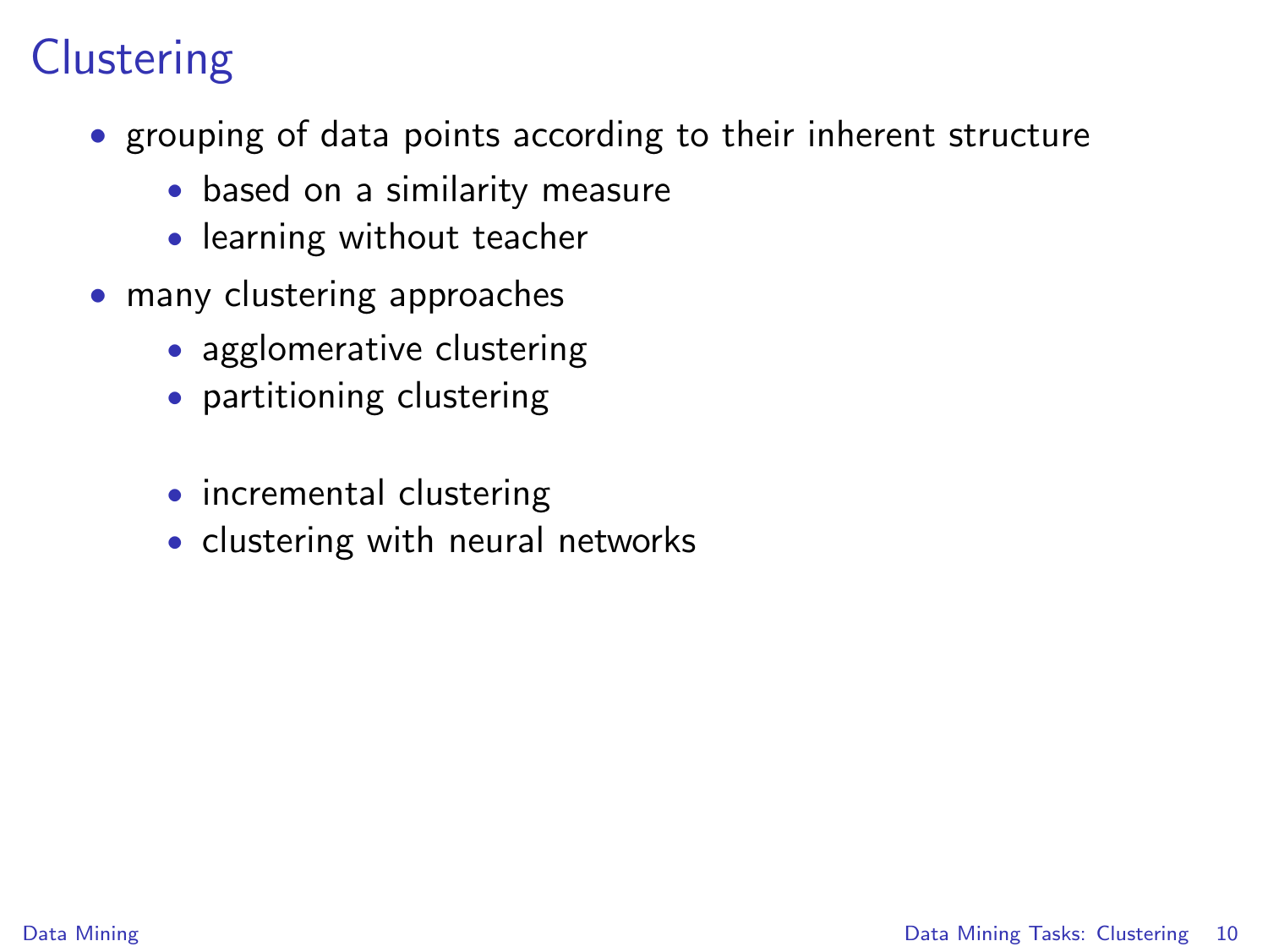# **Clustering**

- grouping of data points according to their inherent structure
	- based on a similarity measure
	- learning without teacher
- <span id="page-9-0"></span>• many clustering approaches
	- agglomerative clustering
	- partitioning clustering
	- incremental clustering
	- clustering with neural networks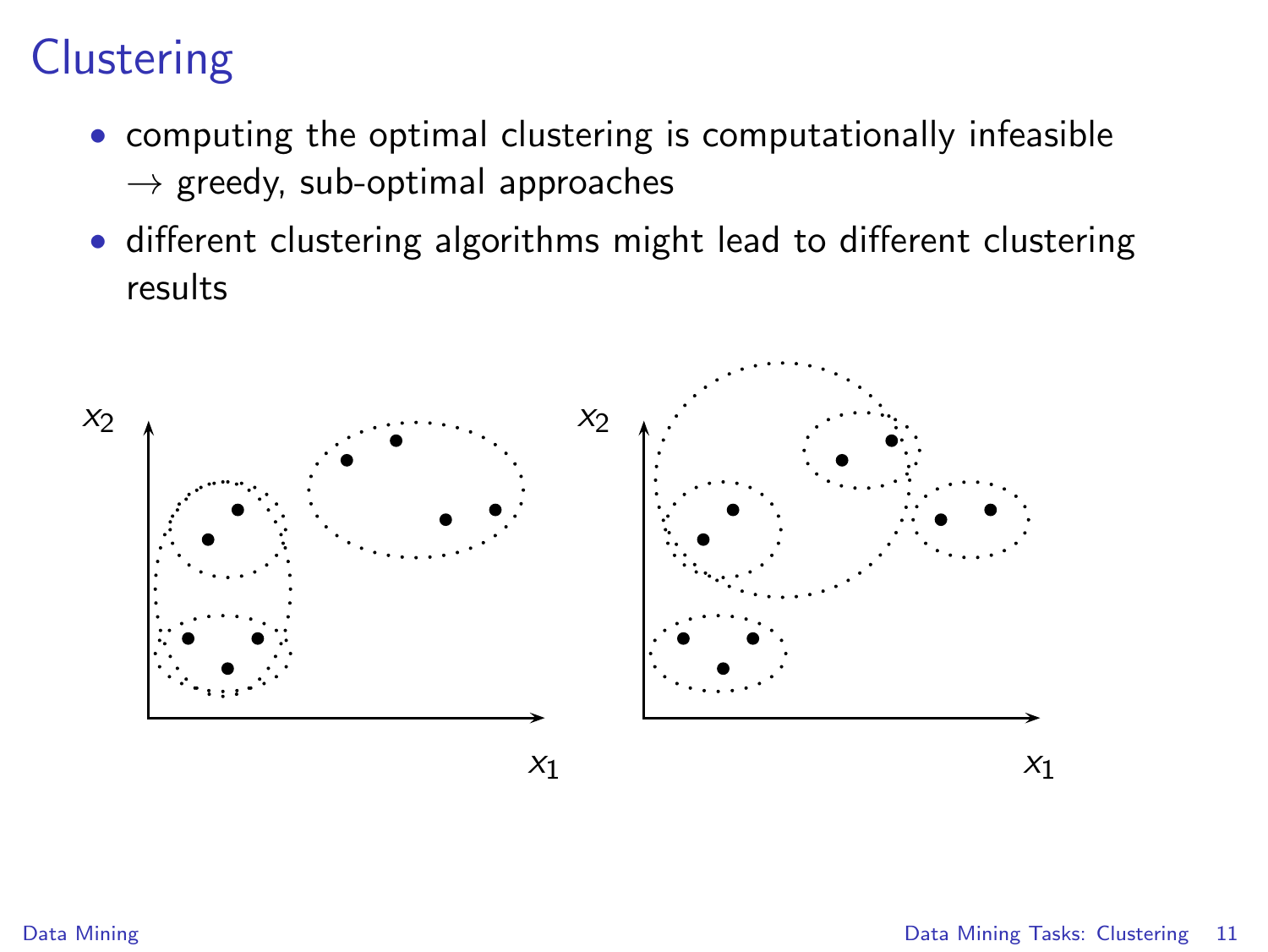# **Clustering**

- computing the optimal clustering is computationally infeasible  $\rightarrow$  greedy, sub-optimal approaches
- different clustering algorithms might lead to different clustering results

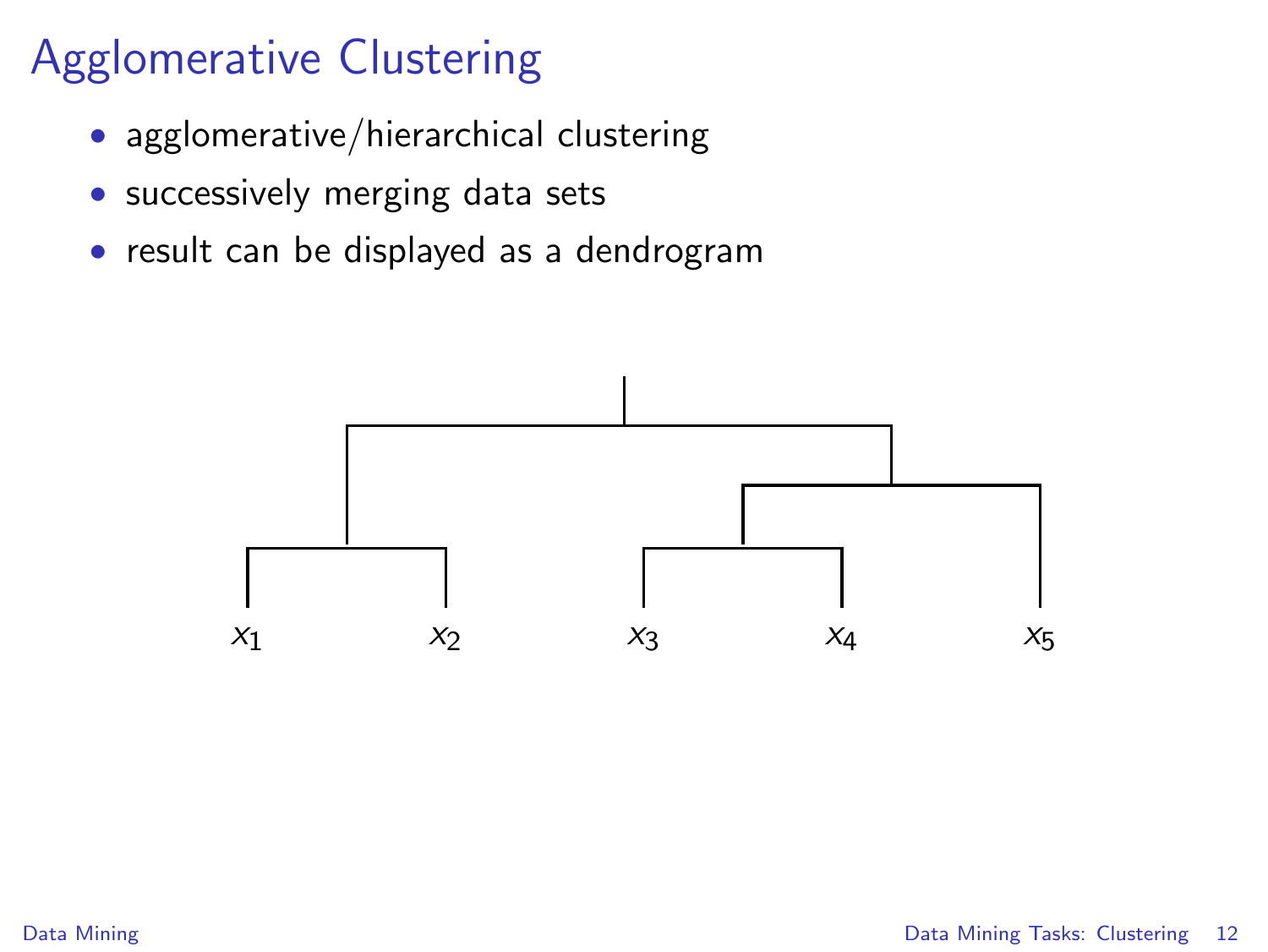# Agglomerative Clustering

- agglomerative/hierarchical clustering
- successively merging data sets
- result can be displayed as a dendrogram

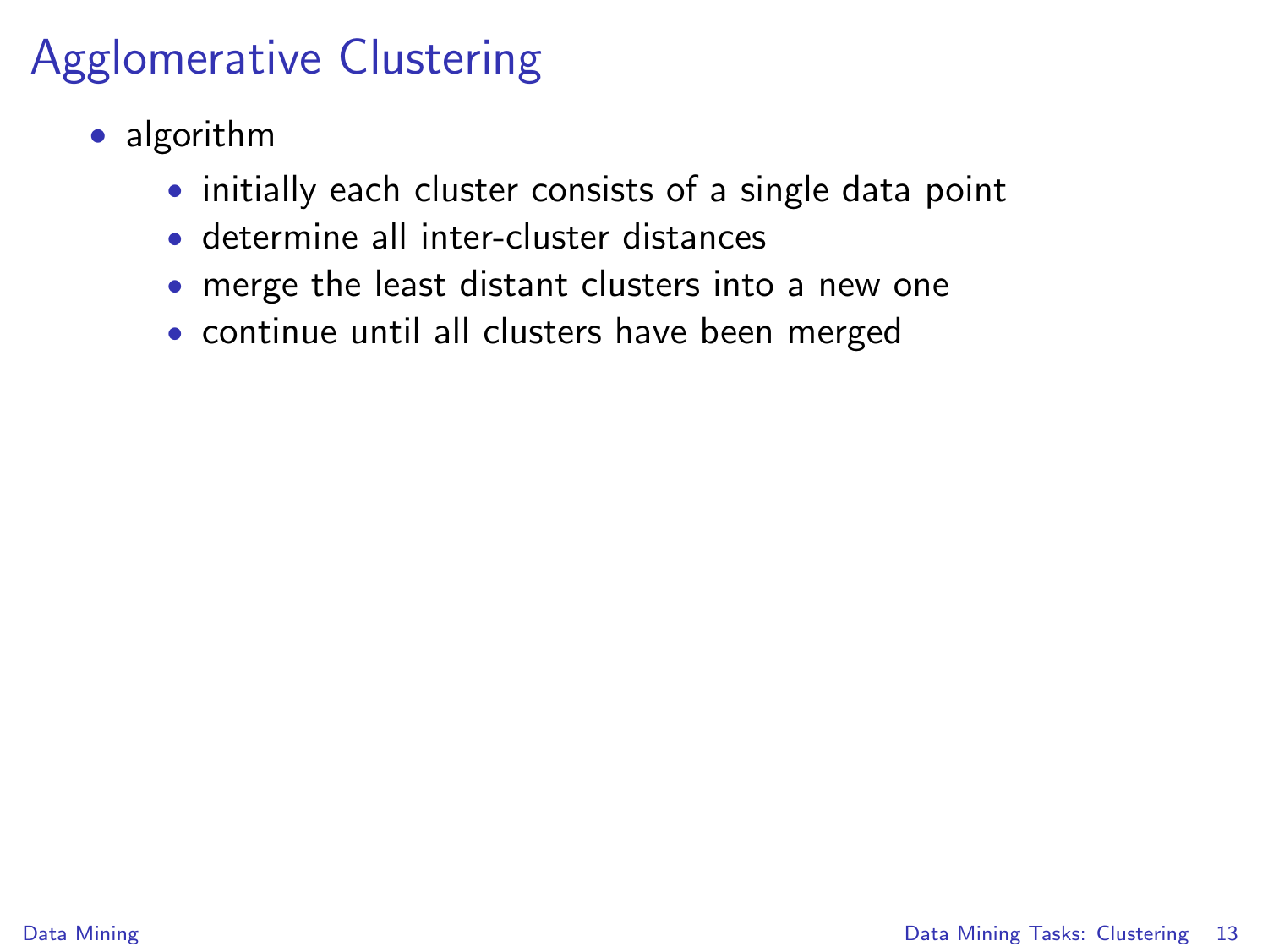# Agglomerative Clustering

- algorithm
	- initially each cluster consists of a single data point
	- determine all inter-cluster distances
	- merge the least distant clusters into a new one
	- continue until all clusters have been merged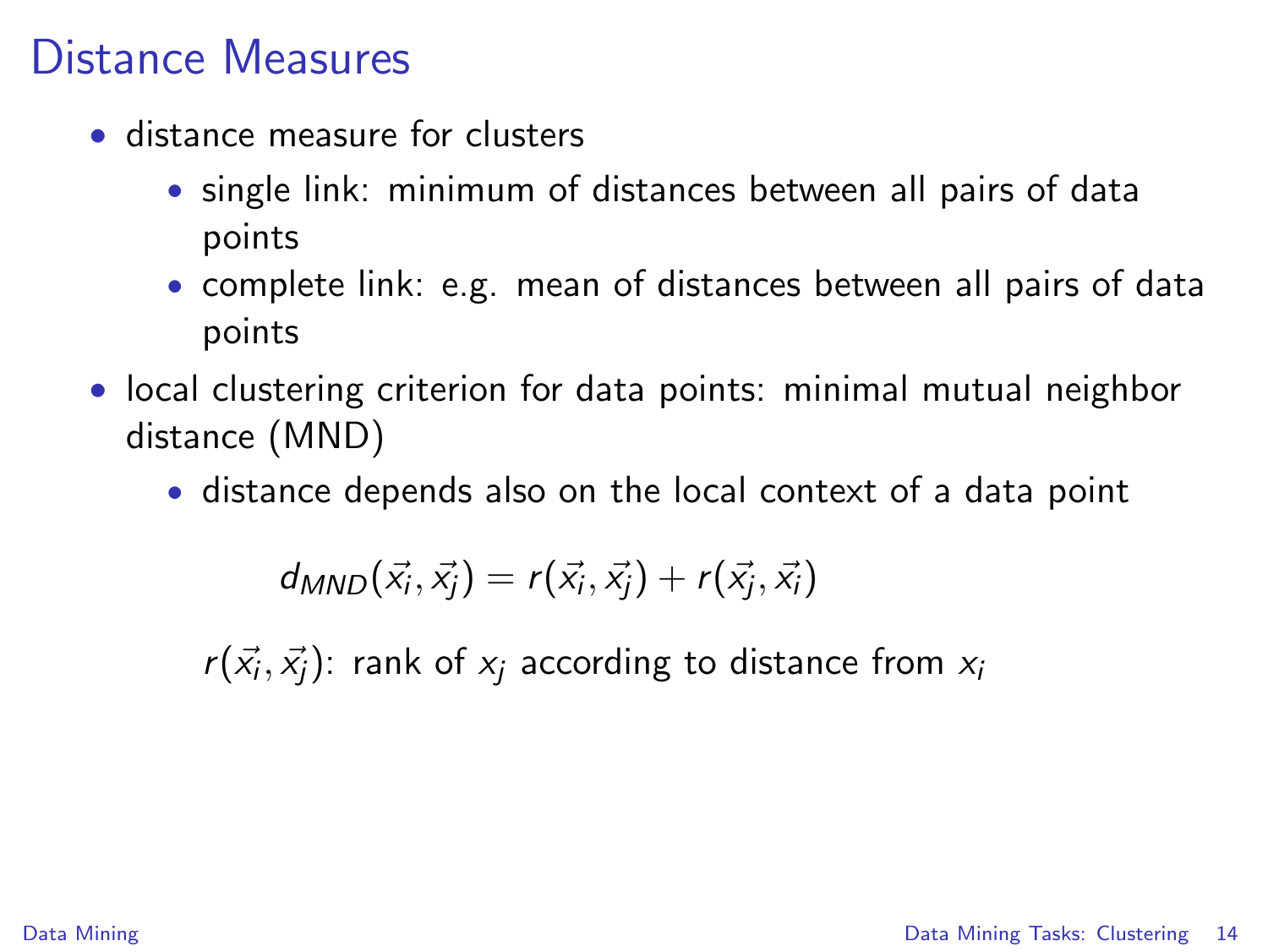## Distance Measures

- distance measure for clusters
	- single link: minimum of distances between all pairs of data points
	- complete link: e.g. mean of distances between all pairs of data points
- local clustering criterion for data points: minimal mutual neighbor distance (MND)
	- distance depends also on the local context of a data point

 $d_{MND}(\vec{x_i}, \vec{x_j}) = r(\vec{x_i}, \vec{x_j}) + r(\vec{x_j}, \vec{x_i})$ 

 $r(\vec{x_i},\vec{x_j})$ : rank of  $x_j$  according to distance from  $x_i$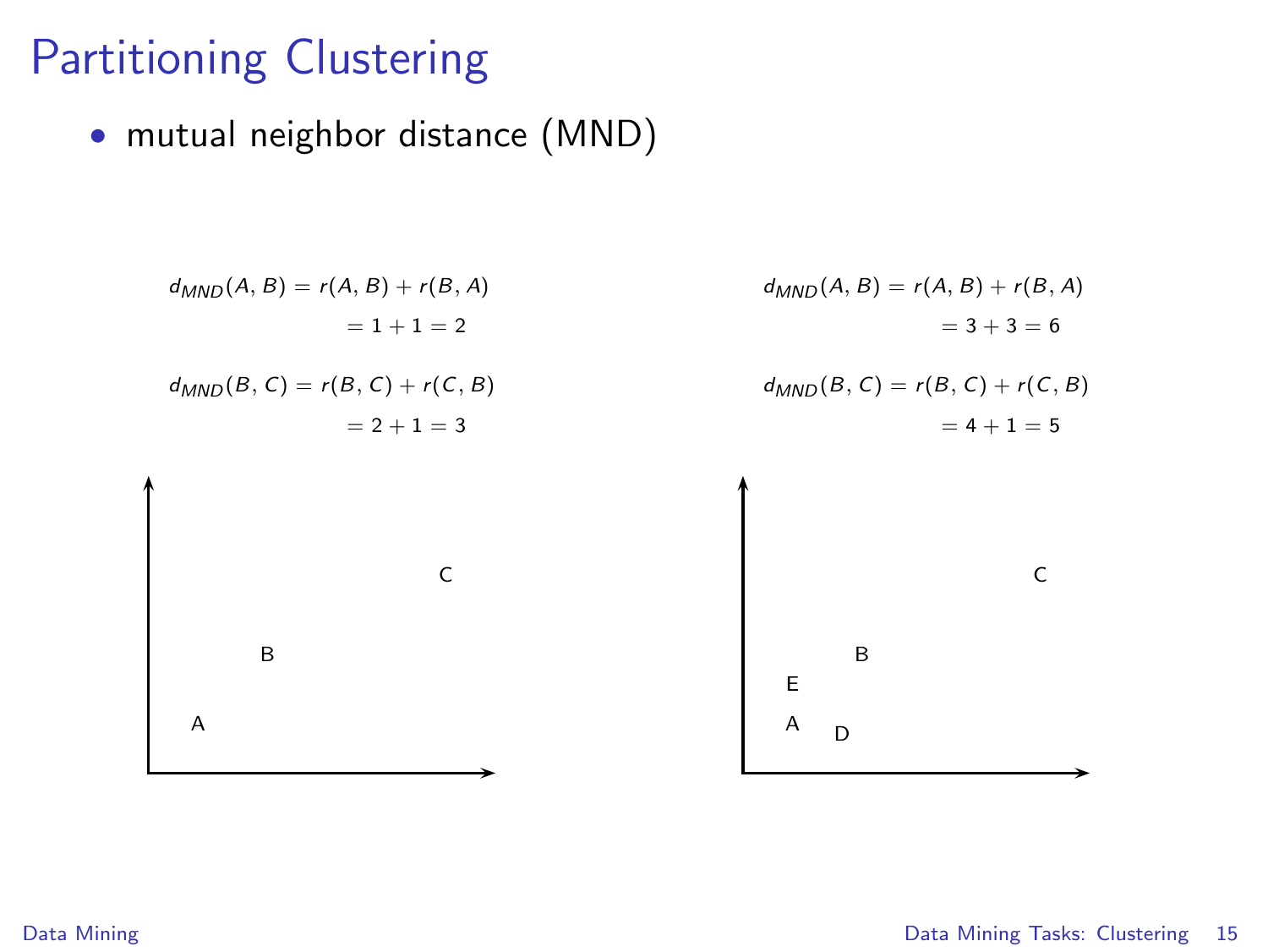# Partitioning Clustering

• mutual neighbor distance (MND)

$$
d_{MND}(A, B) = r(A, B) + r(B, A)
$$
  
\n
$$
= 1 + 1 = 2
$$
  
\n
$$
d_{MND}(A, B) = r(A, B) + r(B, A)
$$
  
\n
$$
= 3 + 3 = 6
$$
  
\n
$$
d_{MND}(B, C) = r(B, C) + r(C, B)
$$
  
\n
$$
= 2 + 1 = 3
$$
  
\n
$$
d_{MND}(B, C) = r(B, C) + r(C, B)
$$
  
\n
$$
= 4 + 1 = 5
$$

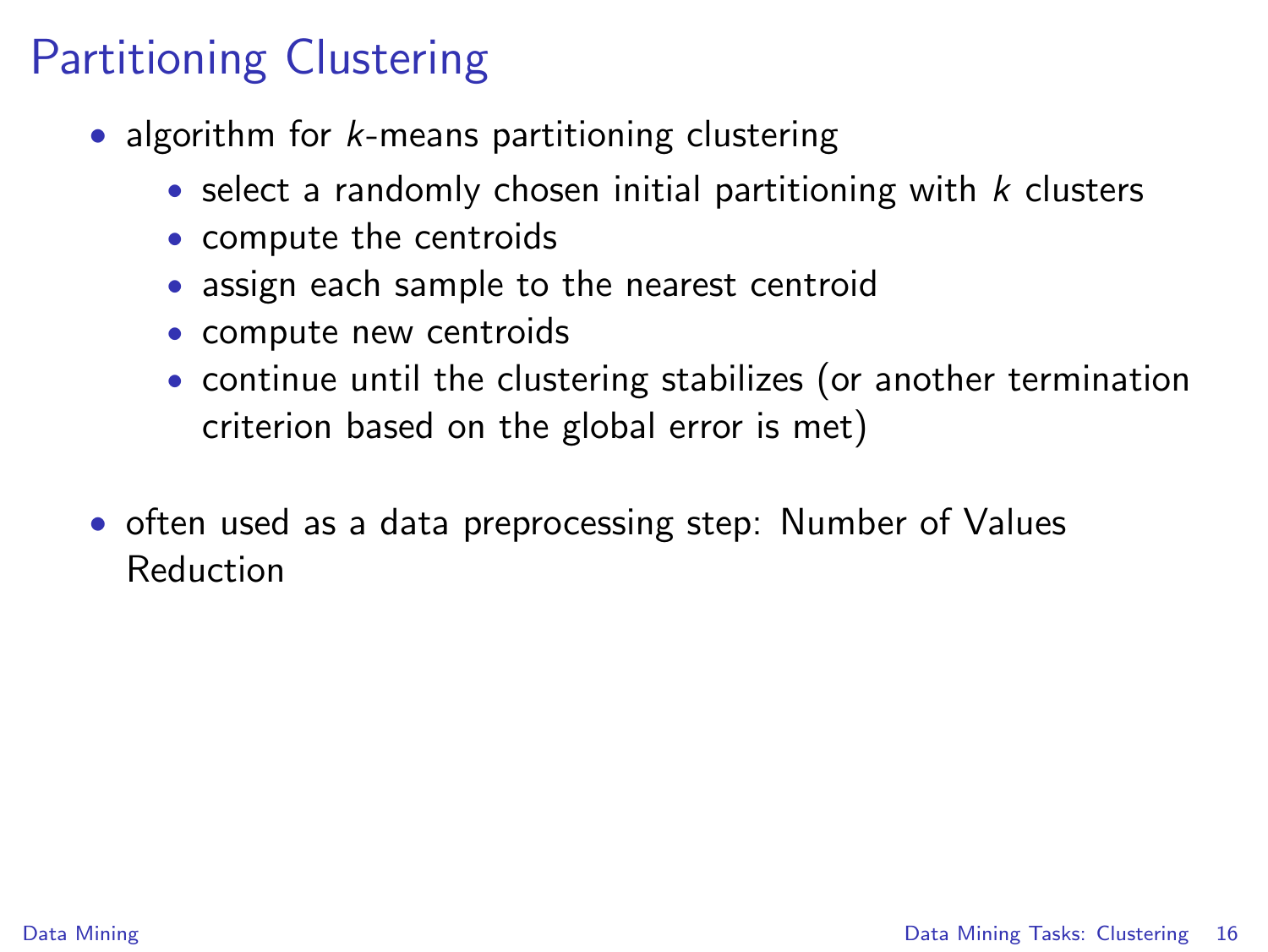# Partitioning Clustering

- algorithm for *k*-means partitioning clustering
	- select a randomly chosen initial partitioning with  $k$  clusters
	- compute the centroids
	- assign each sample to the nearest centroid
	- compute new centroids
	- continue until the clustering stabilizes (or another termination criterion based on the global error is met)
- often used as a data preprocessing step: Number of Values Reduction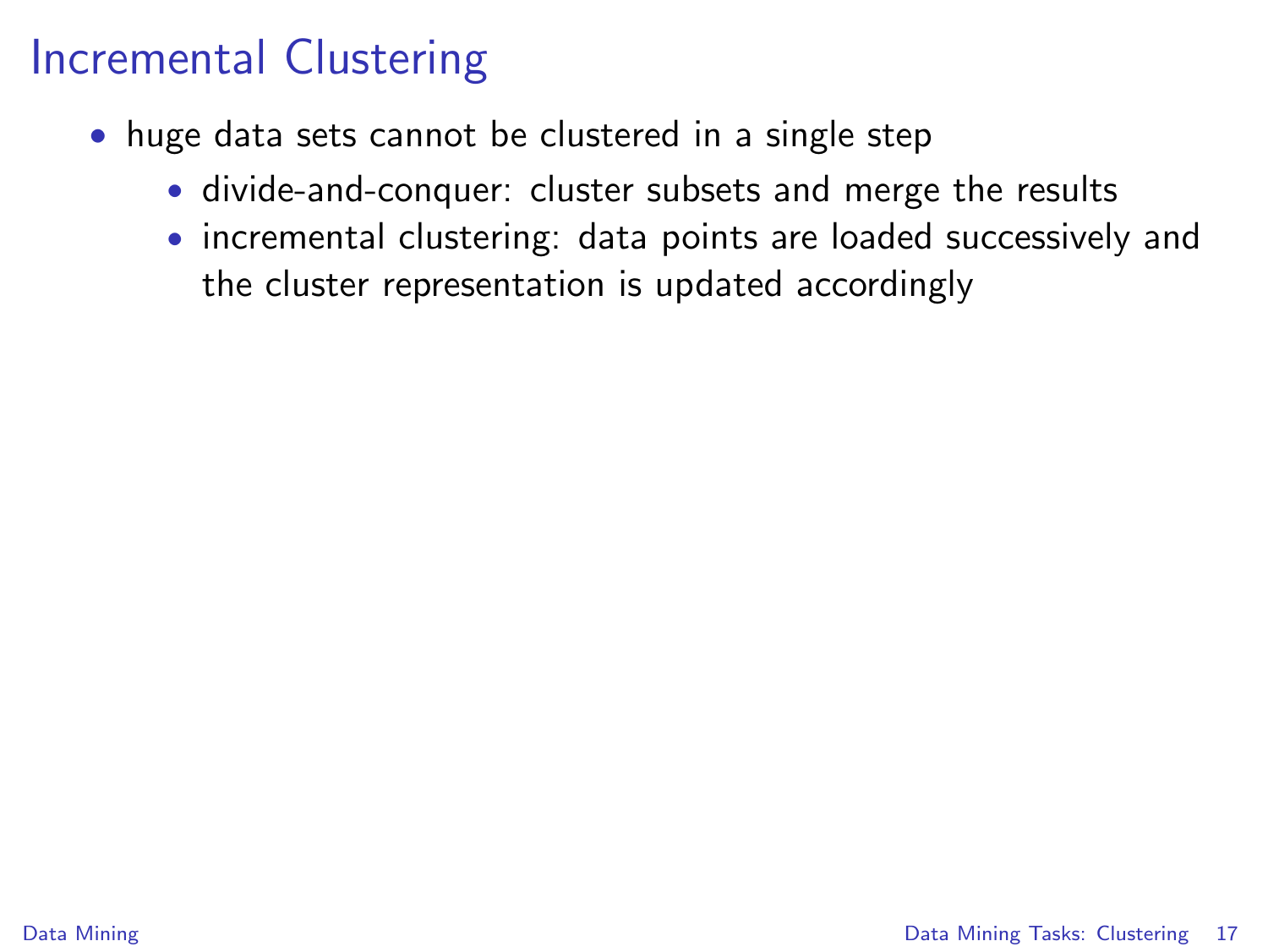### Incremental Clustering

- huge data sets cannot be clustered in a single step
	- divide-and-conquer: cluster subsets and merge the results
	- incremental clustering: data points are loaded successively and the cluster representation is updated accordingly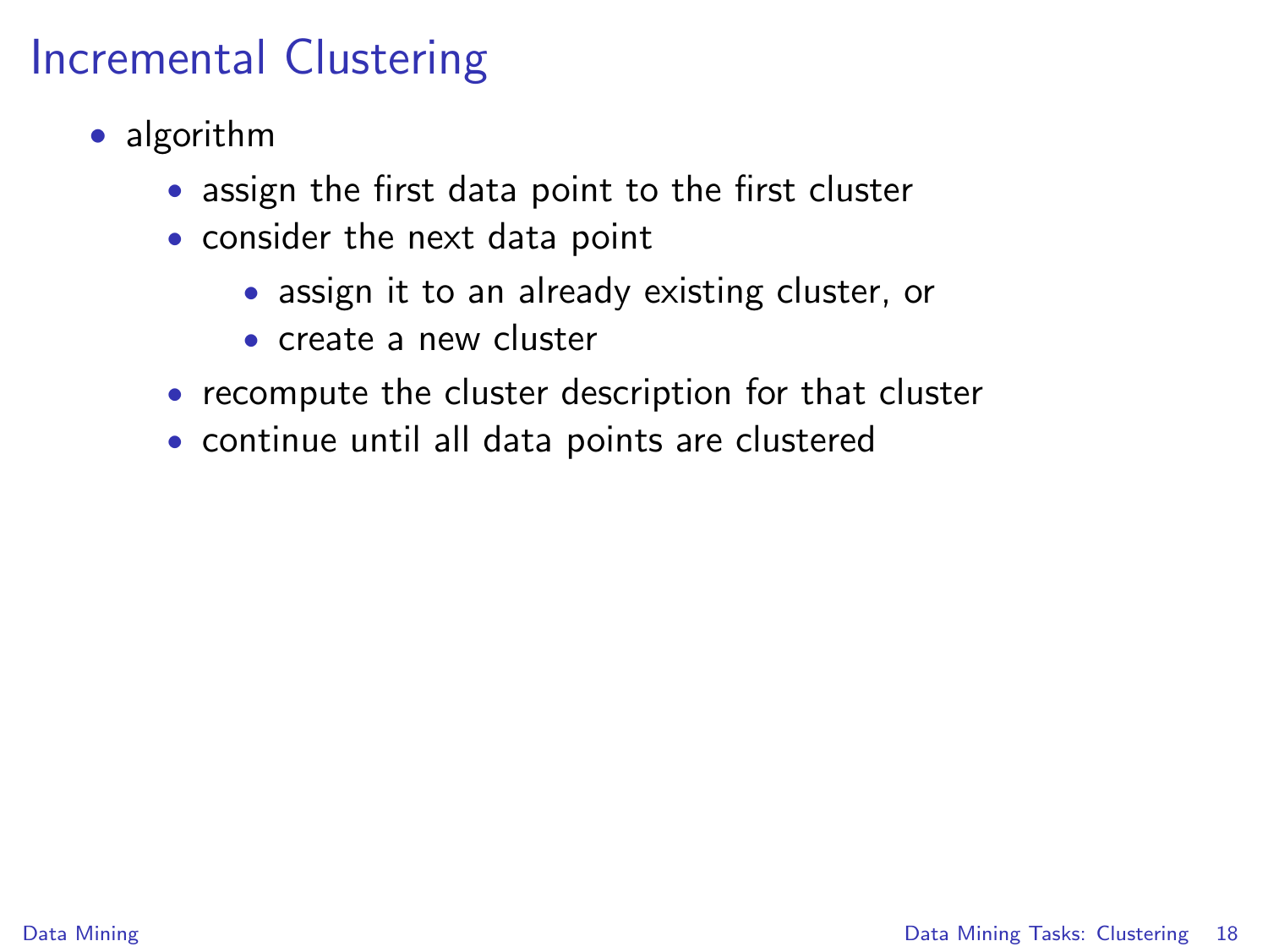## Incremental Clustering

- algorithm
	- assign the first data point to the first cluster
	- consider the next data point
		- assign it to an already existing cluster, or
		- create a new cluster
	- recompute the cluster description for that cluster
	- continue until all data points are clustered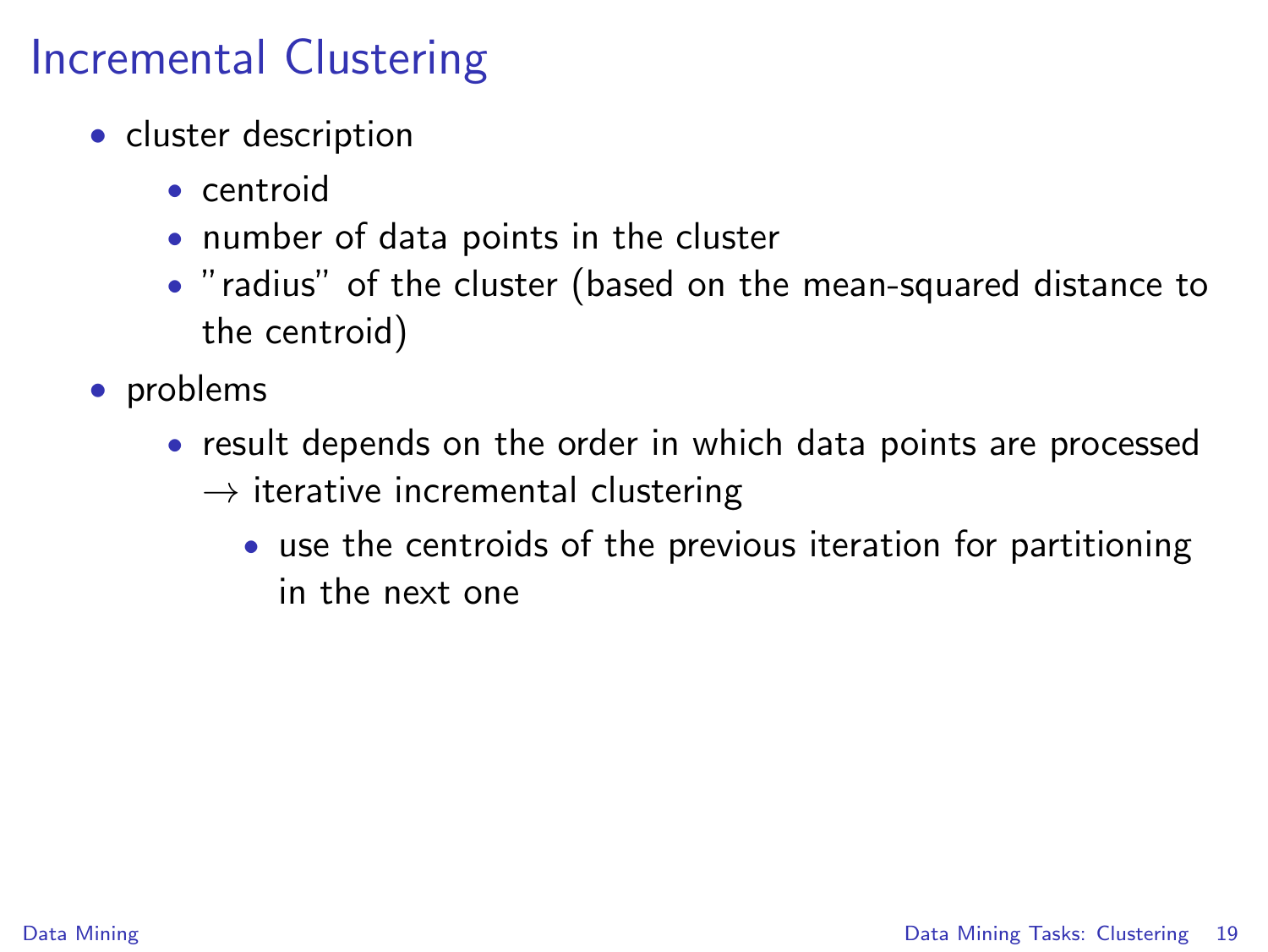## Incremental Clustering

- cluster description
	- centroid
	- number of data points in the cluster
	- "radius" of the cluster (based on the mean-squared distance to the centroid)
- problems
	- result depends on the order in which data points are processed  $\rightarrow$  iterative incremental clustering
		- use the centroids of the previous iteration for partitioning in the next one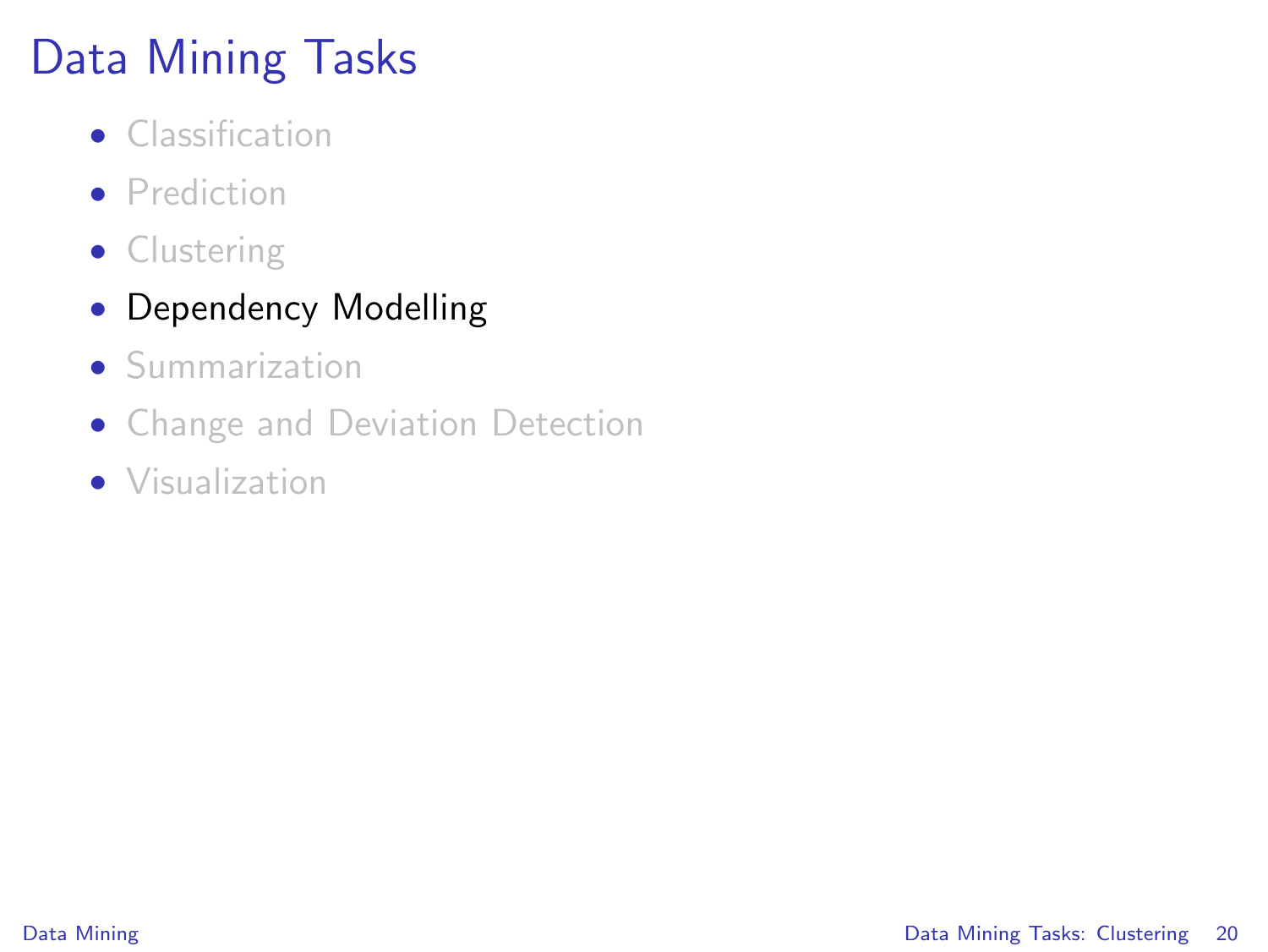# Data Mining Tasks

- Classification
- **•** Prediction
- Clustering

#### • Dependency Modelling

- Summarization
- Change and Deviation Detection
- Visualization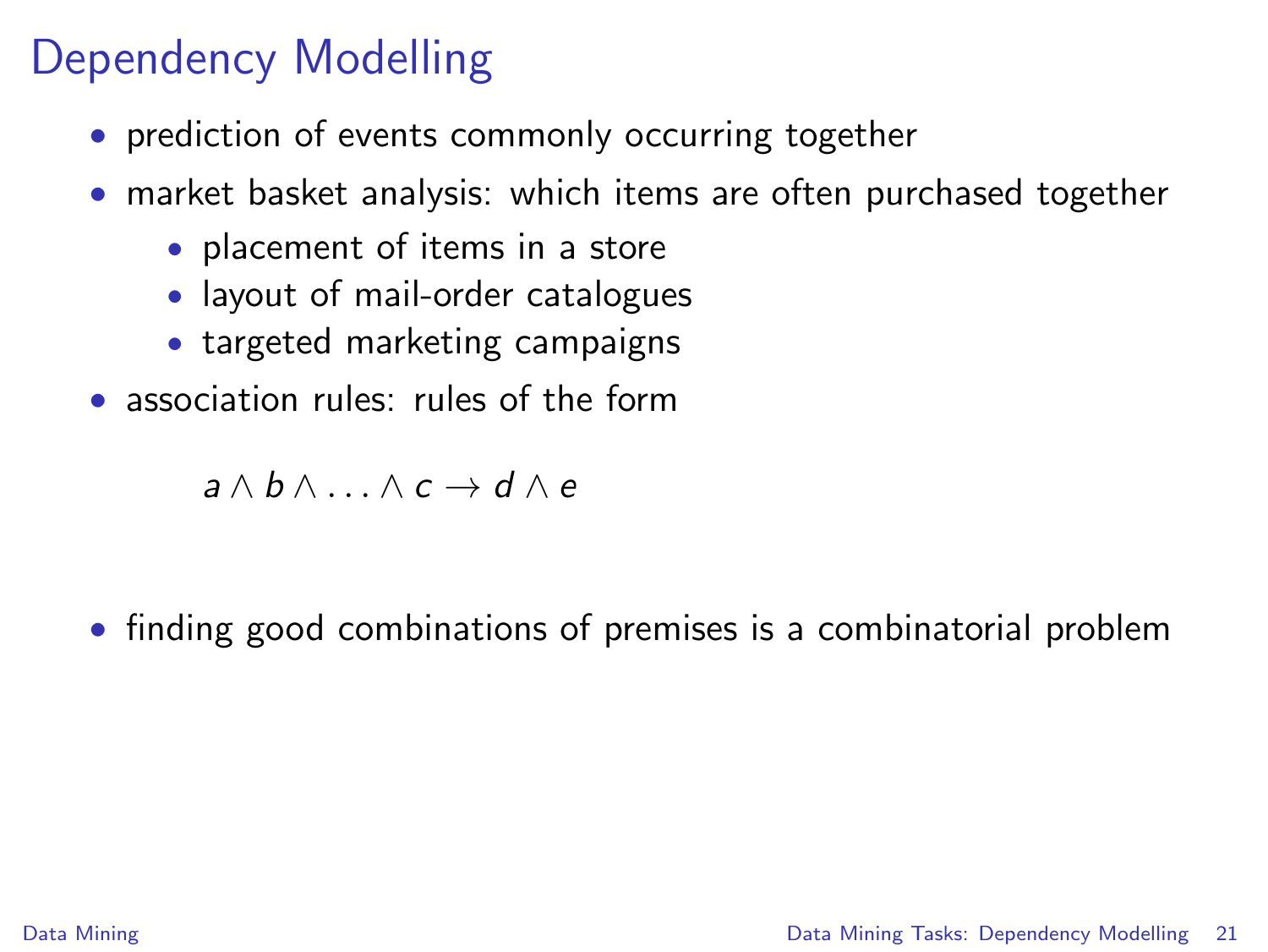# Dependency Modelling

- prediction of events commonly occurring together
- market basket analysis: which items are often purchased together
	- placement of items in a store
	- layout of mail-order catalogues
	- targeted marketing campaigns
- association rules: rules of the form

<span id="page-20-0"></span> $a \wedge b \wedge \ldots \wedge c \rightarrow d \wedge e$ 

• finding good combinations of premises is a combinatorial problem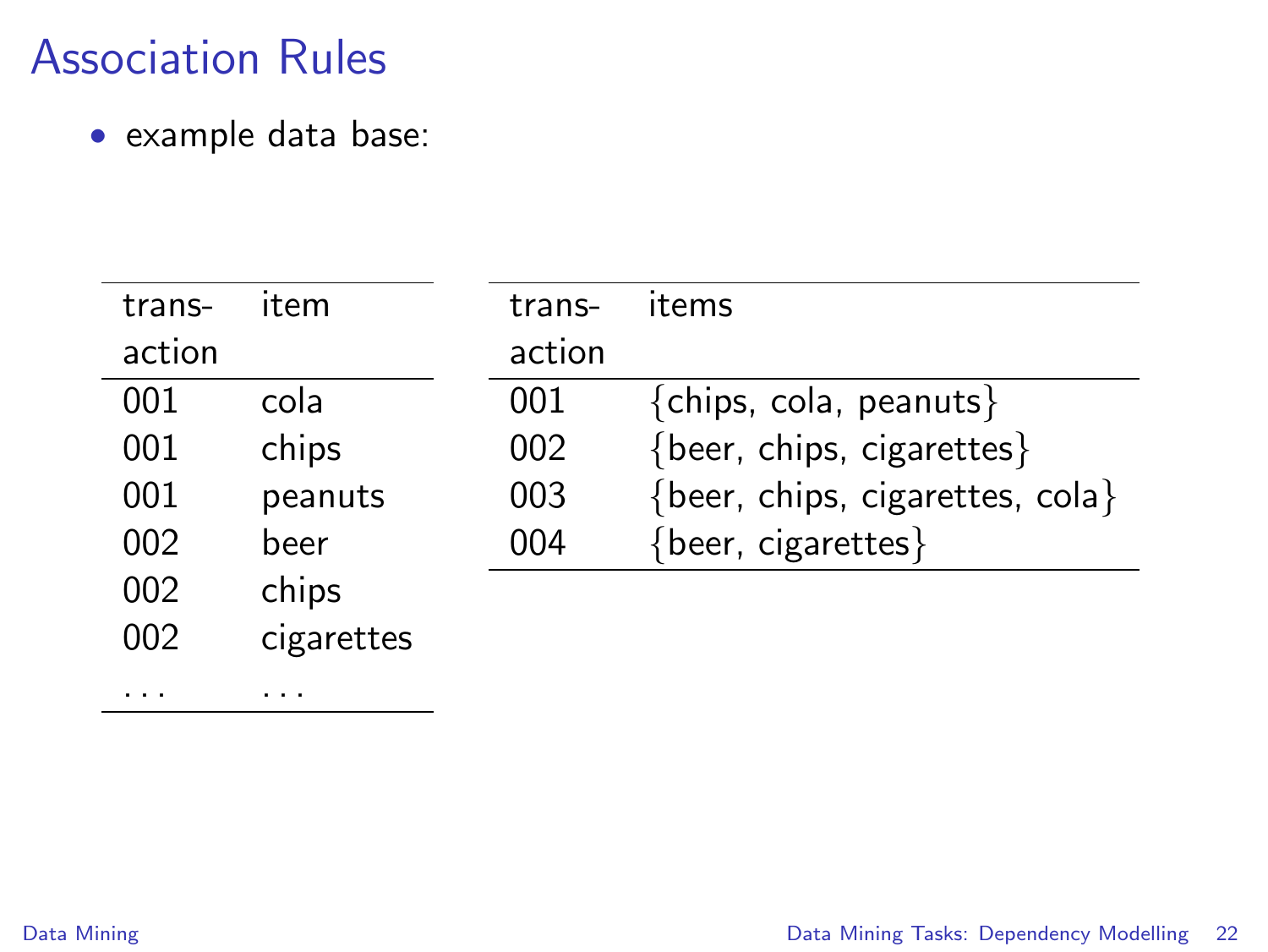. . . . . .

• example data base:

| trans- | item       | trans- | items                           |
|--------|------------|--------|---------------------------------|
| action |            | action |                                 |
| 001    | cola       | 001    | ${chips, cola, peanuts}$        |
| 001    | chips      | 002    | {beer, chips, cigarettes}       |
| 001    | peanuts    | 003    | {beer, chips, cigarettes, cola} |
| 002    | beer       | 004    | {beer, cigarettes}              |
| 002    | chips      |        |                                 |
| 002    | cigarettes |        |                                 |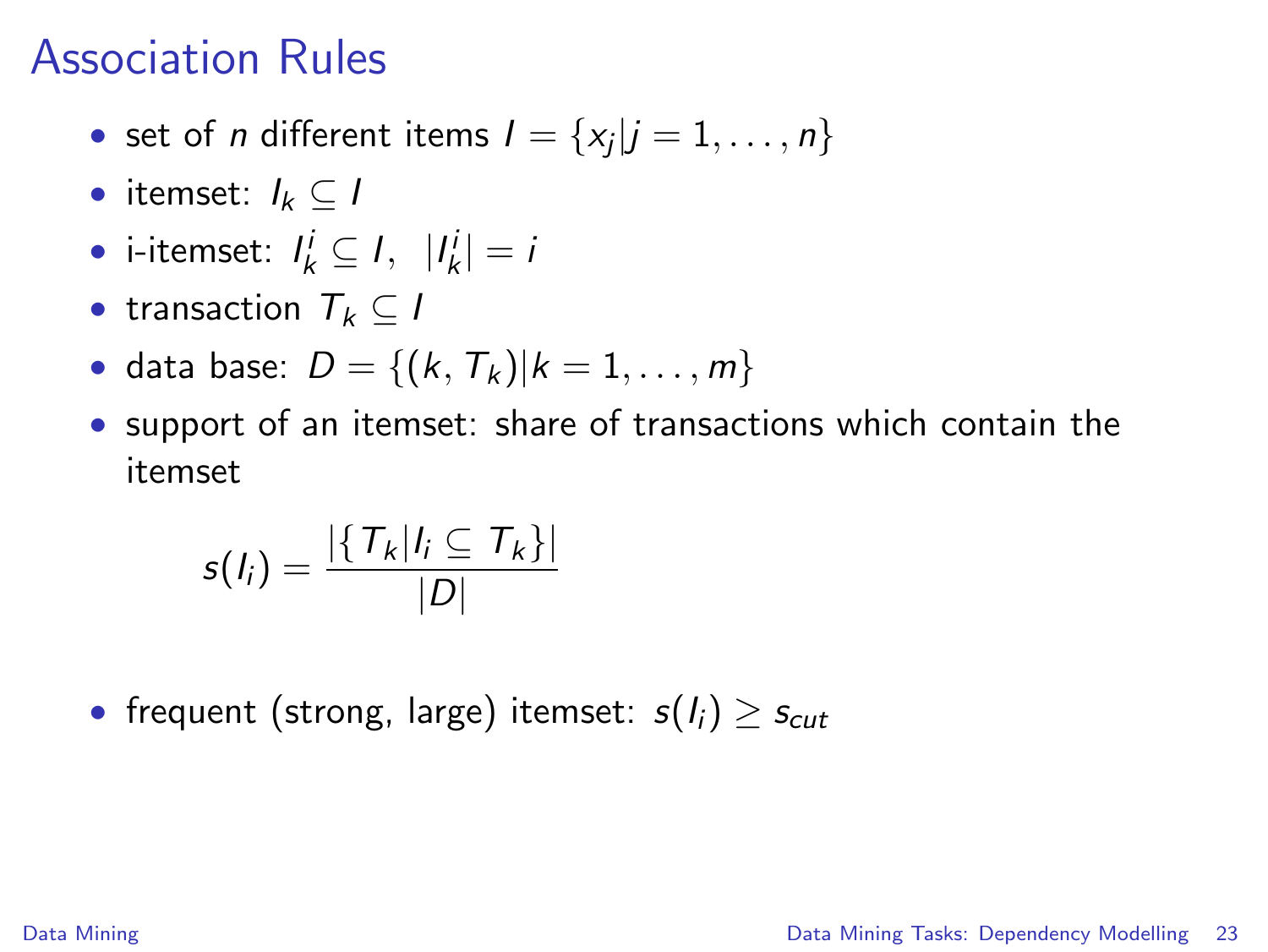- set of *n* different items  $I = \{x_j | j = 1, \ldots, n\}$
- itemset:  $I_k \subset I$
- i-itemset:  $I_k^i \subseteq I$ ,  $|I_k^i| = i$
- transaction  $T_k \subset I$
- data base:  $D = \{(k, T_k) | k = 1, ..., m\}$
- support of an itemset: share of transactions which contain the itemset

$$
s(I_i) = \frac{|\{T_k | I_i \subseteq T_k\}|}{|D|}
$$

• frequent (strong, large) itemset:  $s(I_i) \geq s_{cut}$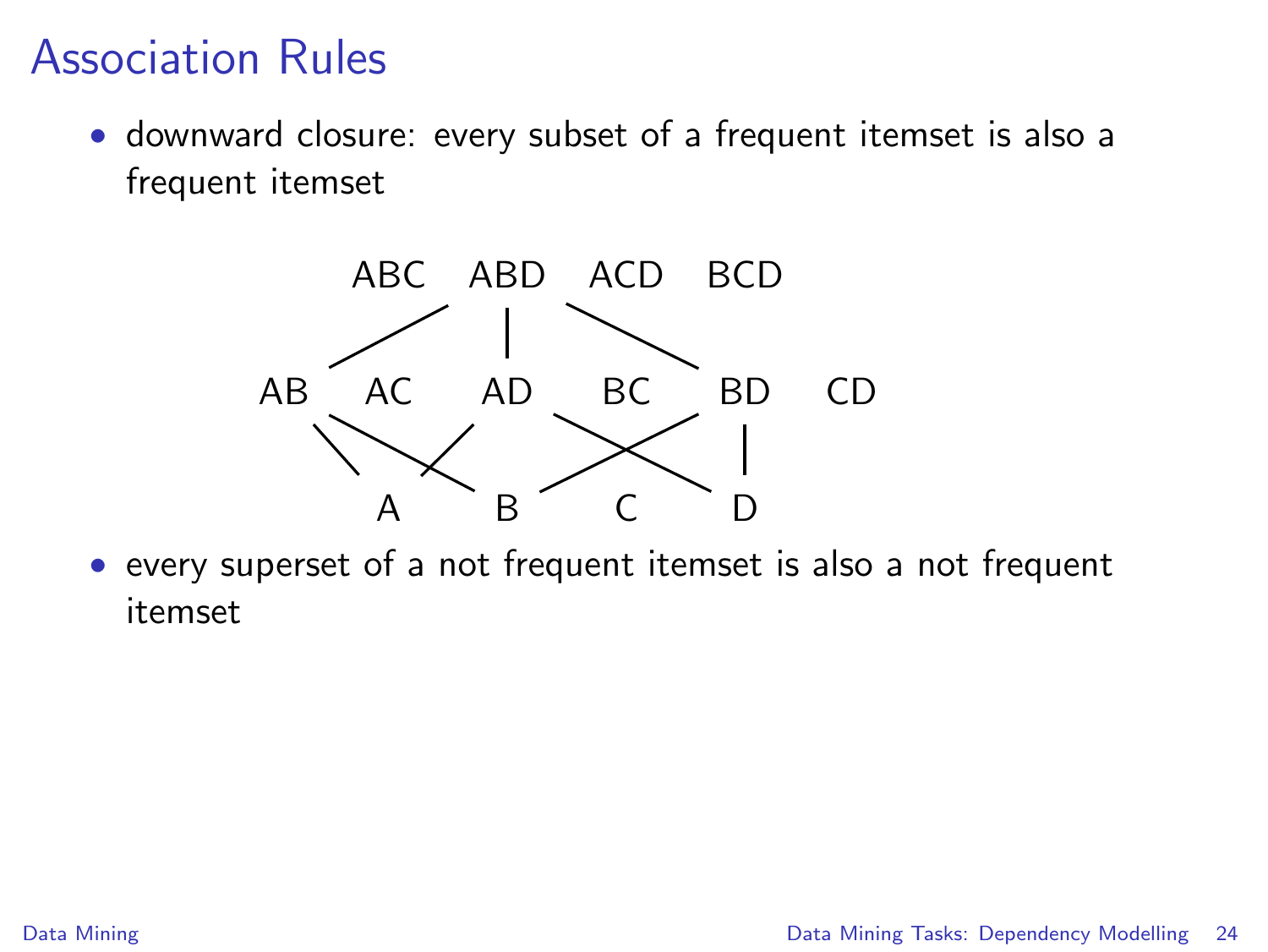• downward closure: every subset of a frequent itemset is also a frequent itemset



• every superset of a not frequent itemset is also a not frequent itemset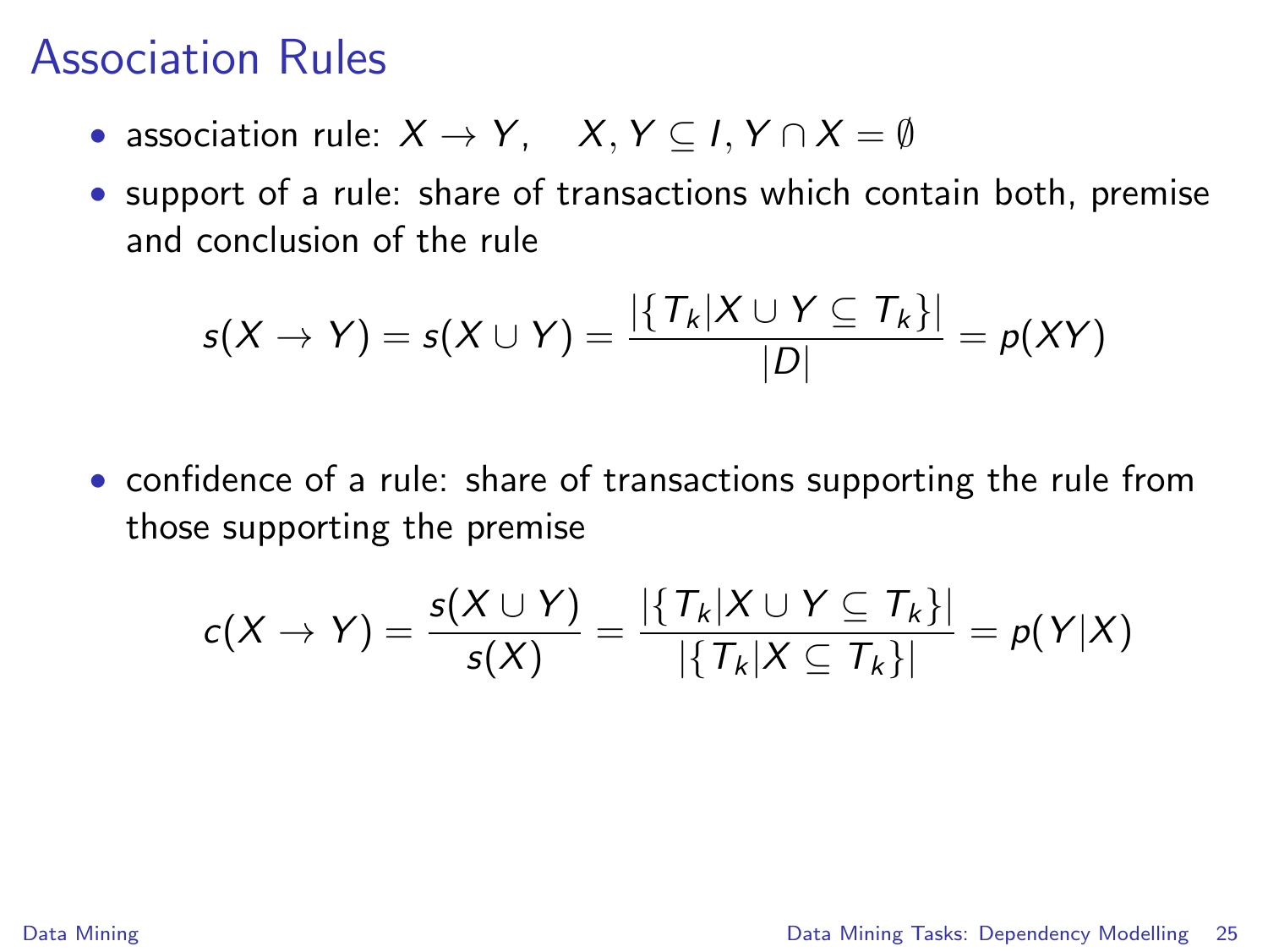- association rule:  $X \to Y$ ,  $X, Y \subseteq I, Y \cap X = \emptyset$
- support of a rule: share of transactions which contain both, premise and conclusion of the rule

$$
s(X \to Y) = s(X \cup Y) = \frac{|\{T_k | X \cup Y \subseteq T_k\}|}{|D|} = p(XY)
$$

• confidence of a rule: share of transactions supporting the rule from those supporting the premise

$$
c(X \to Y) = \frac{s(X \cup Y)}{s(X)} = \frac{|\{T_k | X \cup Y \subseteq T_k\}|}{|\{T_k | X \subseteq T_k\}|} = p(Y|X)
$$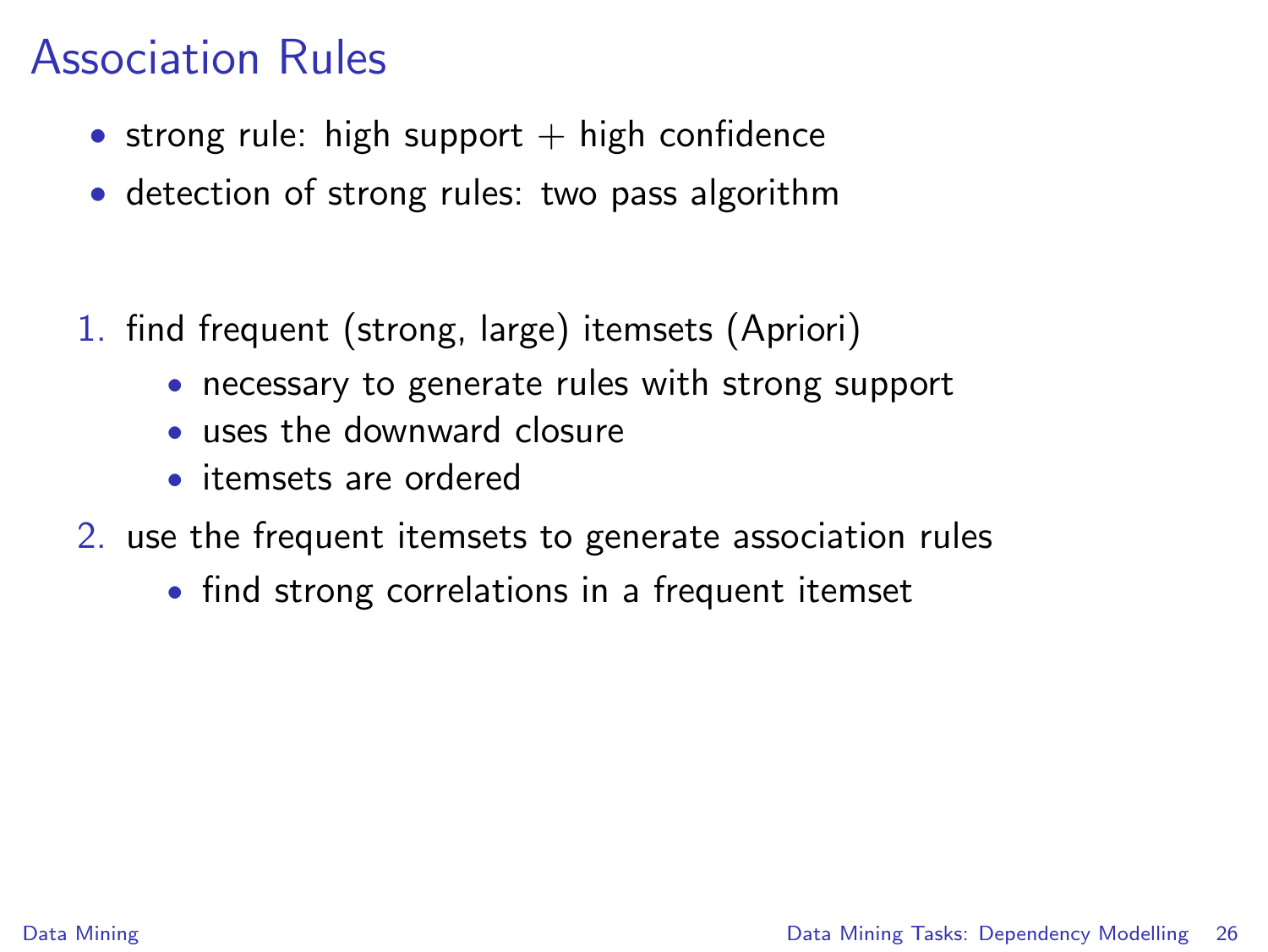- strong rule: high support  $+$  high confidence
- detection of strong rules: two pass algorithm
- 1. find frequent (strong, large) itemsets (Apriori)
	- necessary to generate rules with strong support
	- uses the downward closure
	- itemsets are ordered
- 2. use the frequent itemsets to generate association rules
	- find strong correlations in a frequent itemset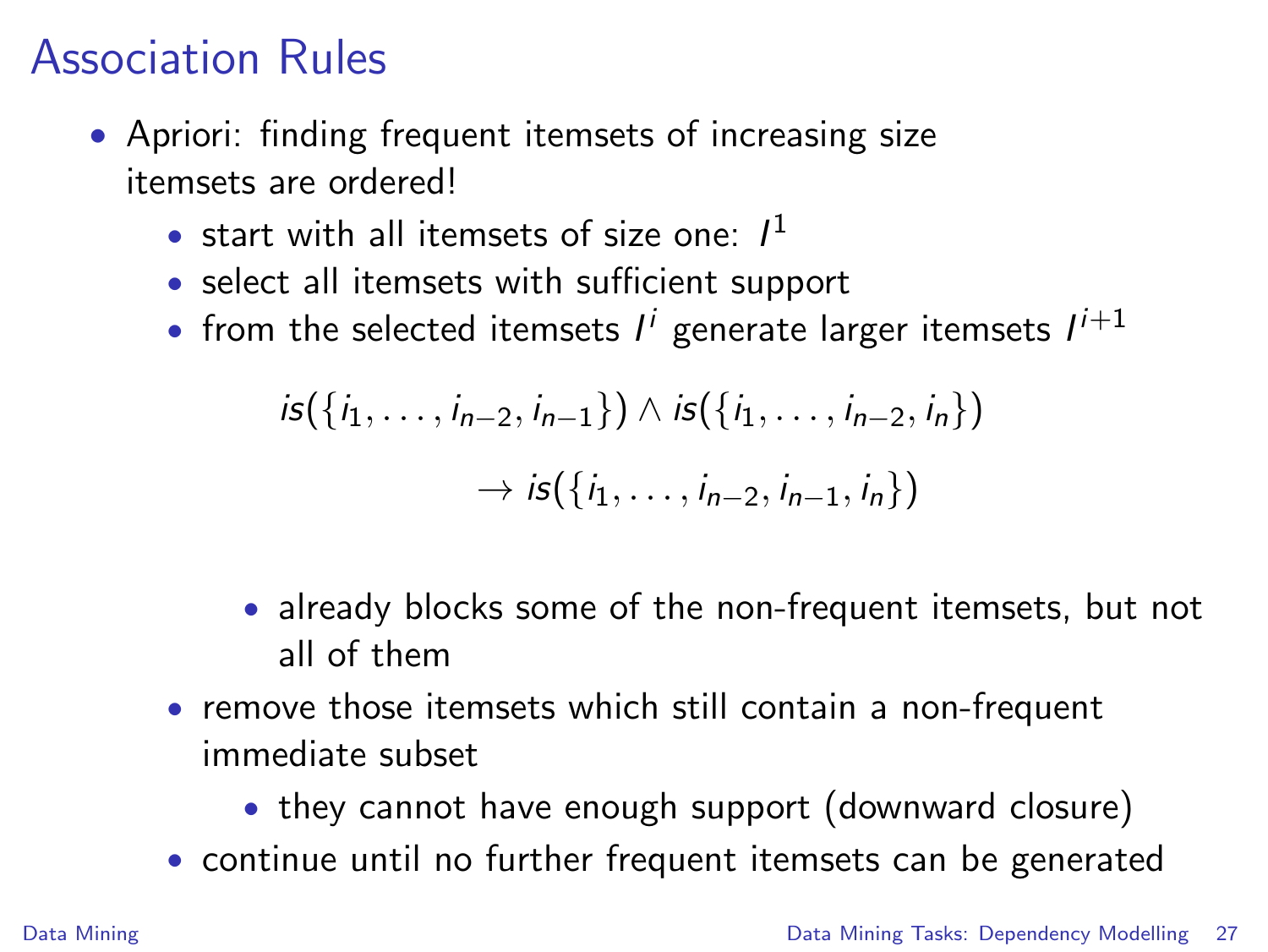- Apriori: finding frequent itemsets of increasing size itemsets are ordered!
	- start with all itemsets of size one:  $I<sup>1</sup>$
	- select all itemsets with sufficient support
	- from the selected itemsets  $I^i$  generate larger itemsets  $I^{i+1}$

$$
is({i_1, ..., i_{n-2}, i_{n-1}}) \wedge is({i_1, ..., i_{n-2}, i_n})
$$
  

$$
\rightarrow is({i_1, ..., i_{n-2}, i_{n-1}, i_n})
$$

- already blocks some of the non-frequent itemsets, but not all of them
- remove those itemsets which still contain a non-frequent immediate subset
	- they cannot have enough support (downward closure)
- continue until no further frequent itemsets can be generated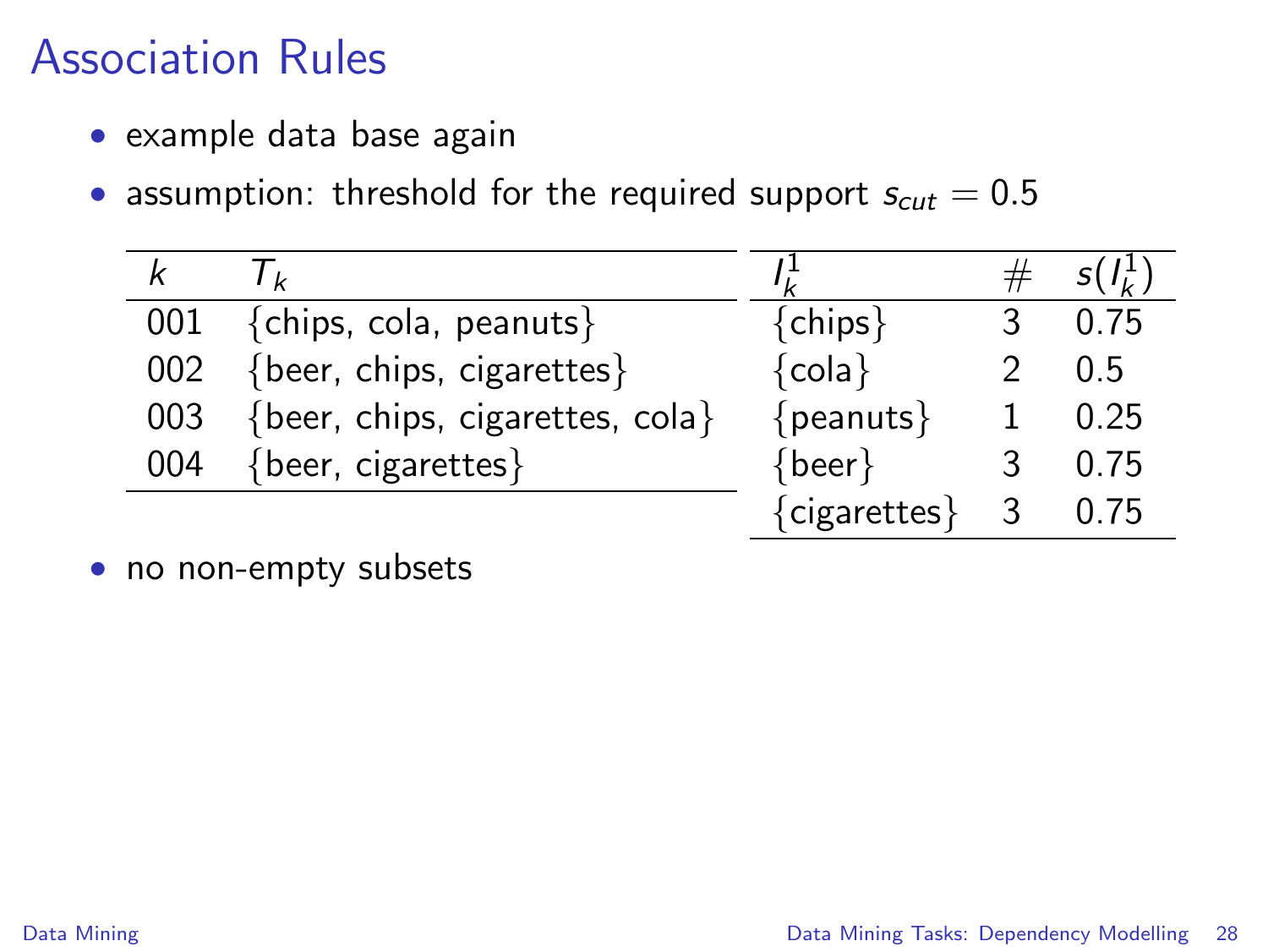- example data base again
- assumption: threshold for the required support  $s_{cut} = 0.5$

| k   |                                         |                     |             |      |
|-----|-----------------------------------------|---------------------|-------------|------|
|     | 001 {chips, cola, peanuts}              | ${chips}$           |             | 0.75 |
|     | 002 {beer, chips, cigarettes}           | ${cola}$            |             | 0.5  |
|     | 003 {beer, chips, cigarettes, cola}     | $\{peanuts\}$       |             | 0.25 |
| 004 | $\{ \text{beer}, \text{ cigarettes} \}$ | $\{ \text{beer} \}$ |             | 0.75 |
|     |                                         | {cigarettes}        | $3^{\circ}$ | 0.75 |

• no non-empty subsets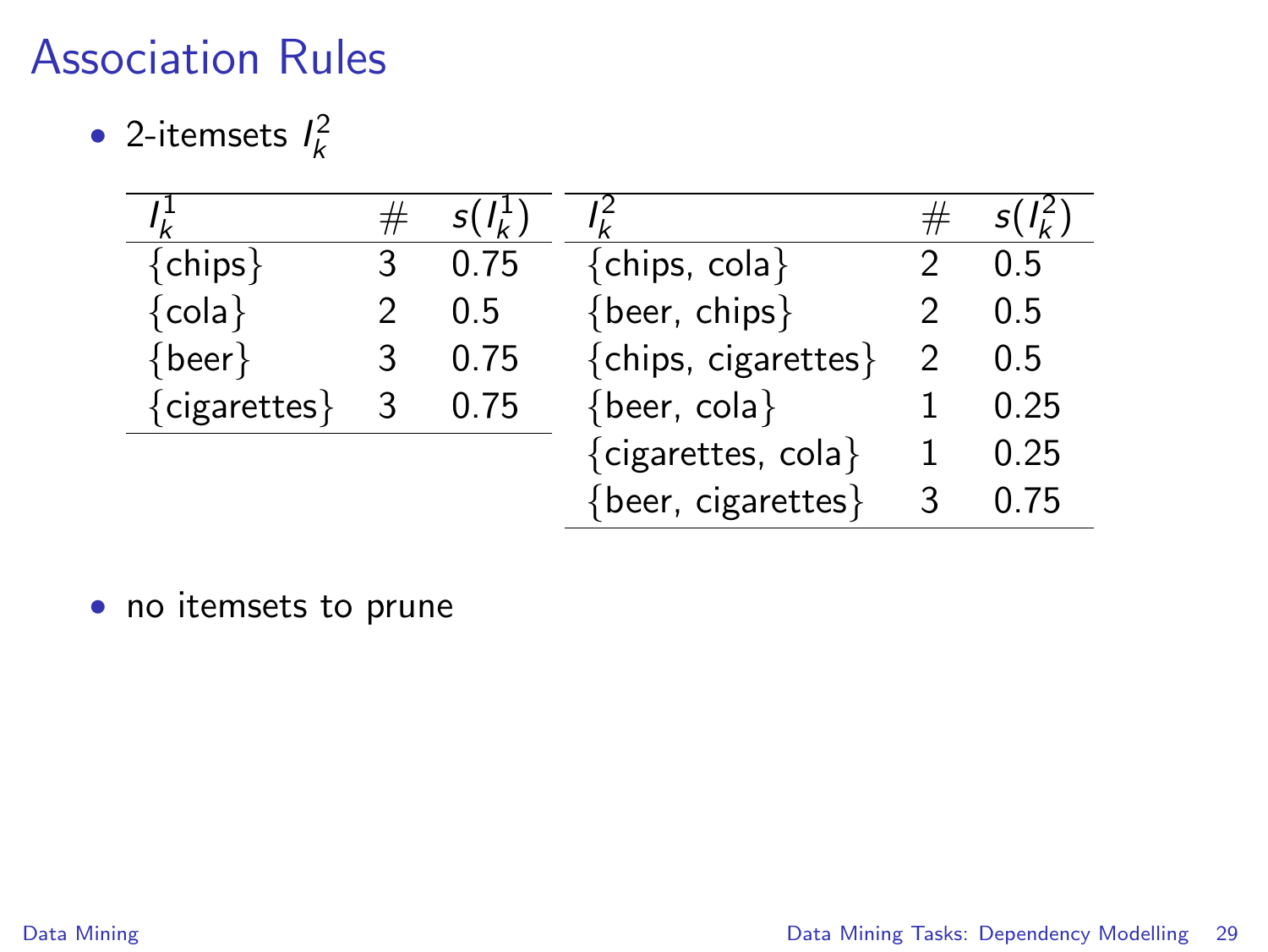• 2-itemsets  $l_k^2$ 

| ${chips}$           | 3 | 0.75 | ${chips, cola}$                  | 0.5  |
|---------------------|---|------|----------------------------------|------|
| ${cola}$            |   | 0.5  | {beer, chips}                    | 0.5  |
| $\{ \text{beer} \}$ | 3 | 0.75 | {chips, cigarettes}              | 0.5  |
| {cigarettes}        | 3 | 0.75 | $\{ \text{beer}, \text{cola} \}$ | 0.25 |
|                     |   |      | {cigarettes, cola}               | 0.25 |
|                     |   |      | {beer, cigarettes}               | -75  |

• no itemsets to prune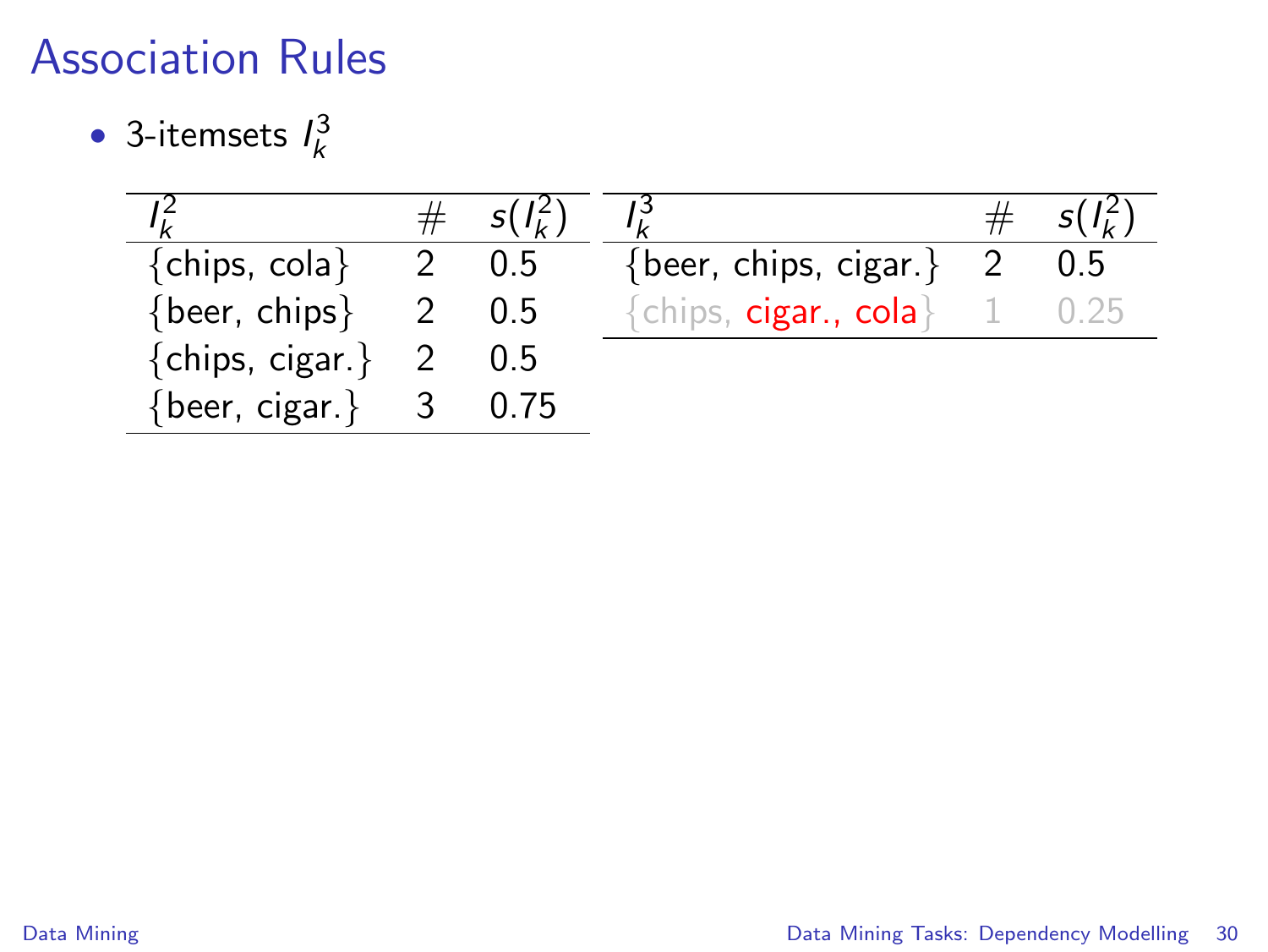• 3-itemsets  $l_k^3$ 

|                                     |                         | $s(l_k^2)$ |                                         |     |
|-------------------------------------|-------------------------|------------|-----------------------------------------|-----|
| ${chips, cola}$                     |                         | $2 \t 0.5$ | {beer, chips, cigar.}                   | 0.5 |
| $\{ \text{beer}, \text{ chips} \}$  |                         | 0.5        | ${chi}$ <sub>s</sub> , cigar., cola $}$ |     |
| ${chips, cigar.}$ 2                 |                         | -0.5       |                                         |     |
| $\{ \text{beer}, \text{ cigar.} \}$ | $\overline{\mathbf{3}}$ | 0.75       |                                         |     |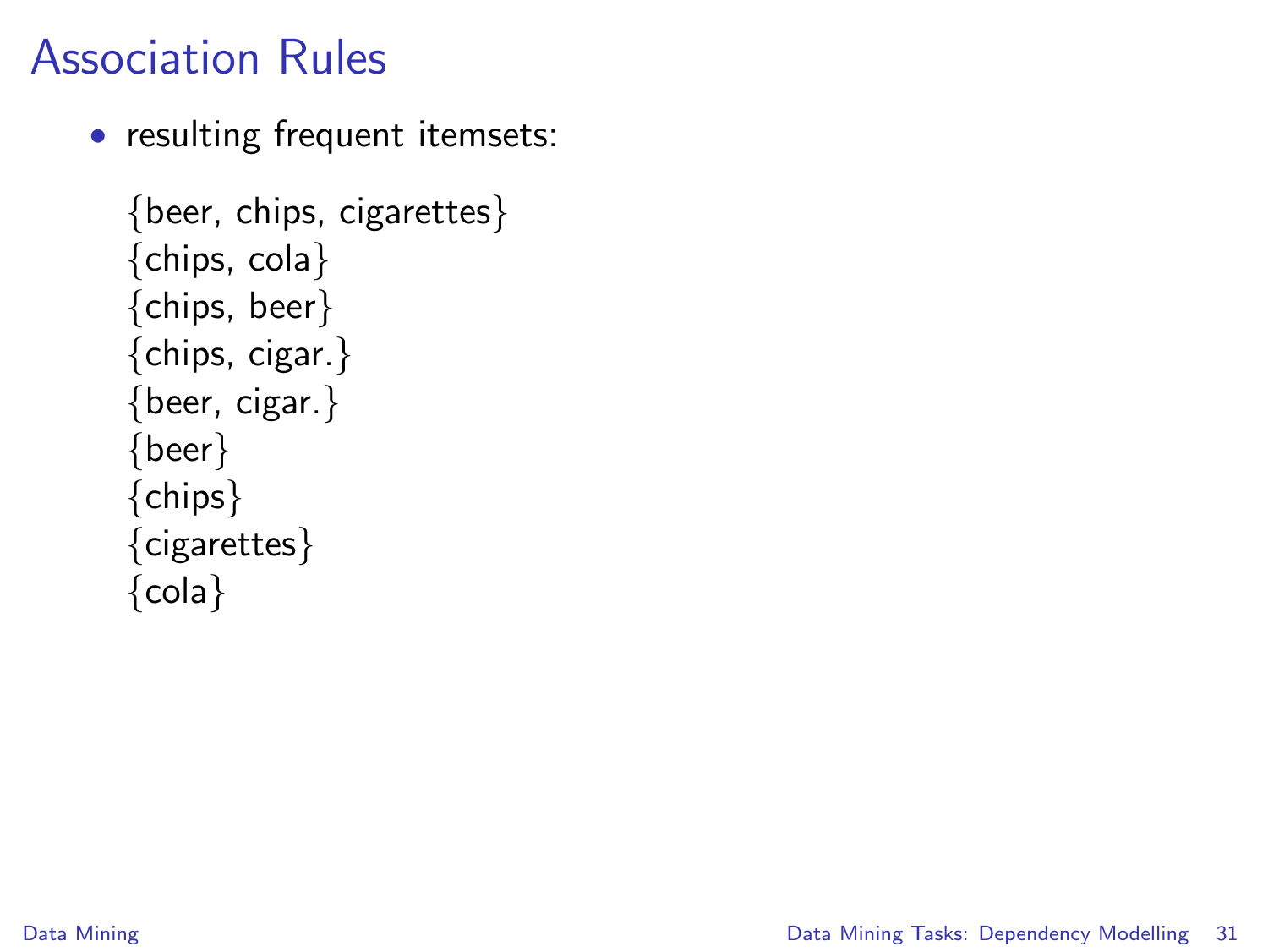• resulting frequent itemsets:

```
{beer, chips, cigarettes}
{chips, cola}
{chips, beer}
{chips, cigar.}
{beer, cigar.}
{beer}
{chips}
{cigarettes}
{cola}
```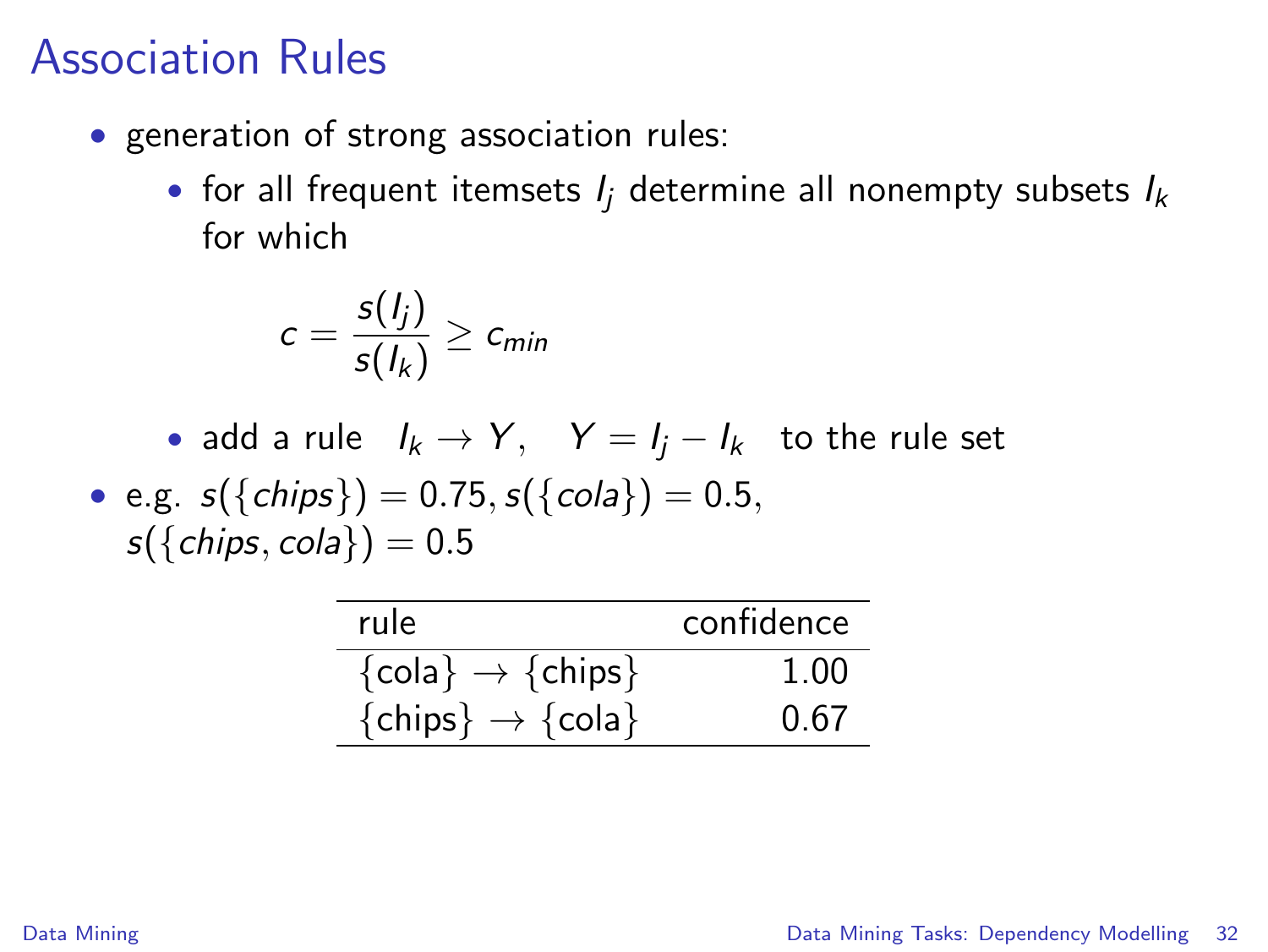- generation of strong association rules:
	- for all frequent itemsets  $I_i$  determine all nonempty subsets  $I_k$ for which

$$
c=\frac{s(l_j)}{s(l_k)}\geq c_{min}
$$

- add a rule  $I_k \rightarrow Y$ ,  $Y = I_j I_k$  to the rule set
- e.g.  $s({\{ chips\}}) = 0.75, s({\{cola\}}) = 0.5$  $s({chiings, cola}) = 0.5$

| rule                                       | confidence |
|--------------------------------------------|------------|
| $\{\text{cola}\}\rightarrow{\text{chips}}$ | 1.00       |
| $\{chips\} \rightarrow \{cola\}$           | 0.67       |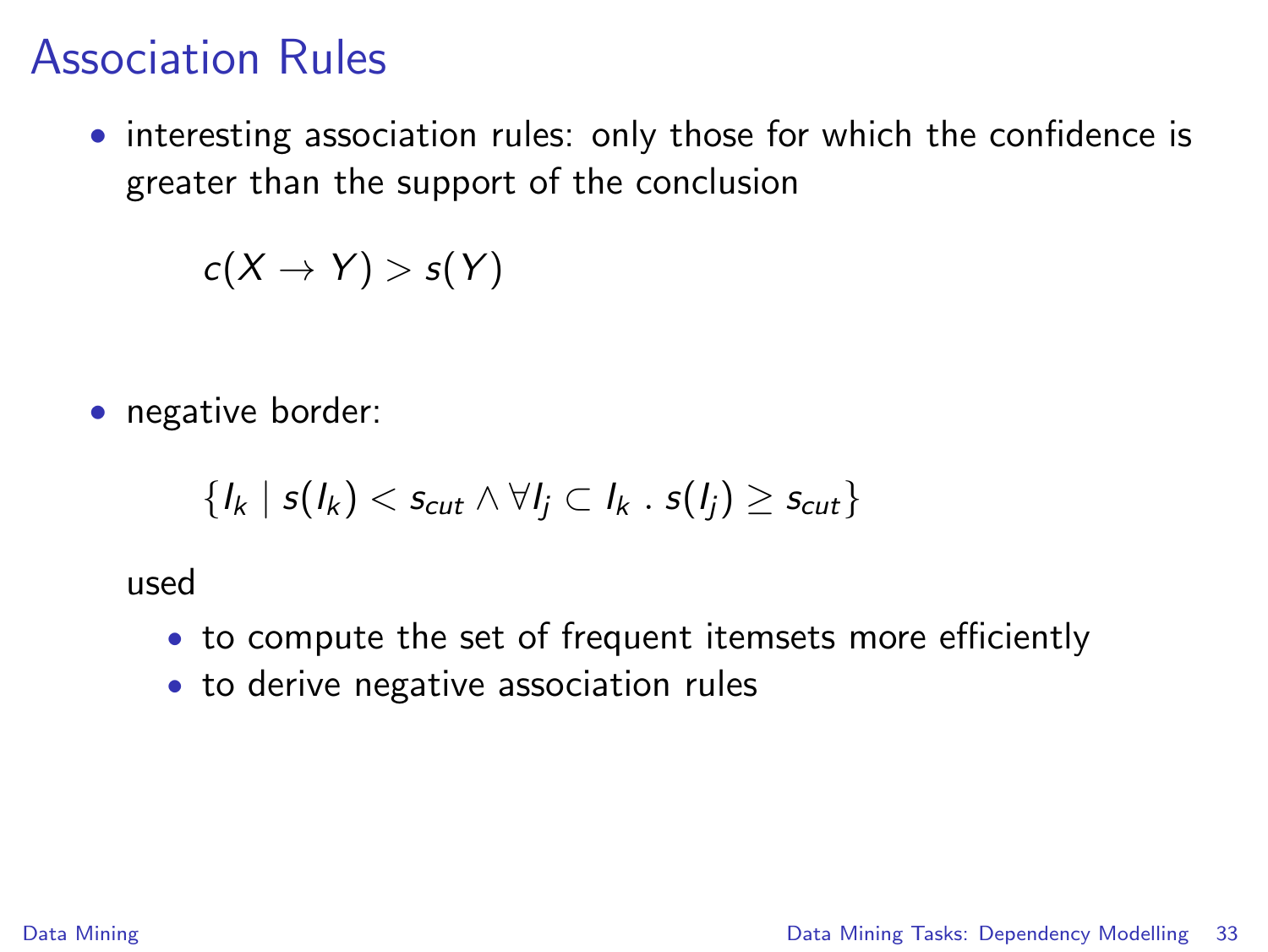• interesting association rules: only those for which the confidence is greater than the support of the conclusion

 $c(X \rightarrow Y) > s(Y)$ 

• negative border:

$$
\{I_k \mid s(I_k) < s_{cut} \land \forall I_j \subset I_k \cdot s(I_j) \geq s_{cut}\}
$$

used

- to compute the set of frequent itemsets more efficiently
- to derive negative association rules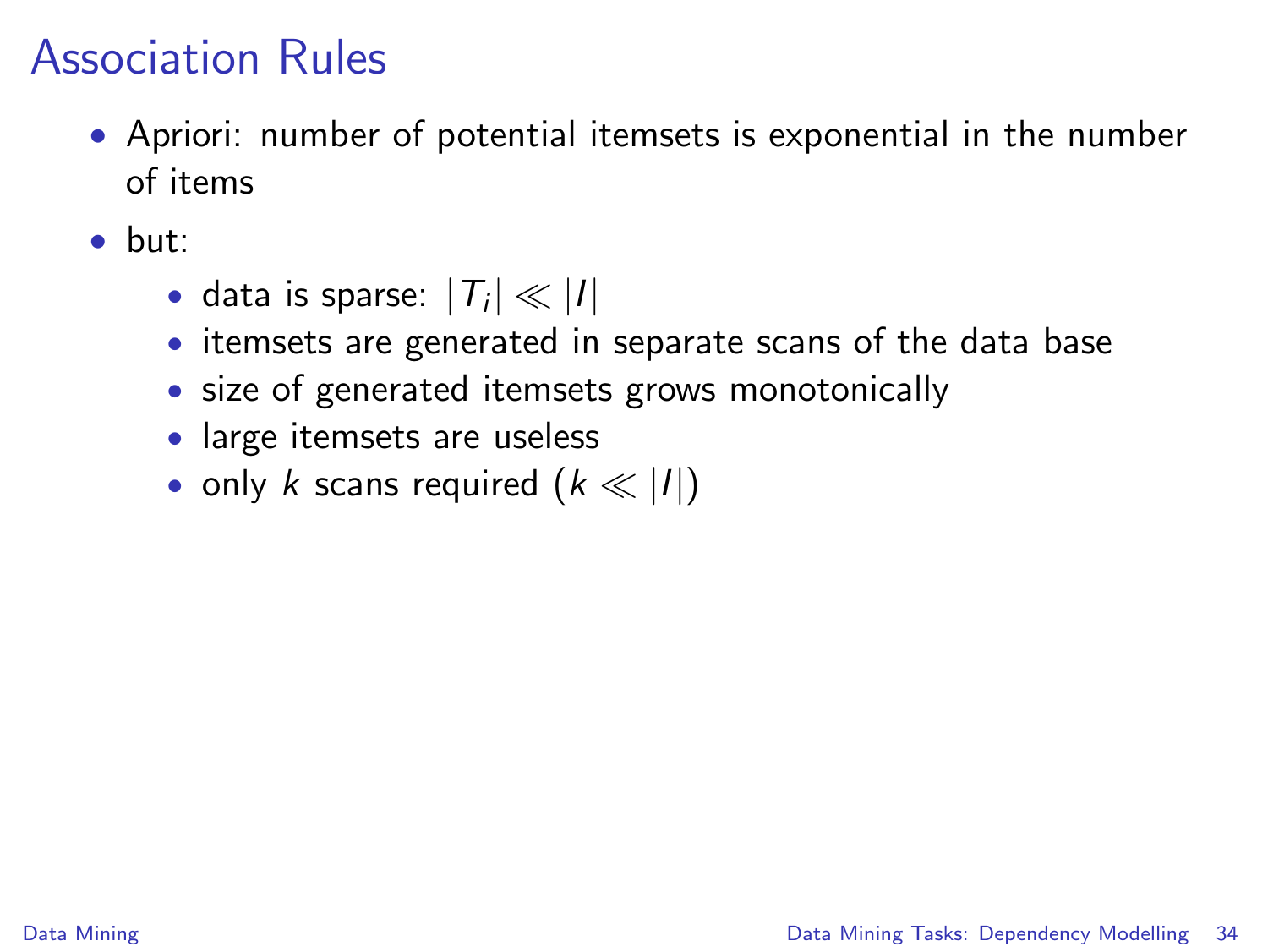- Apriori: number of potential itemsets is exponential in the number of items
- but:
	- data is sparse:  $|T_i| \ll |I|$
	- itemsets are generated in separate scans of the data base
	- size of generated itemsets grows monotonically
	- large itemsets are useless
	- only k scans required  $(k \ll |I|)$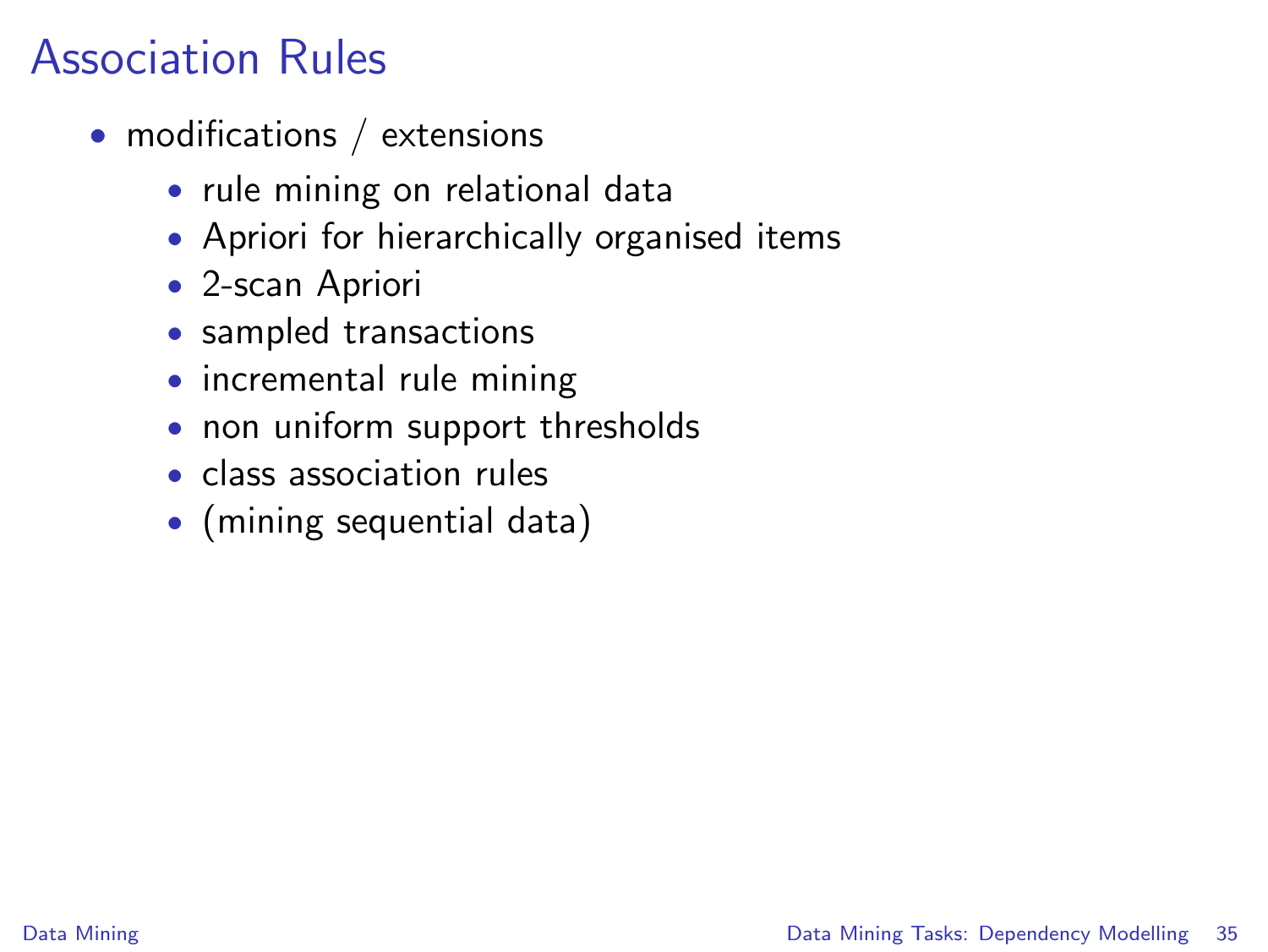- modifications / extensions
	- rule mining on relational data
	- Apriori for hierarchically organised items
	- 2-scan Apriori
	- sampled transactions
	- incremental rule mining
	- non uniform support thresholds
	- class association rules
	- (mining sequential data)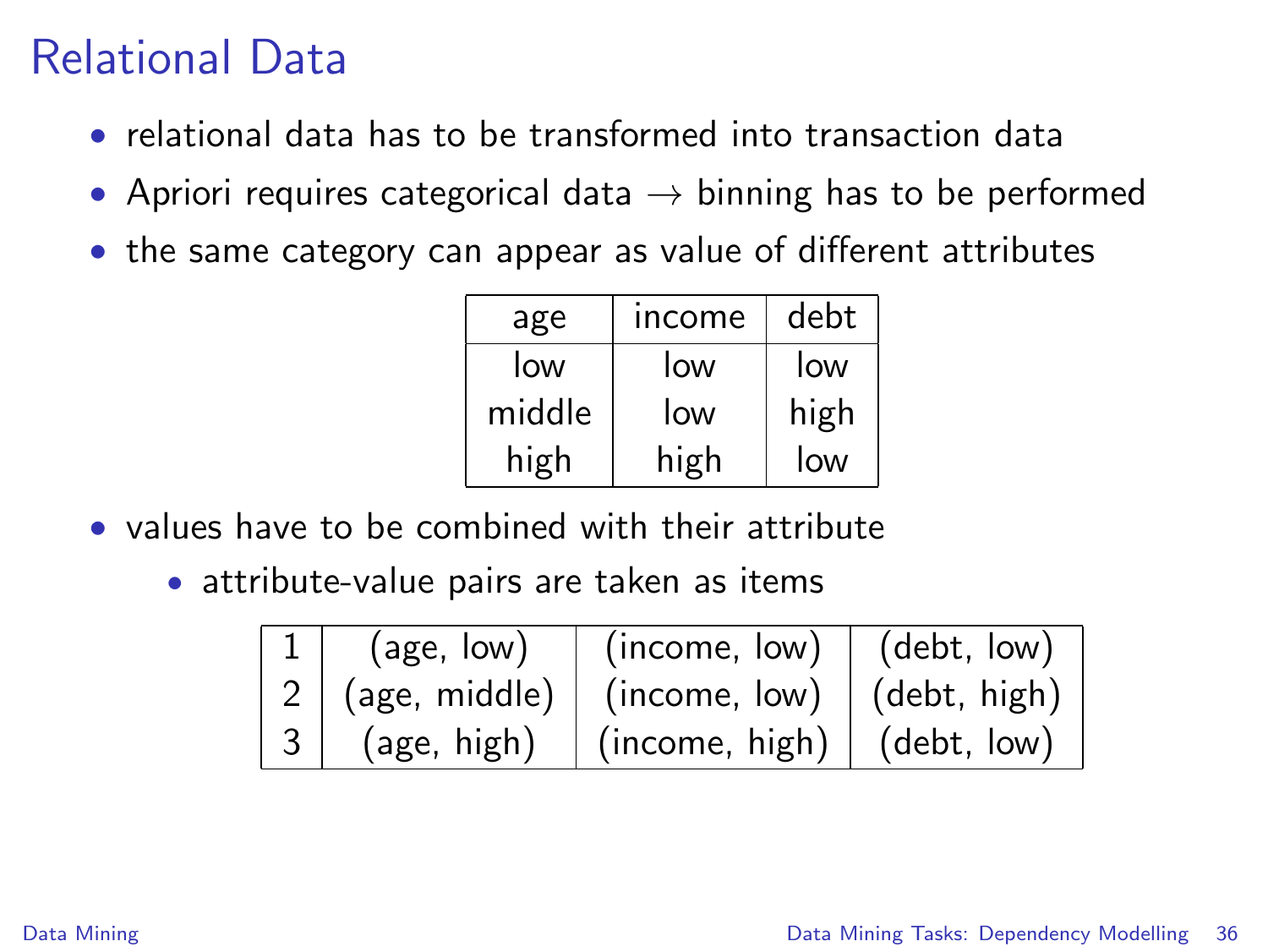# Relational Data

- relational data has to be transformed into transaction data
- Apriori requires categorical data  $\rightarrow$  binning has to be performed
- the same category can appear as value of different attributes

| age    | income | debt |
|--------|--------|------|
| low    | low    | low  |
| middle | low    | high |
| high   | high   | low  |

- values have to be combined with their attribute
	- attribute-value pairs are taken as items

| (age, low)    | (income, low)                            | (debt, low)          |
|---------------|------------------------------------------|----------------------|
| (age, middle) | (income, low)                            | $\vert$ (debt, high) |
| (age, high)   | $\mid$ (income, high) $\mid$ (debt, low) |                      |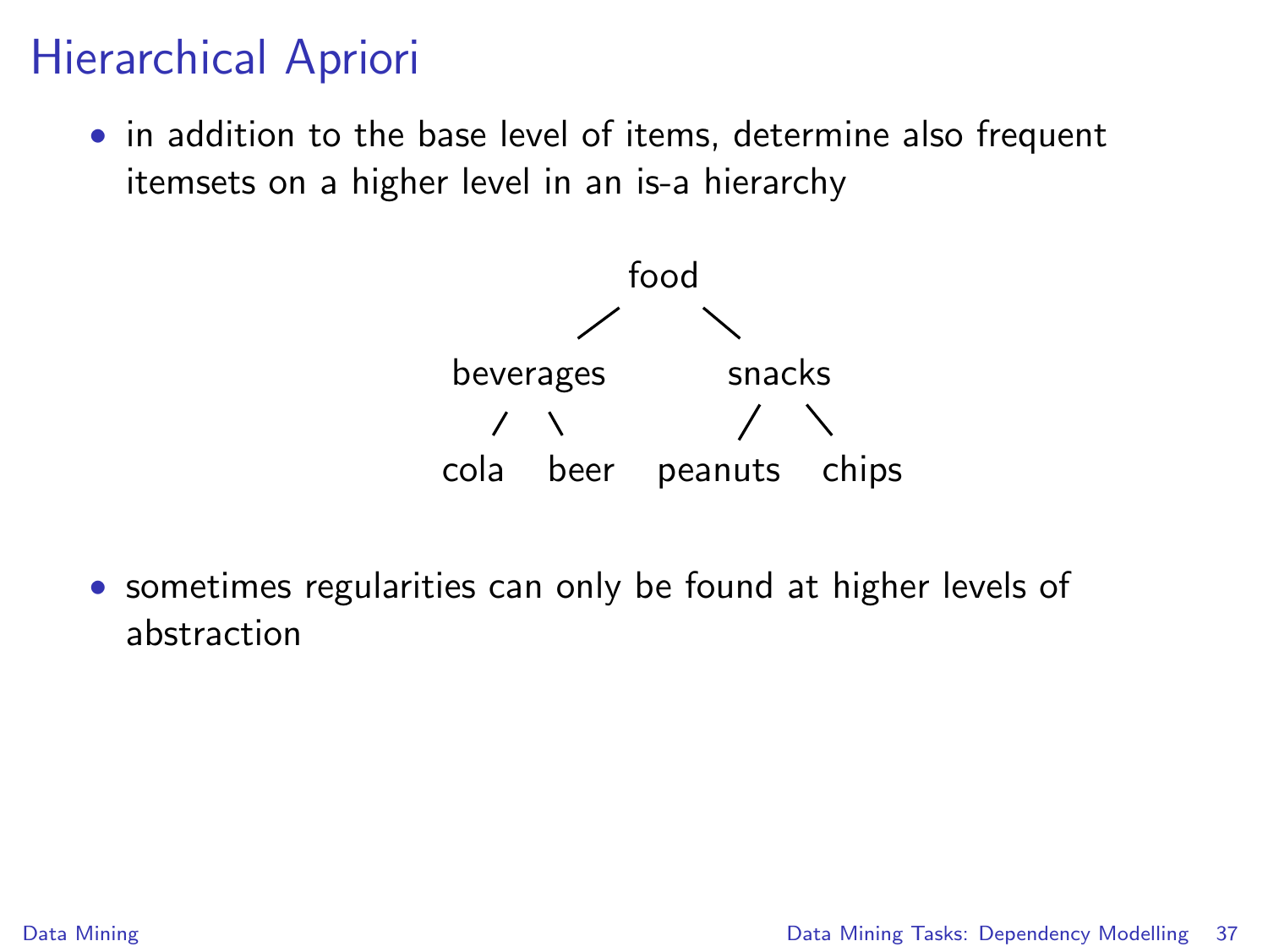## Hierarchical Apriori

• in addition to the base level of items, determine also frequent itemsets on a higher level in an is-a hierarchy



• sometimes regularities can only be found at higher levels of abstraction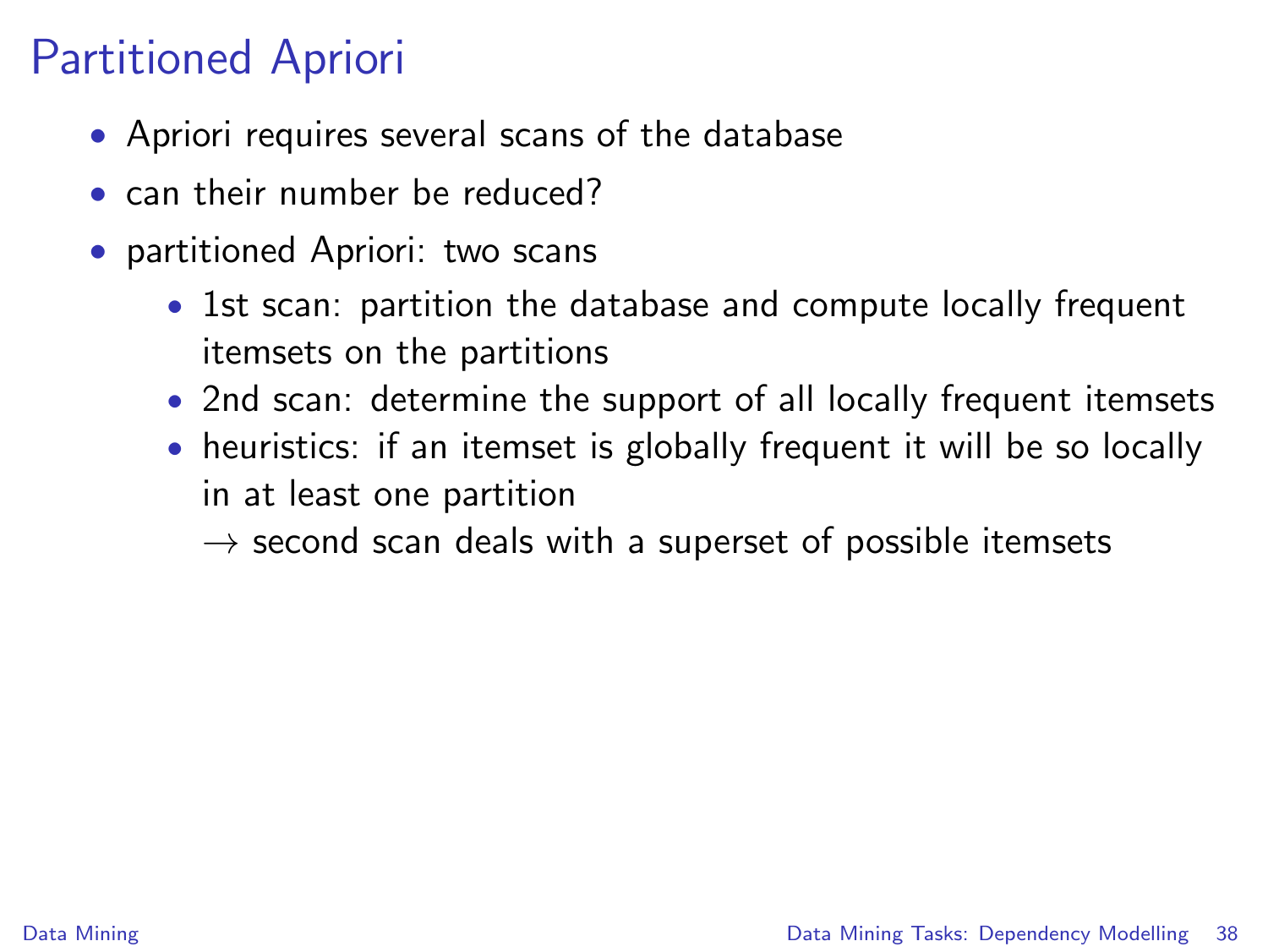# Partitioned Apriori

- Apriori requires several scans of the database
- can their number be reduced?
- partitioned Apriori: two scans
	- 1st scan: partition the database and compute locally frequent itemsets on the partitions
	- 2nd scan: determine the support of all locally frequent itemsets
	- heuristics: if an itemset is globally frequent it will be so locally in at least one partition

 $\rightarrow$  second scan deals with a superset of possible itemsets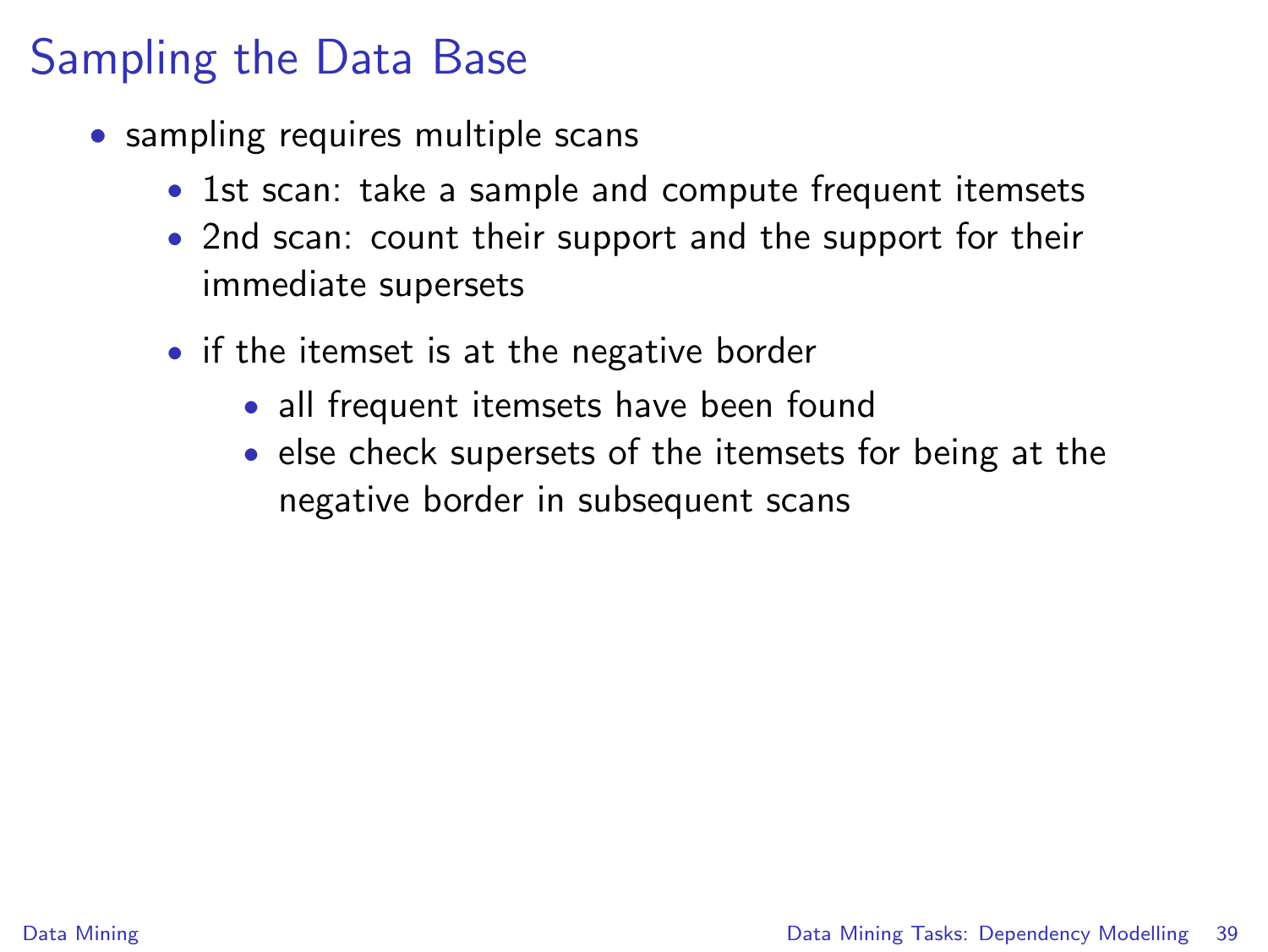# Sampling the Data Base

- sampling requires multiple scans
	- 1st scan: take a sample and compute frequent itemsets
	- 2nd scan: count their support and the support for their immediate supersets
	- if the itemset is at the negative border
		- all frequent itemsets have been found
		- else check supersets of the itemsets for being at the negative border in subsequent scans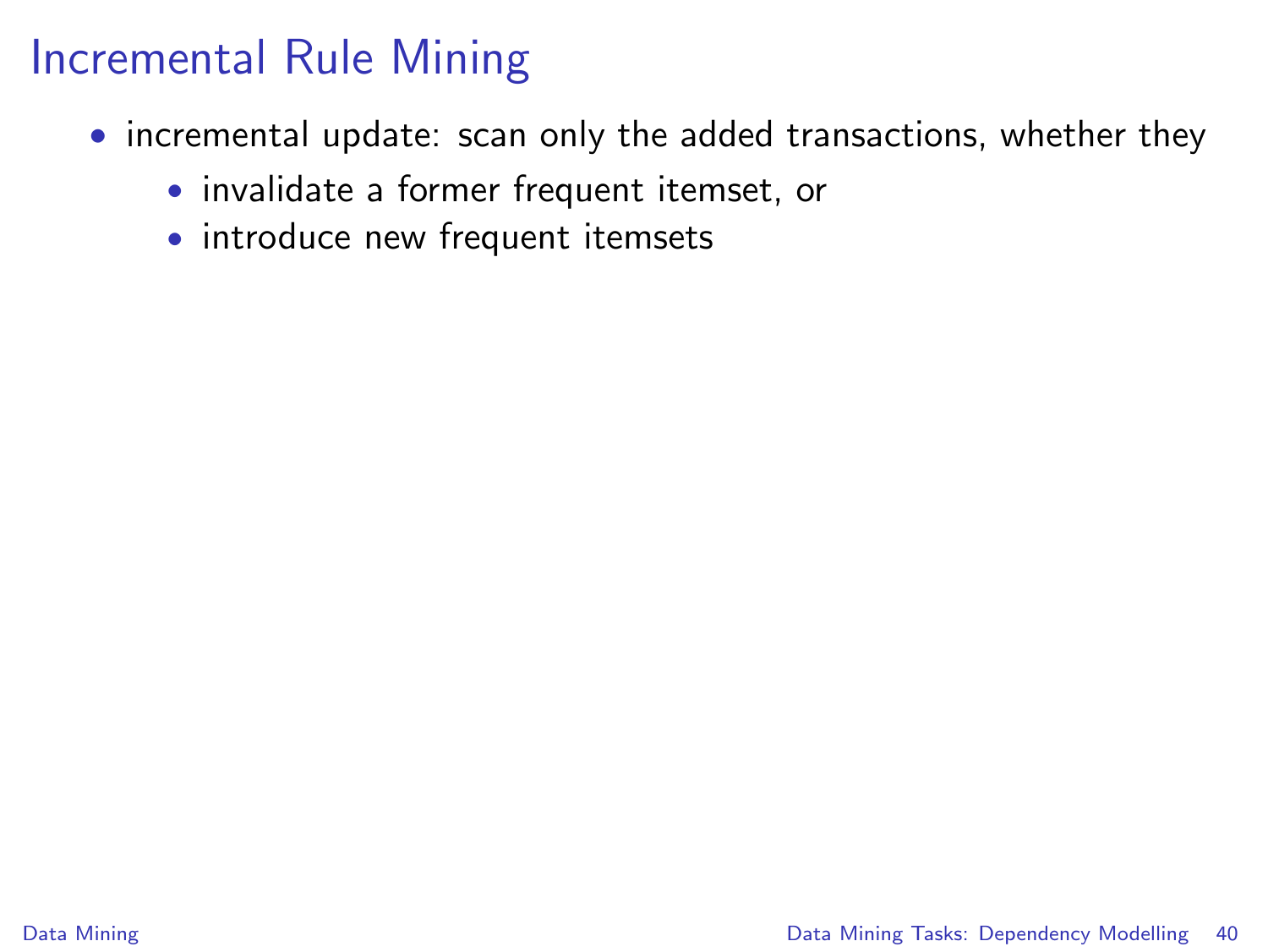#### Incremental Rule Mining

- incremental update: scan only the added transactions, whether they
	- invalidate a former frequent itemset, or
	- introduce new frequent itemsets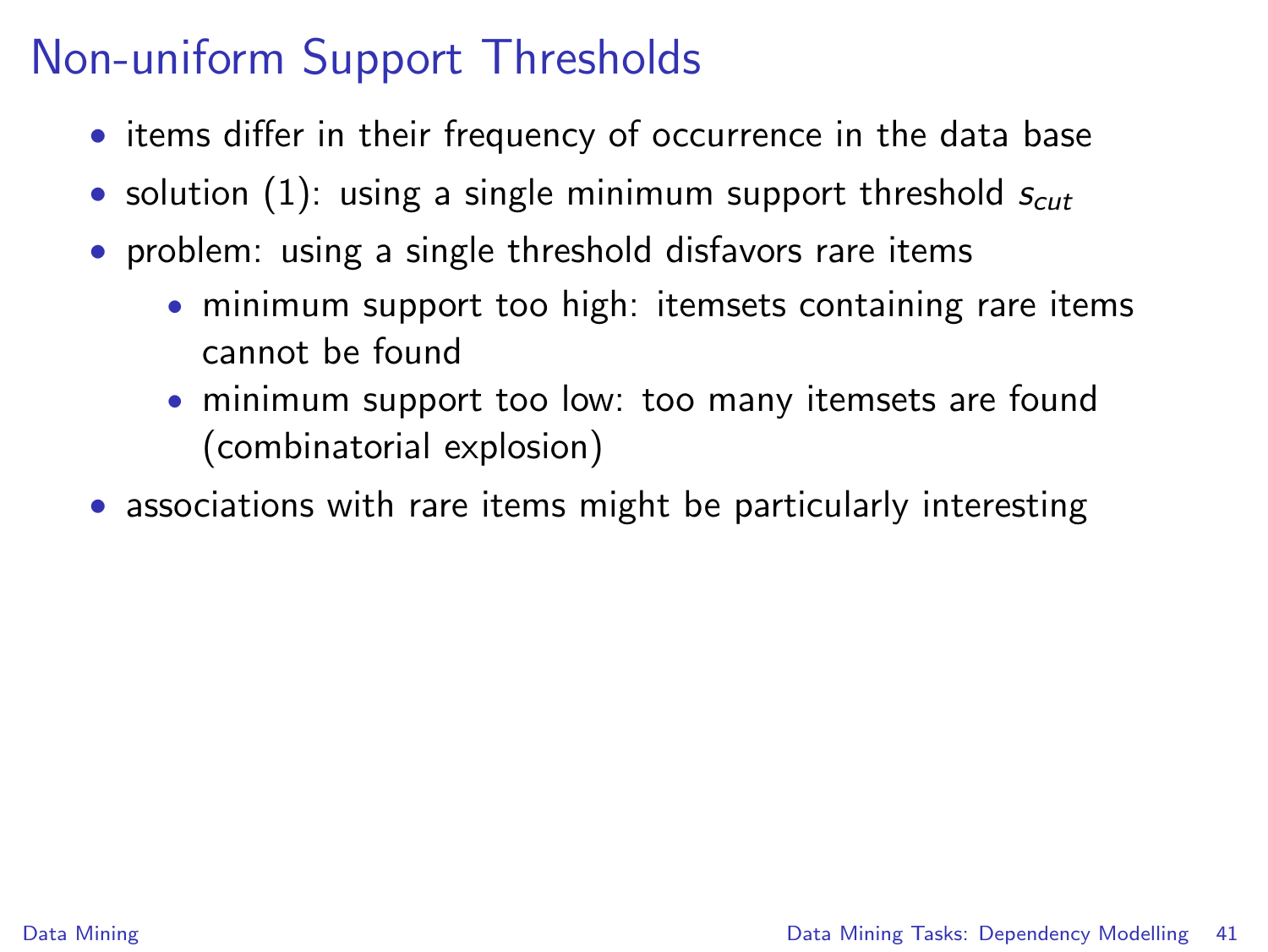- items differ in their frequency of occurrence in the data base
- solution (1): using a single minimum support threshold  $s_{cut}$
- problem: using a single threshold disfavors rare items
	- minimum support too high: itemsets containing rare items cannot be found
	- minimum support too low: too many itemsets are found (combinatorial explosion)
- associations with rare items might be particularly interesting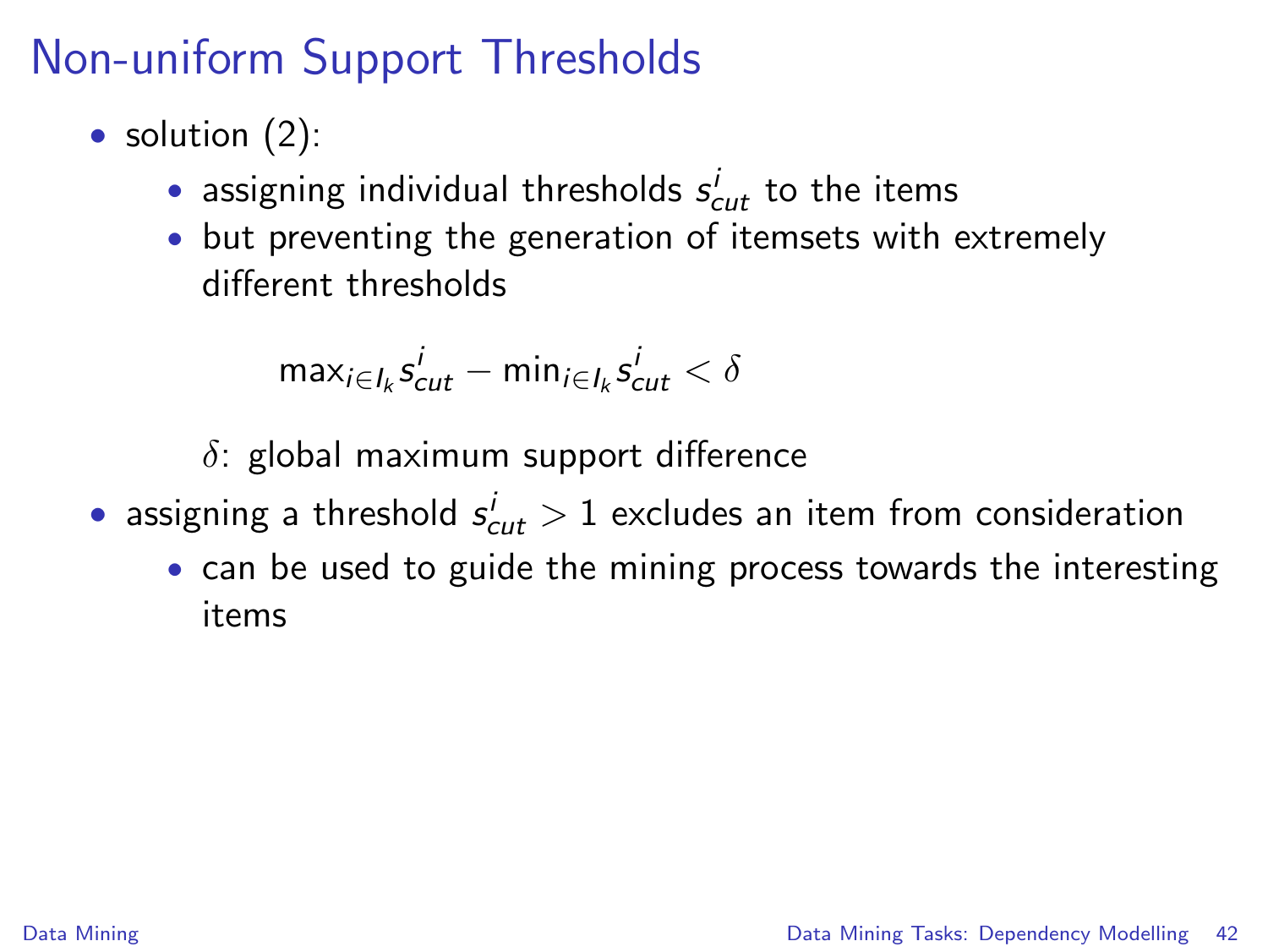- solution  $(2)$ :
	- $\bullet$  assigning individual thresholds  $s_{cut}^i$  to the items
	- but preventing the generation of itemsets with extremely different thresholds

$$
\text{max}_{i \in I_k} s^i_{cut} - \text{min}_{i \in I_k} s^i_{cut} < \delta
$$

 $\delta$ : global maximum support difference

- $\bullet$  assigning a threshold  $s^i_{cut} > 1$  excludes an item from consideration
	- can be used to guide the mining process towards the interesting items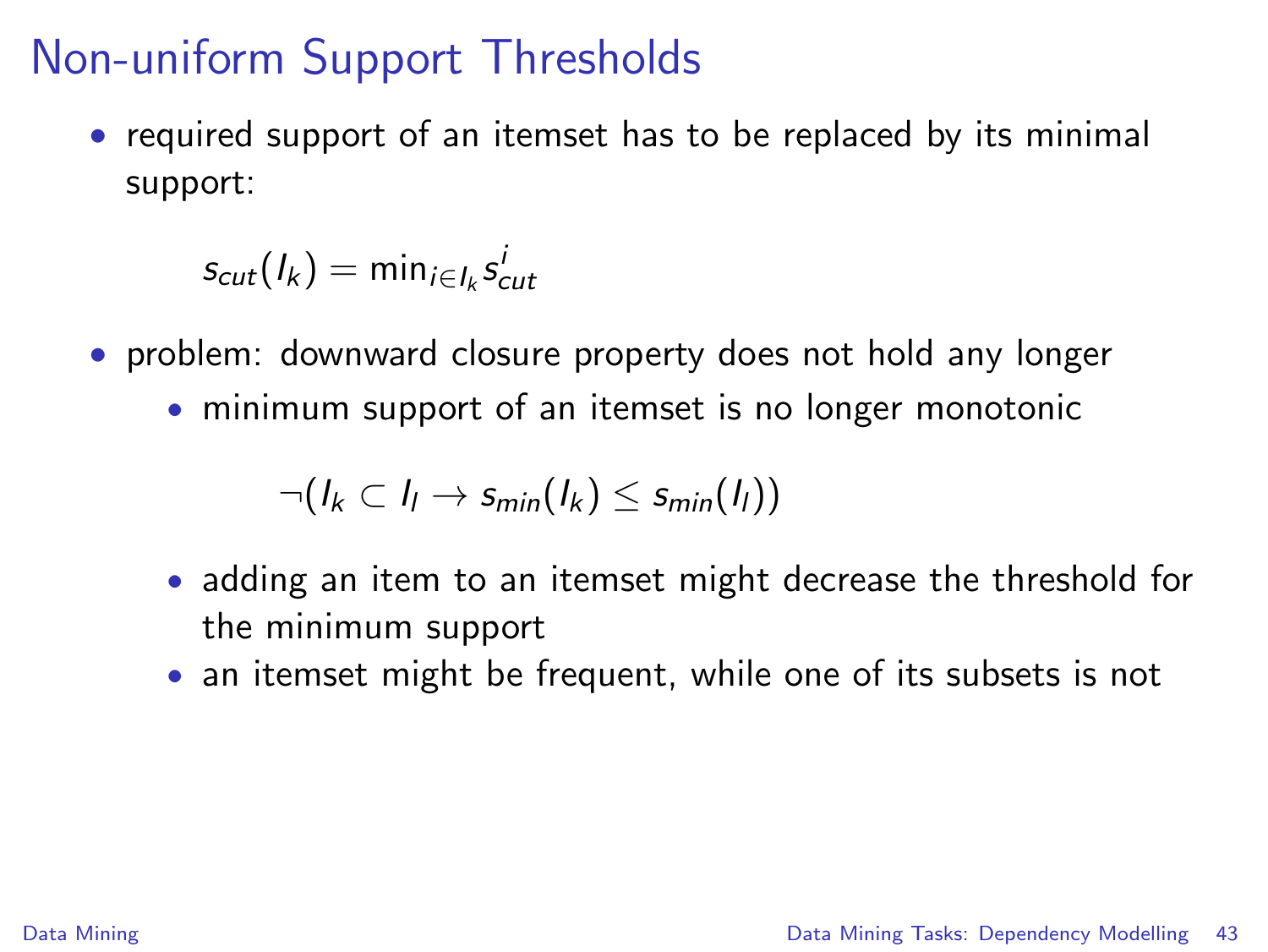• required support of an itemset has to be replaced by its minimal support:

 $s_{cut}(l_k) = \min_{i \in I_k} s_{cut}^i$ 

- problem: downward closure property does not hold any longer
	- minimum support of an itemset is no longer monotonic

$$
\neg (I_k \subset I_l \rightarrow s_{min}(I_k) \leq s_{min}(I_l))
$$

- adding an item to an itemset might decrease the threshold for the minimum support
- an itemset might be frequent, while one of its subsets is not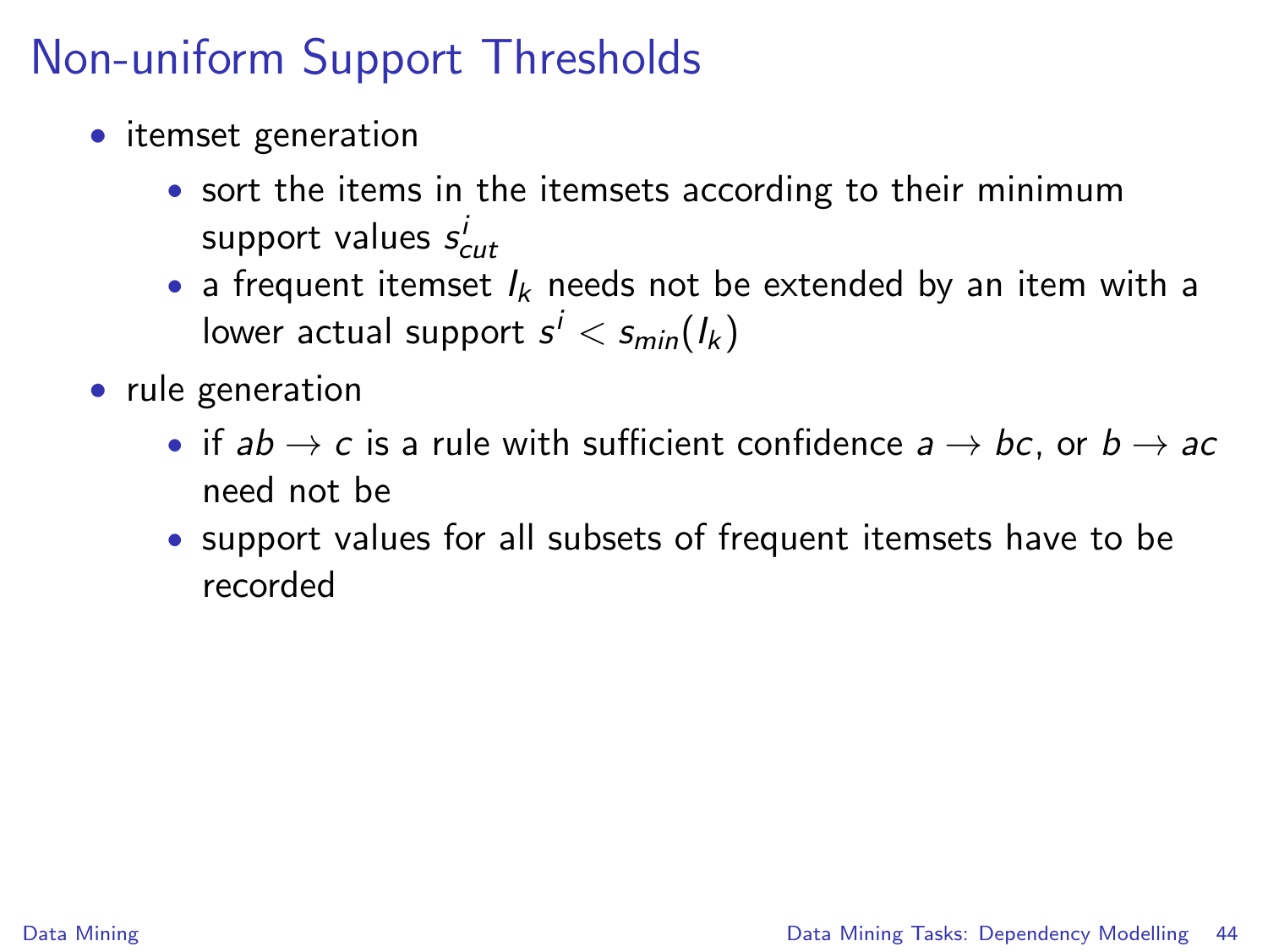- itemset generation
	- sort the items in the itemsets according to their minimum support values  $s^i_{cut}$
	- a frequent itemset  $I_k$  needs not be extended by an item with a lower actual support  $s^i < s_{min}(I_k)$
- rule generation
	- if  $ab \rightarrow c$  is a rule with sufficient confidence  $a \rightarrow bc$ , or  $b \rightarrow ac$ need not be
	- support values for all subsets of frequent itemsets have to be recorded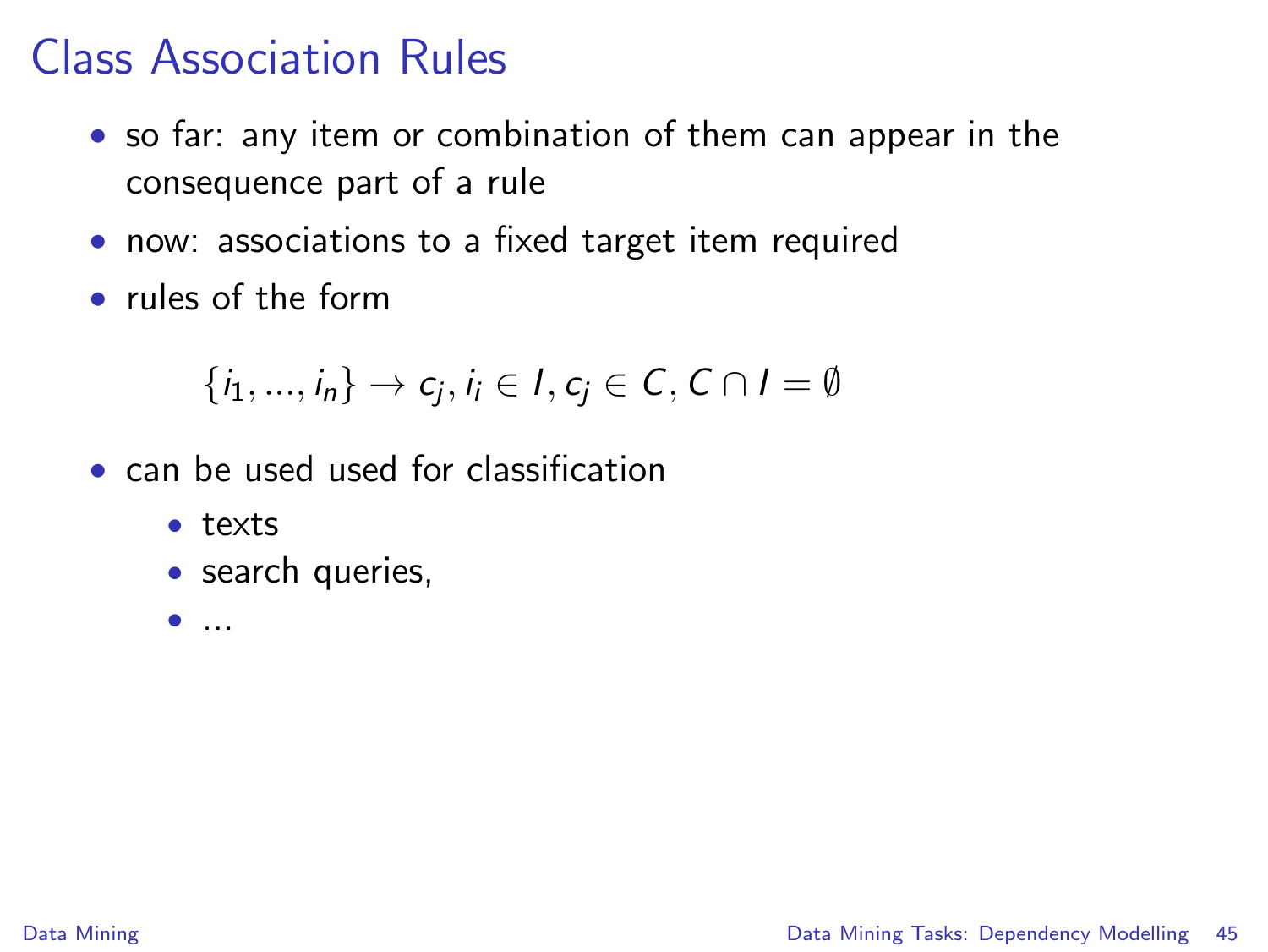#### Class Association Rules

- so far: any item or combination of them can appear in the consequence part of a rule
- now: associations to a fixed target item required
- rules of the form

$$
\{i_1,...,i_n\} \rightarrow c_j, i_i \in I, c_j \in C, C \cap I = \emptyset
$$

- can be used used for classification
	- texts
	- search queries,
	- $\bullet$  ...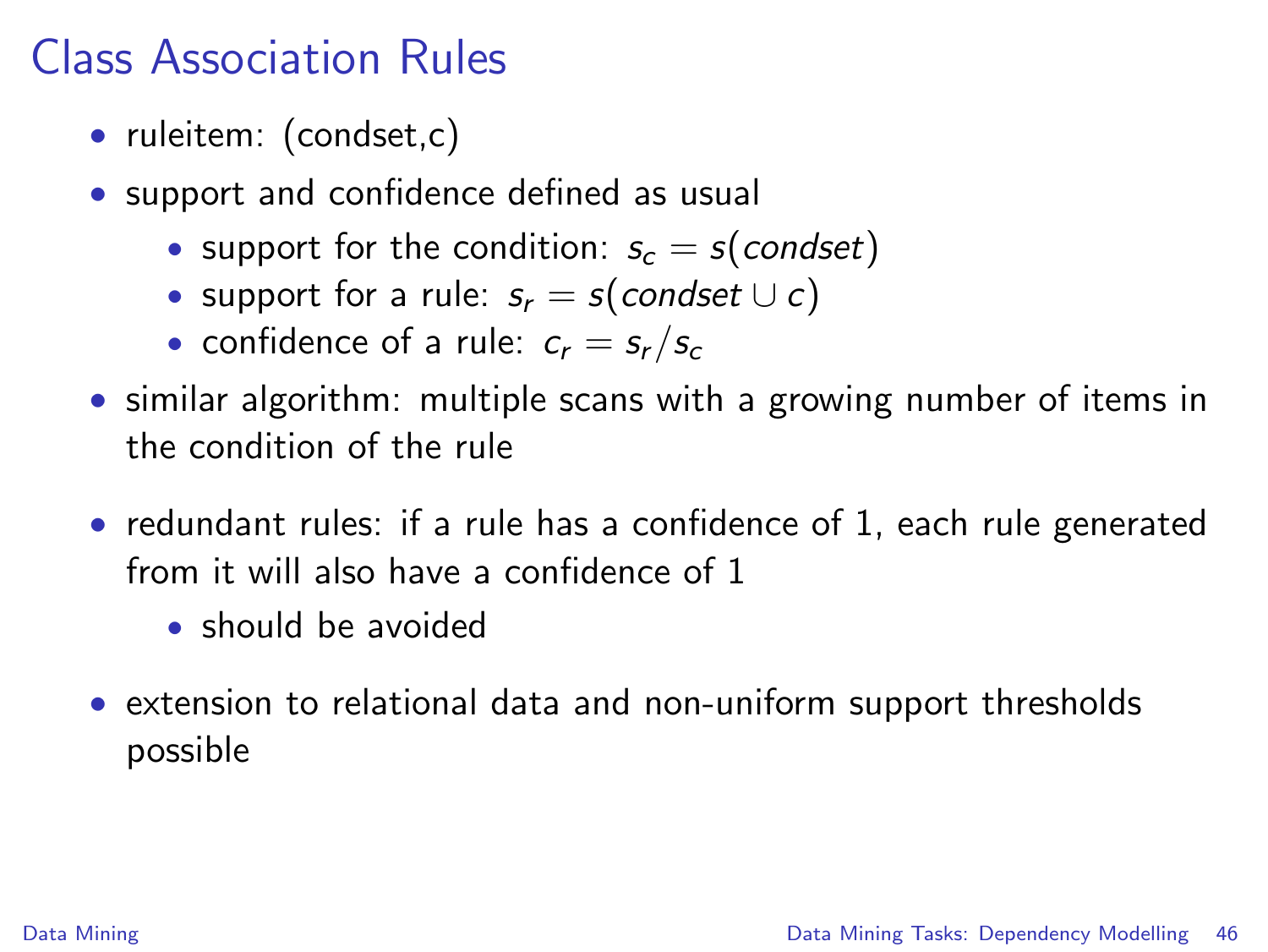## Class Association Rules

- ruleitem: (condset,c)
- support and confidence defined as usual
	- support for the condition:  $s_c = s$  (condset)
	- support for a rule:  $s_r = s$ (condset  $\cup c$ )
	- confidence of a rule:  $c_r = s_r / s_c$
- similar algorithm: multiple scans with a growing number of items in the condition of the rule
- redundant rules: if a rule has a confidence of 1, each rule generated from it will also have a confidence of 1
	- should be avoided
- extension to relational data and non-uniform support thresholds possible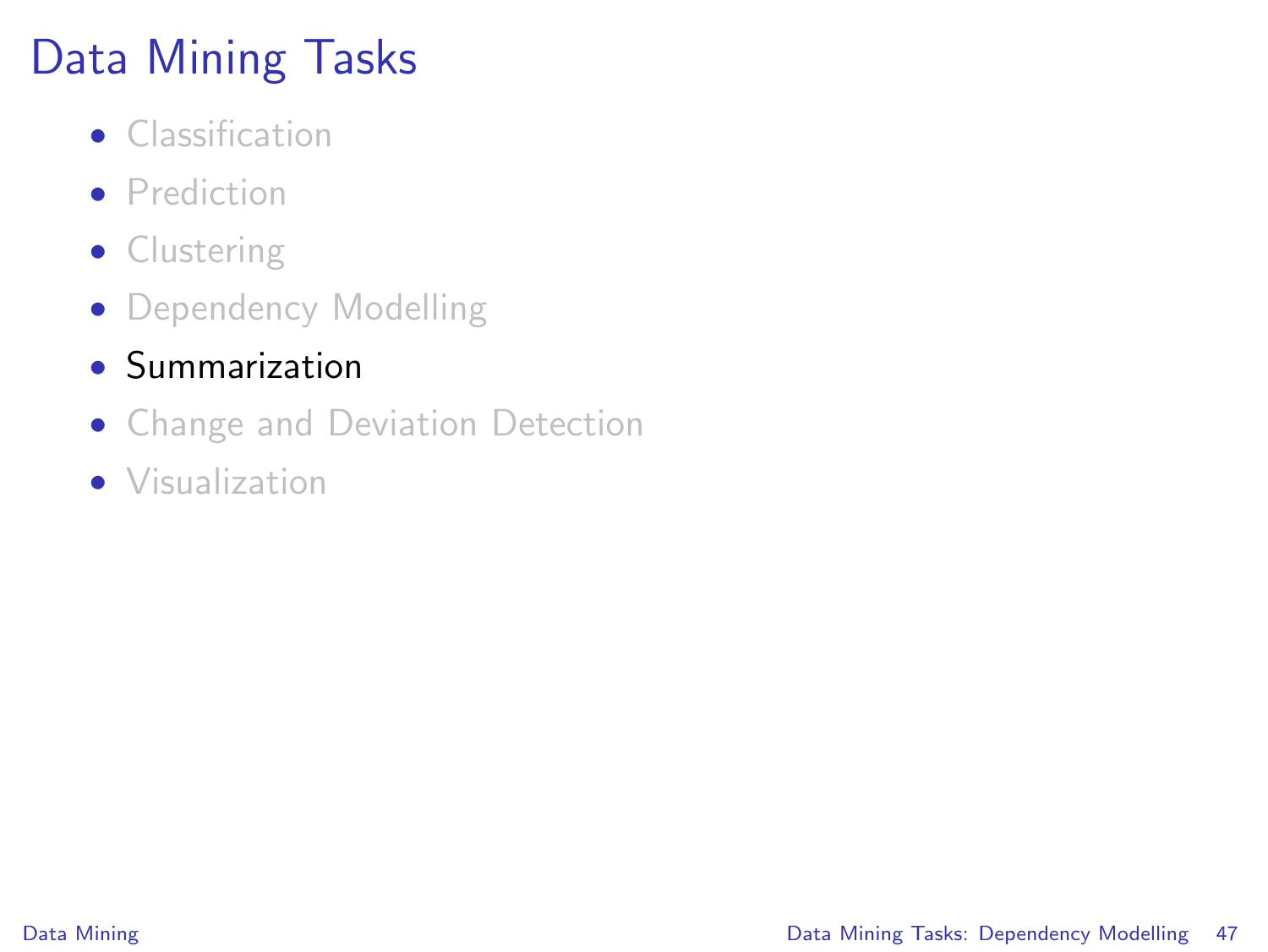# Data Mining Tasks

- Classification
- **•** Prediction
- Clustering
- Dependency Modelling
- Summarization
- Change and Deviation Detection
- Visualization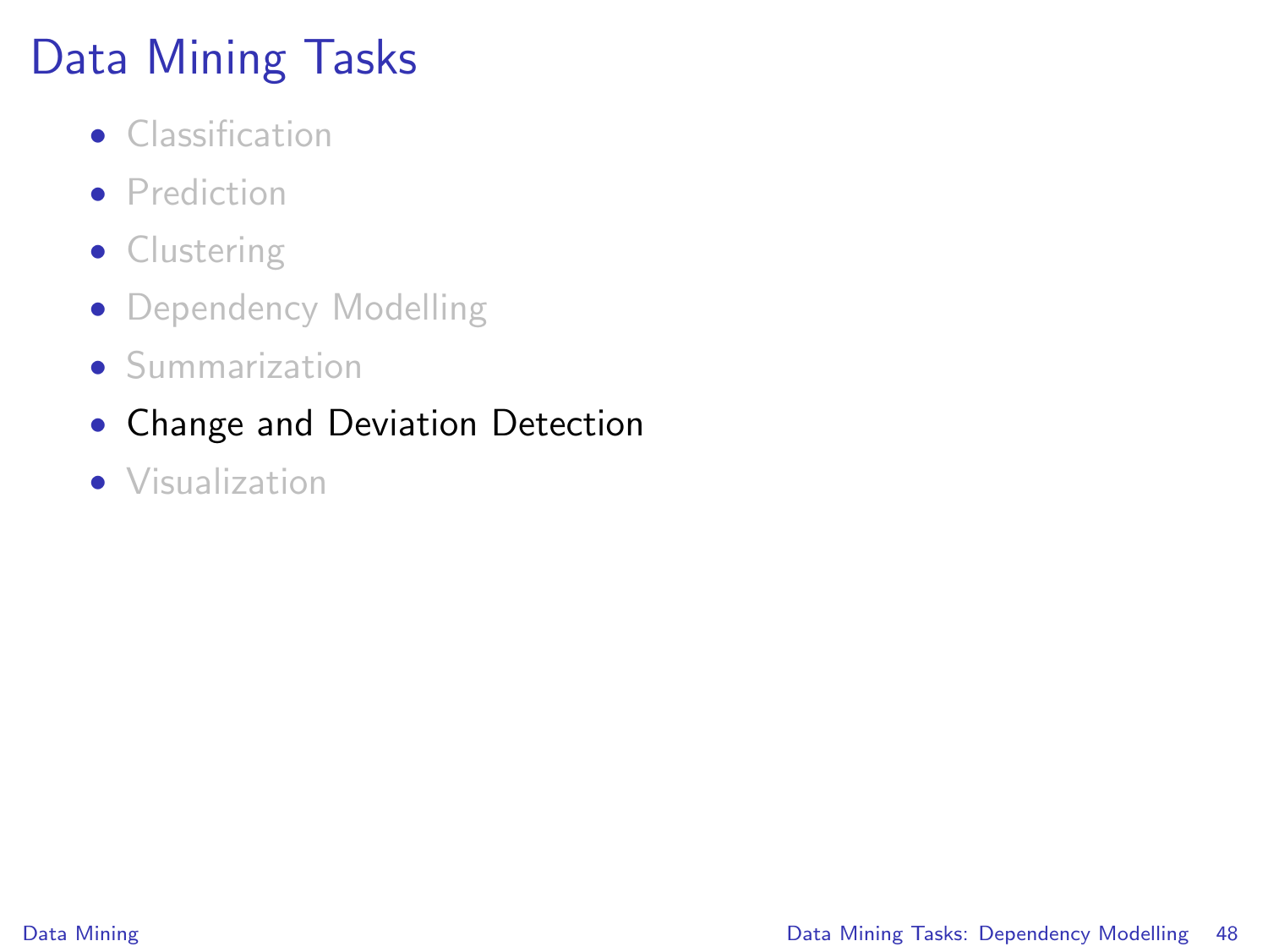# Data Mining Tasks

- Classification
- **•** Prediction
- Clustering
- Dependency Modelling
- Summarization
- Change and Deviation Detection
- Visualization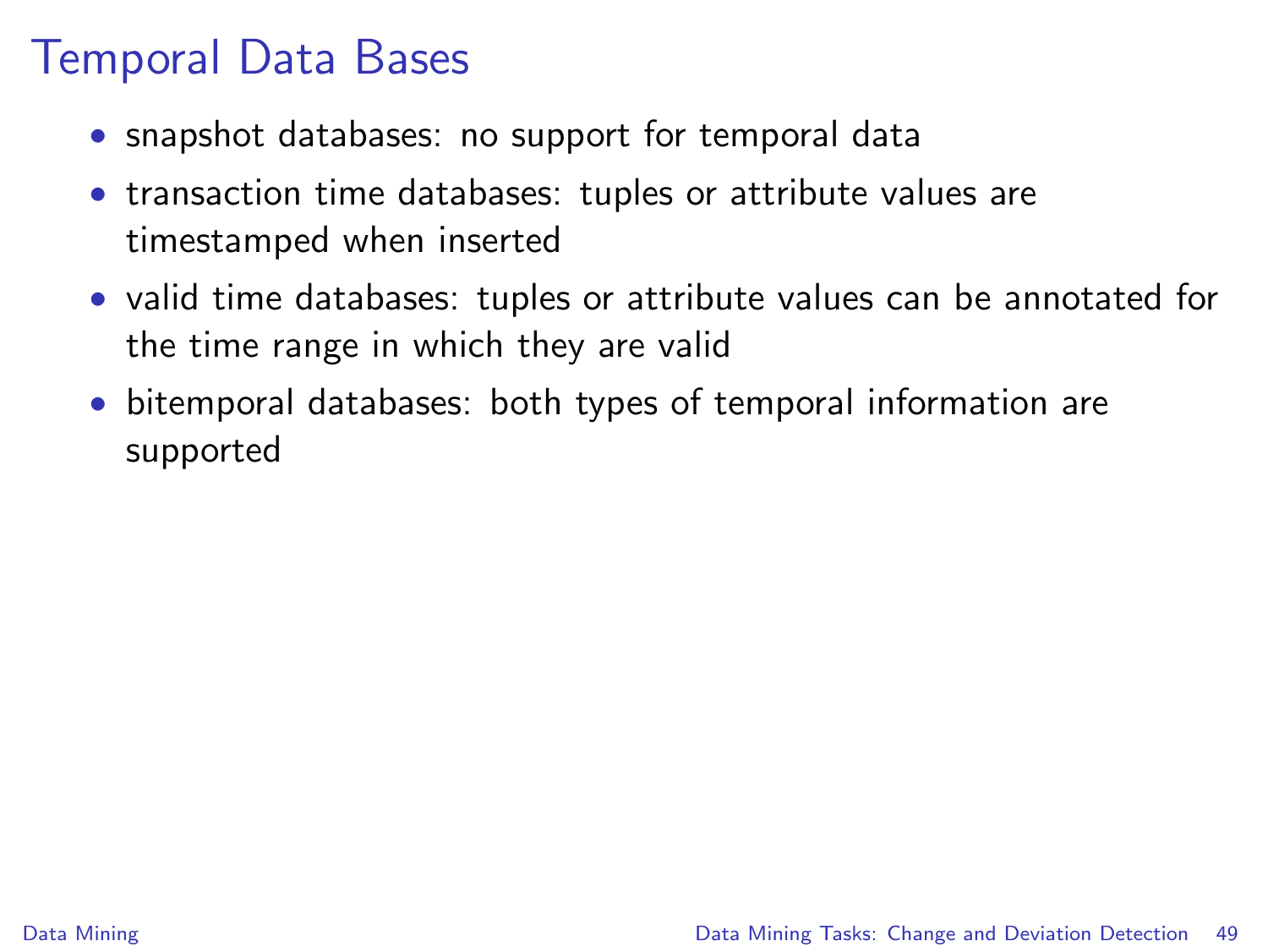#### Temporal Data Bases

- snapshot databases: no support for temporal data
- transaction time databases: tuples or attribute values are timestamped when inserted
- valid time databases: tuples or attribute values can be annotated for the time range in which they are valid
- <span id="page-48-0"></span>• bitemporal databases: both types of temporal information are supported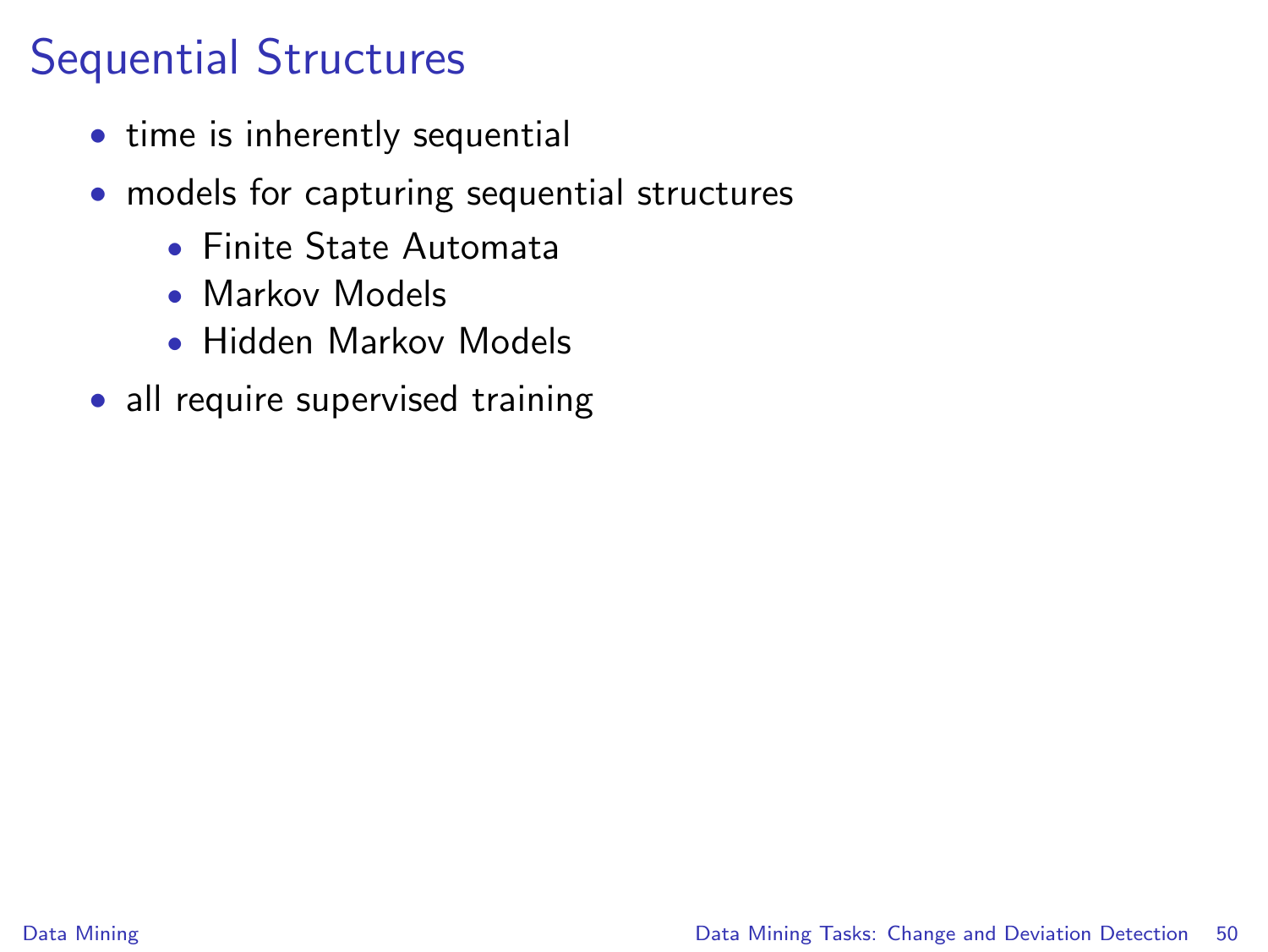## Sequential Structures

- time is inherently sequential
- models for capturing sequential structures
	- Finite State Automata
	- Markov Models
	- Hidden Markov Models
- all require supervised training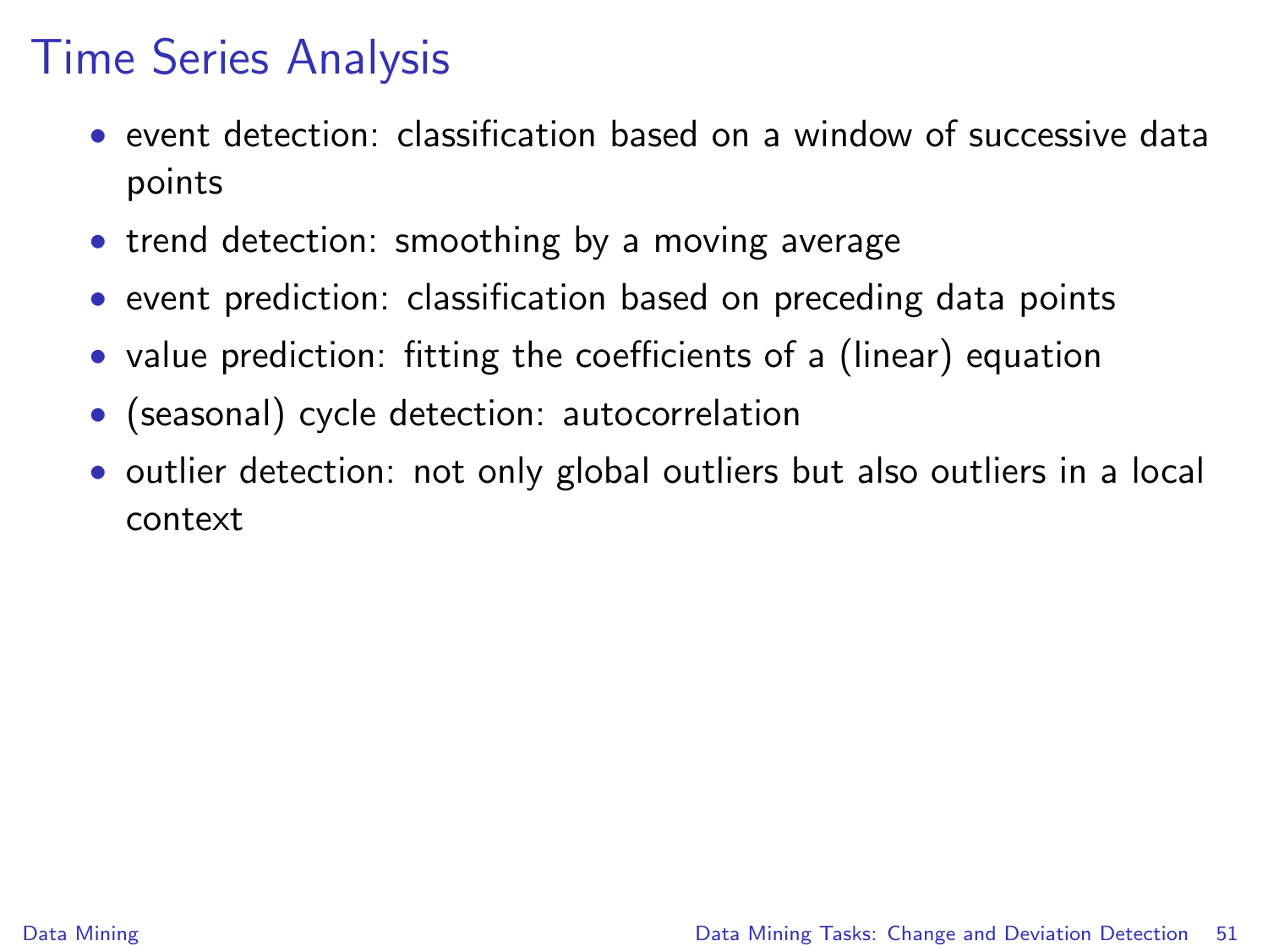## Time Series Analysis

- event detection: classification based on a window of successive data points
- trend detection: smoothing by a moving average
- event prediction: classification based on preceding data points
- value prediction: fitting the coefficients of a (linear) equation
- (seasonal) cycle detection: autocorrelation
- outlier detection: not only global outliers but also outliers in a local context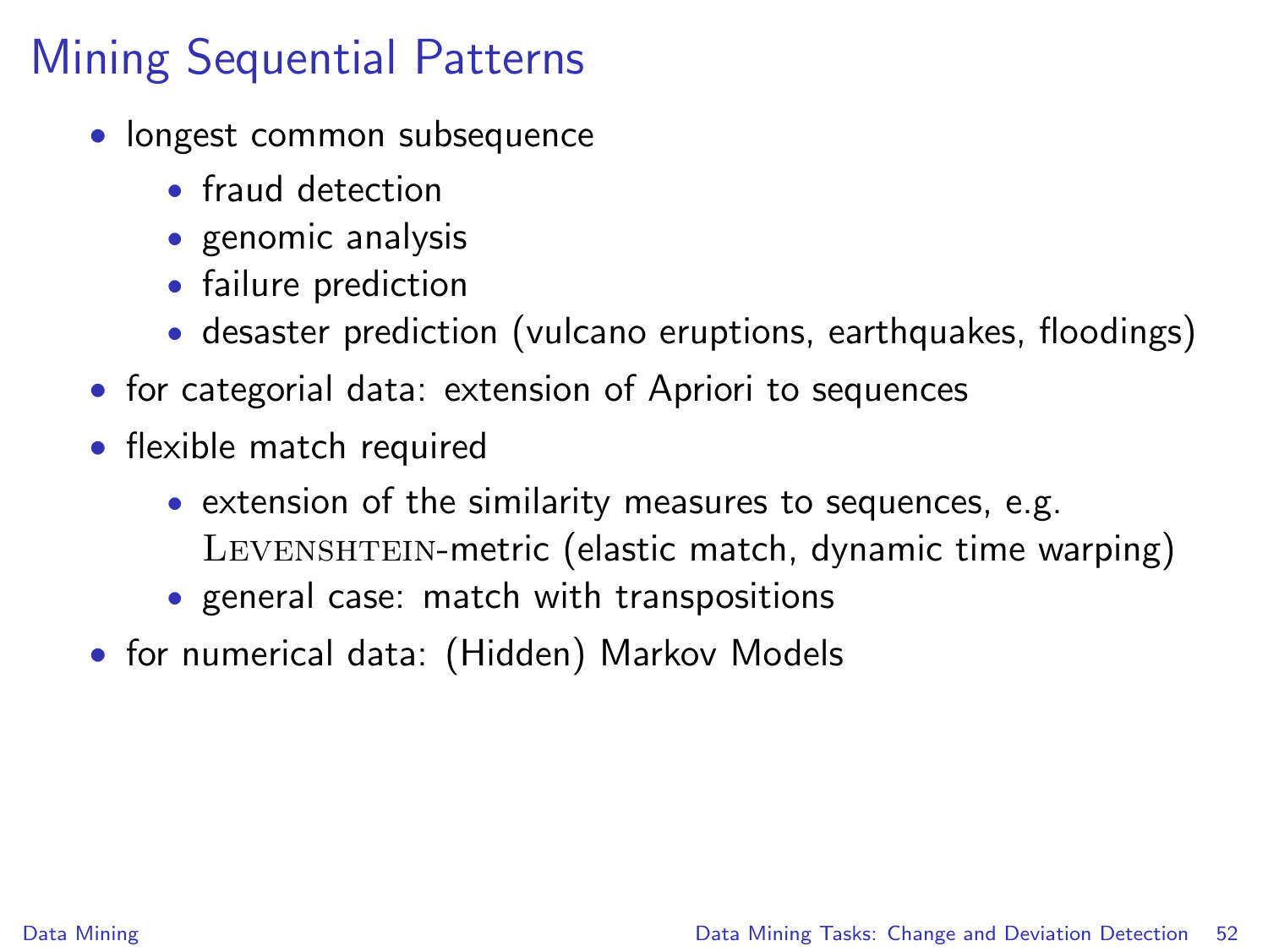- longest common subsequence
	- fraud detection
	- genomic analysis
	- failure prediction
	- desaster prediction (vulcano eruptions, earthquakes, floodings)
- for categorial data: extension of Apriori to sequences
- flexible match required
	- extension of the similarity measures to sequences, e.g. LEVENSHTEIN-metric (elastic match, dynamic time warping)
	- general case: match with transpositions
- for numerical data: (Hidden) Markov Models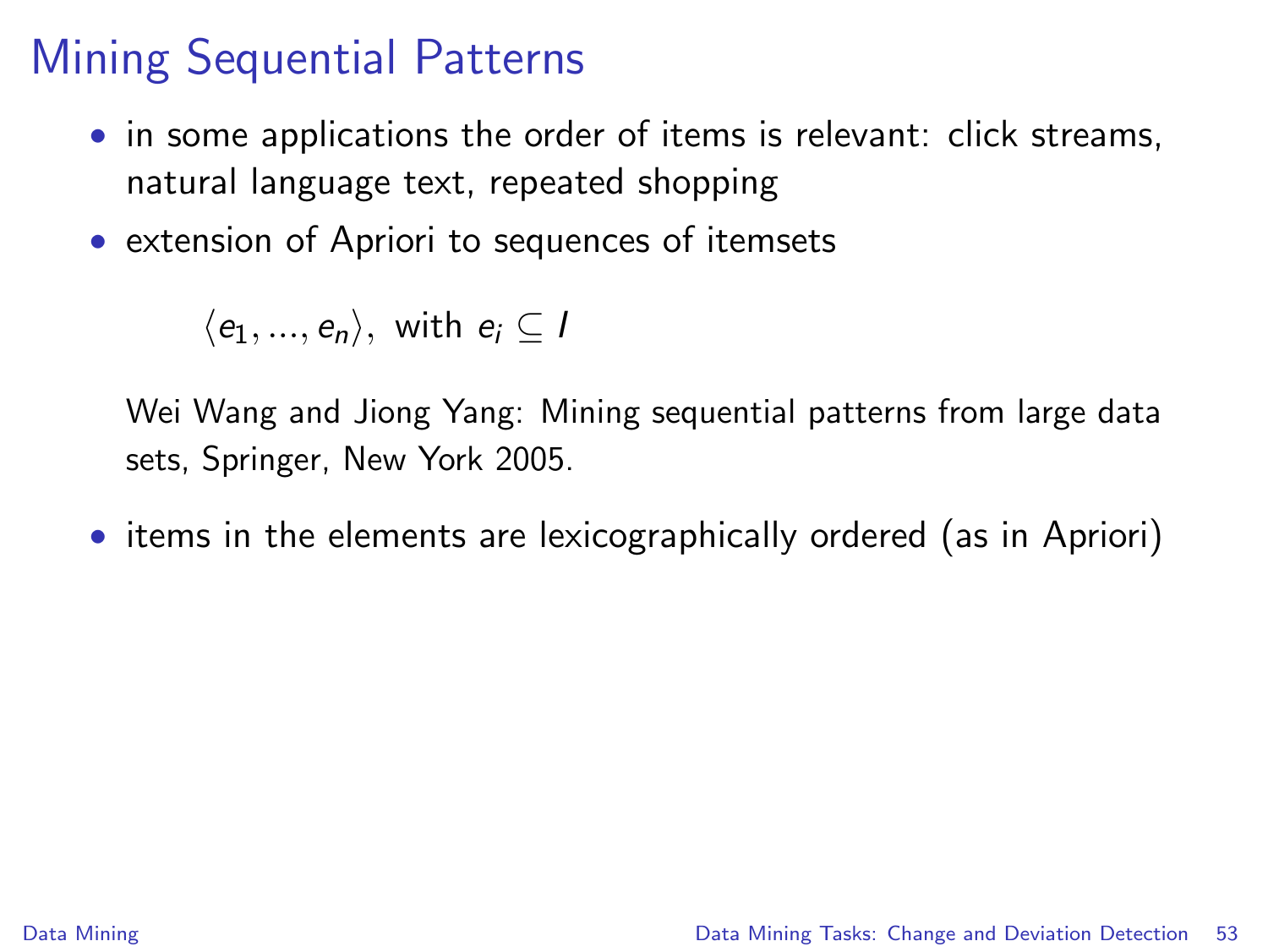- in some applications the order of items is relevant: click streams, natural language text, repeated shopping
- extension of Apriori to sequences of itemsets

 $\langle e_1, ..., e_n \rangle$ , with  $e_i \subset I$ 

Wei Wang and Jiong Yang: Mining sequential patterns from large data sets, Springer, New York 2005.

• items in the elements are lexicographically ordered (as in Apriori)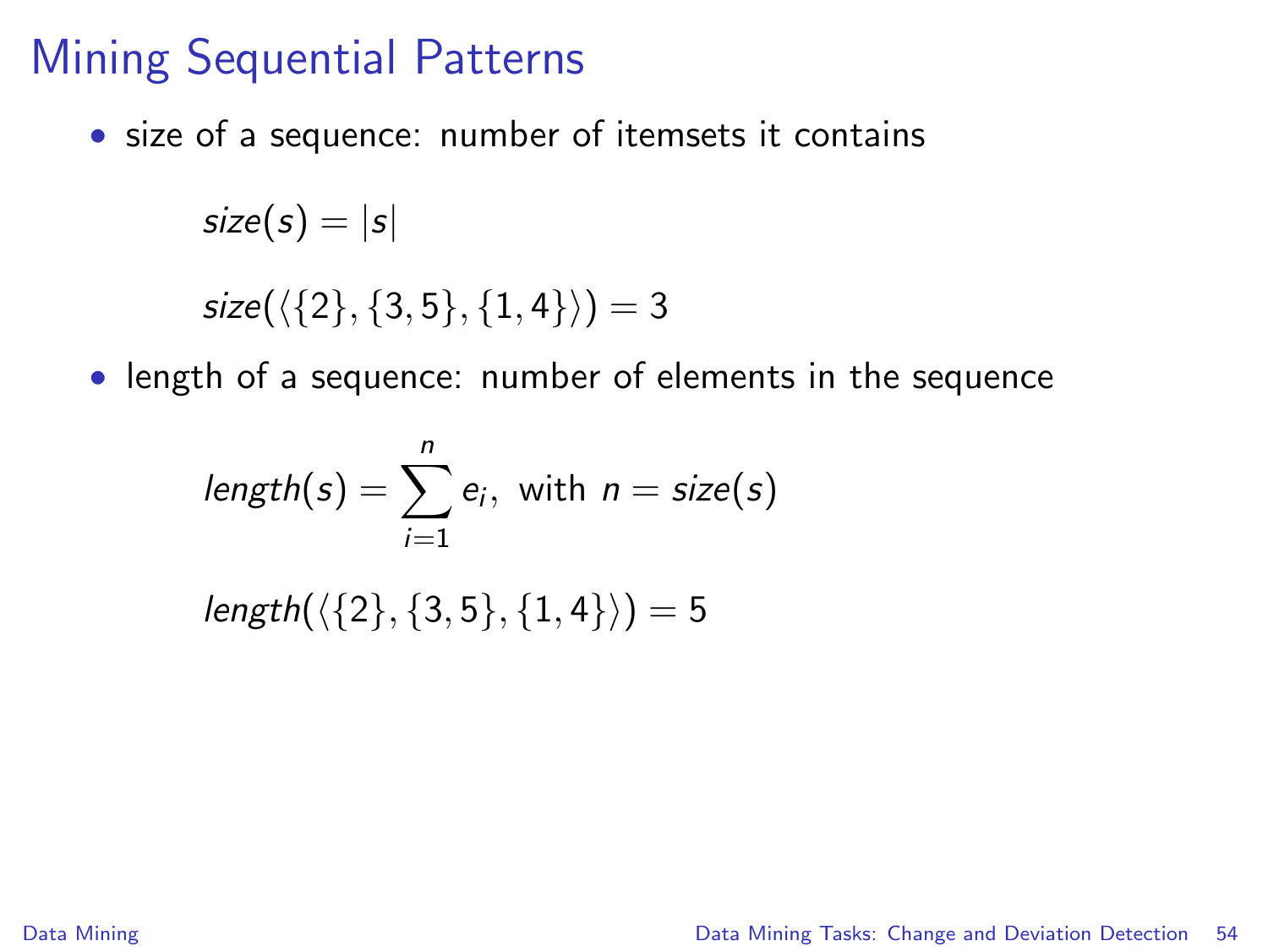• size of a sequence: number of itemsets it contains

```
size(s) = |s|size(\langle \{2\}, \{3, 5\}, \{1, 4\}\rangle) = 3
```
• length of a sequence: number of elements in the sequence

$$
length(s) = \sum_{i=1}^{n} e_i
$$
, with  $n = size(s)$ 

 $length({\{2\}, \{3, 5\}, \{1, 4\}}) = 5$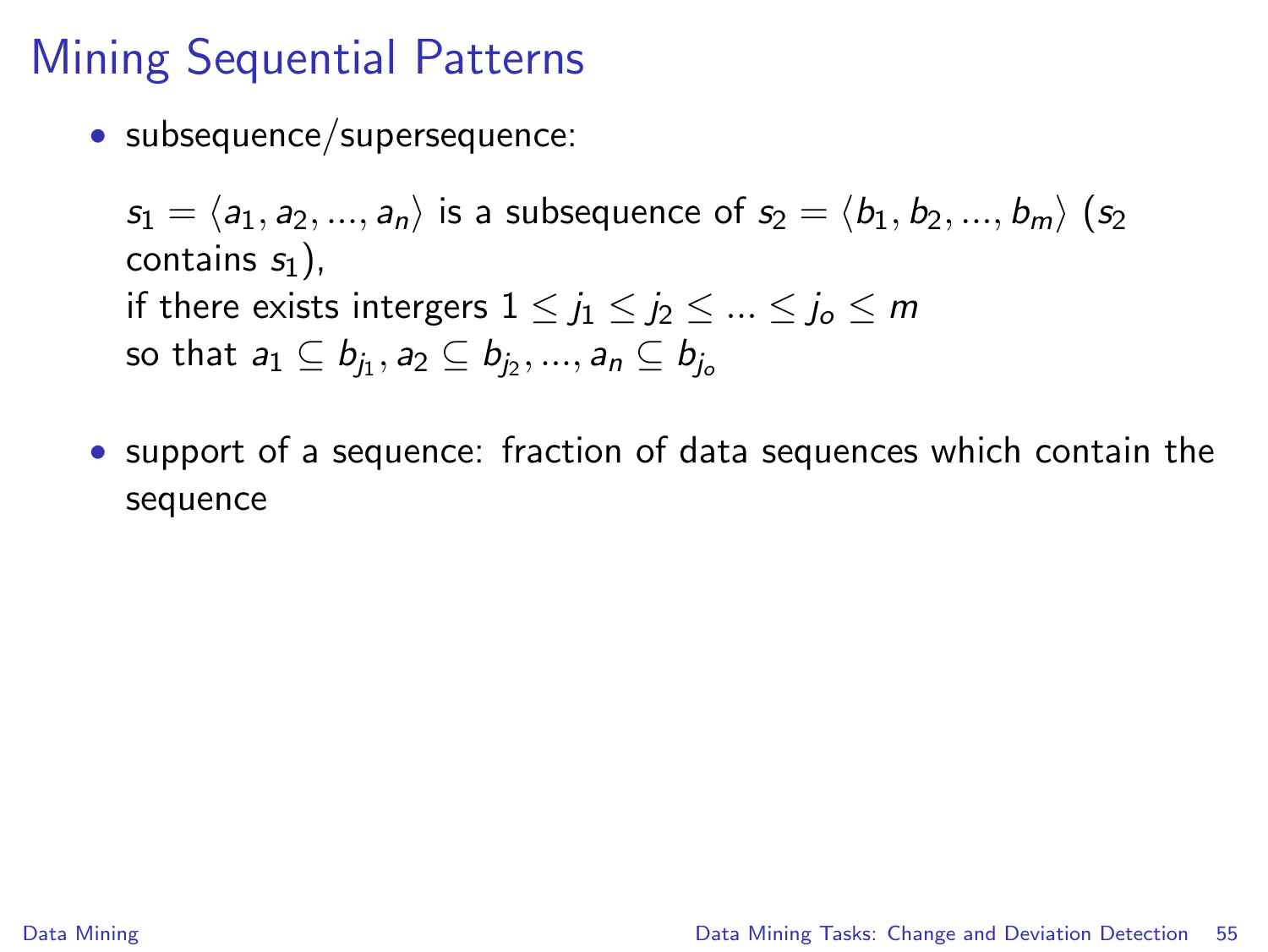• subsequence/supersequence:

 $s_1 = \langle a_1, a_2, ..., a_n \rangle$  is a subsequence of  $s_2 = \langle b_1, b_2, ..., b_m \rangle$  (s<sub>2</sub>) contains  $s_1$ ), if there exists intergers  $1 \leq j_1 \leq j_2 \leq ... \leq j_o \leq m$ so that  $a_1\subseteq b_{j_1}, a_2\subseteq b_{j_2},..., a_n\subseteq b_{j_o}$ 

• support of a sequence: fraction of data sequences which contain the sequence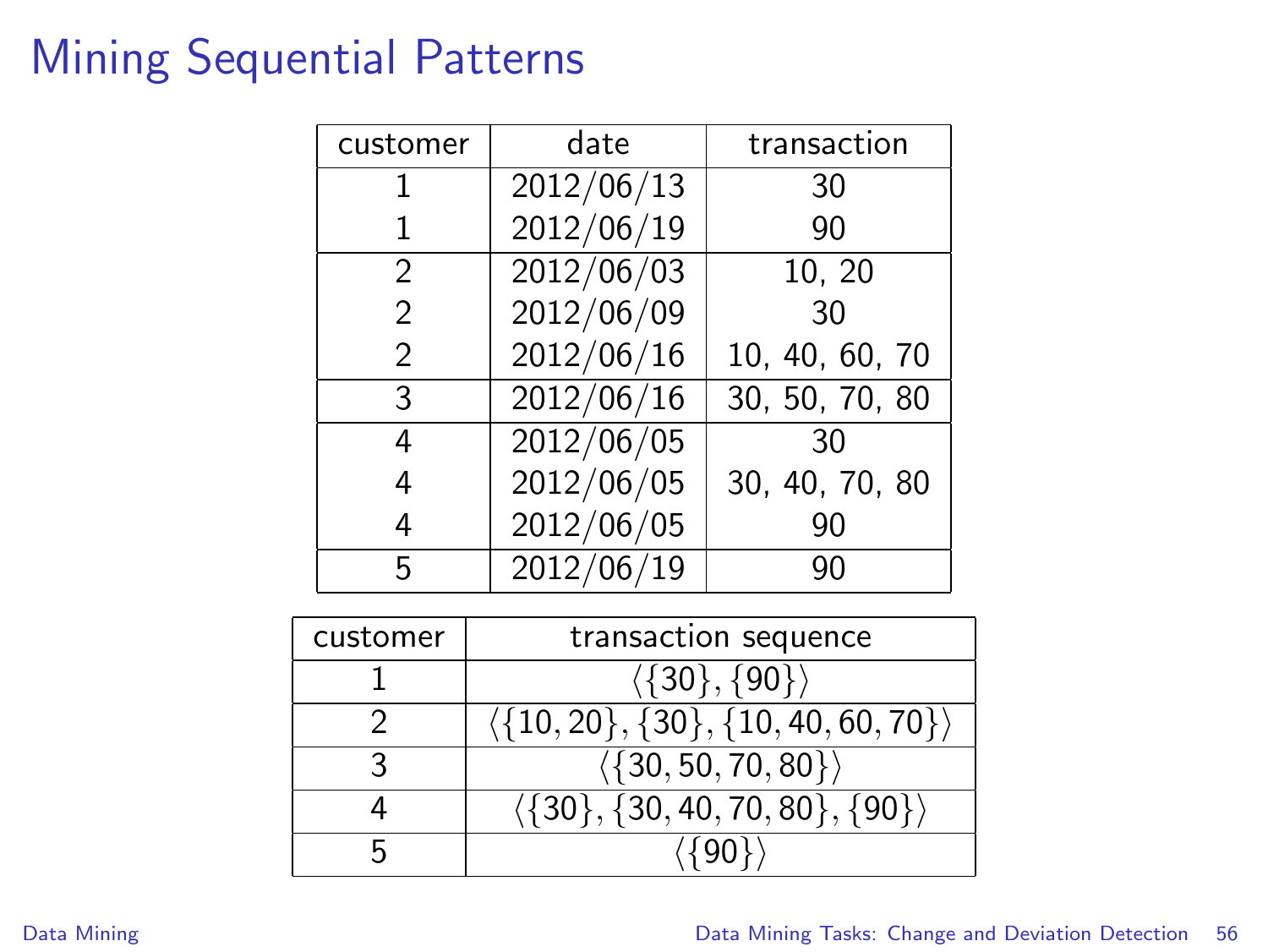| customer      | date       | transaction    |
|---------------|------------|----------------|
|               | 2012/06/13 | 30             |
|               | 2012/06/19 | 90             |
| 2             | 2012/06/03 | 10, 20         |
| $\mathcal{P}$ | 2012/06/09 | 30             |
| $\mathcal{P}$ | 2012/06/16 | 10, 40, 60, 70 |
| 3             | 2012/06/16 | 30, 50, 70, 80 |
| 4             | 2012/06/05 | 30             |
| 4             | 2012/06/05 | 30, 40, 70, 80 |
| 4             | 2012/06/05 | 90             |
| 5             | 2012/06/19 | 90             |

| customer | transaction sequence                                     |  |
|----------|----------------------------------------------------------|--|
|          | $\langle \{30\}, \overline{\{90\}} \rangle$              |  |
|          | $\langle \{10, 20\}, \{30\}, \{10, 40, 60, 70\} \rangle$ |  |
|          | $\langle \{30, 50, 70, 80\} \rangle$                     |  |
|          | $\langle \{30\}, \{30, 40, 70, 80\}, \{90\} \rangle$     |  |
|          |                                                          |  |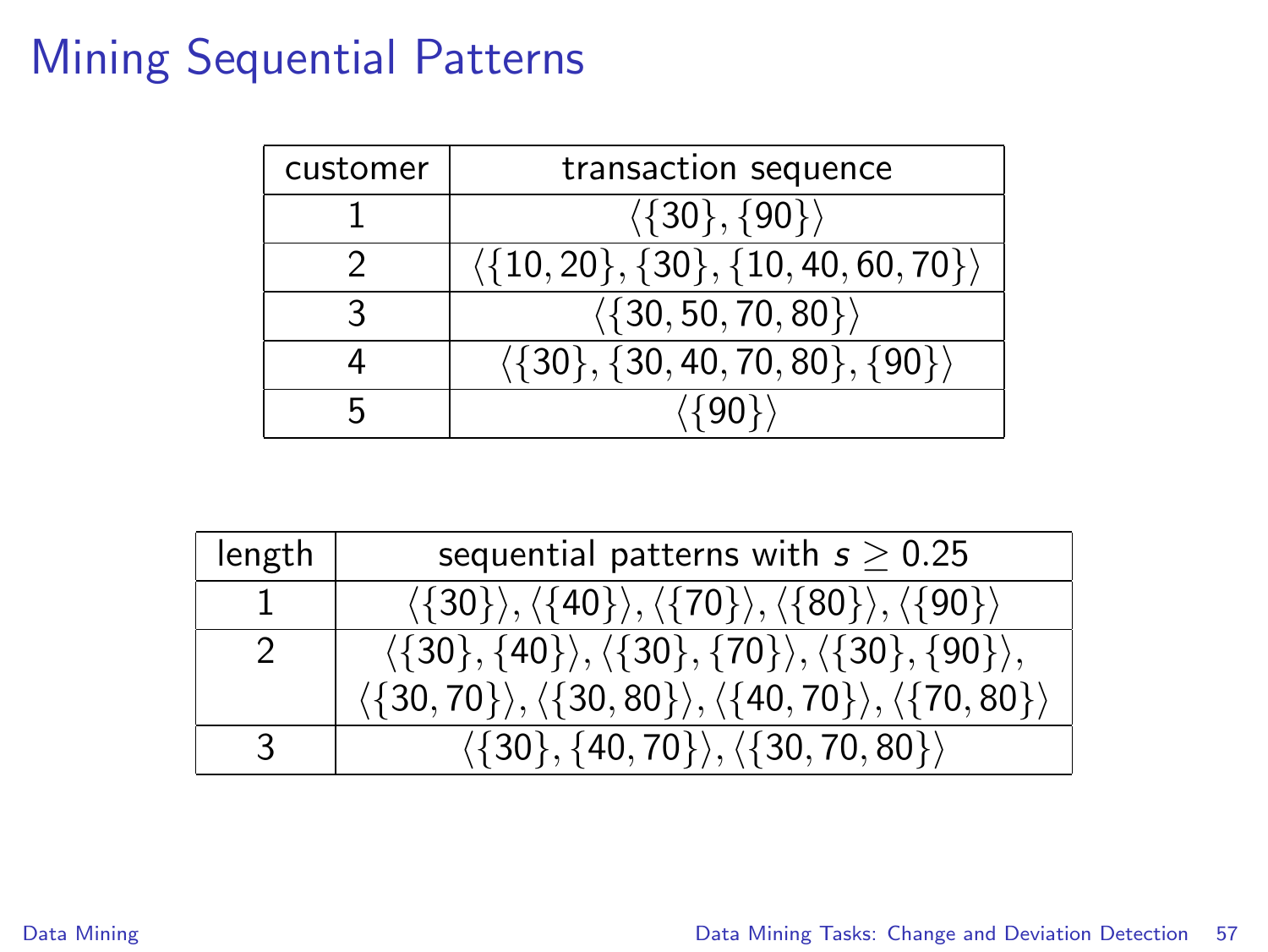| customer | transaction sequence                                     |  |
|----------|----------------------------------------------------------|--|
|          | $\langle \{30\}, \{90\} \rangle$                         |  |
|          | $\langle \{10, 20\}, \{30\}, \{10, 40, 60, 70\} \rangle$ |  |
|          | $\langle \{30, 50, 70, 80\} \rangle$                     |  |
|          | $\langle \{30\}, \{30, 40, 70, 80\}, \{90\} \rangle$     |  |
|          |                                                          |  |

| length | sequential patterns with $s \geq 0.25$                                                                                   |
|--------|--------------------------------------------------------------------------------------------------------------------------|
|        | $\langle \{30\} \rangle, \langle \{40\} \rangle, \langle \{70\} \rangle, \langle \{80\} \rangle, \langle \{90\} \rangle$ |
| 2      | $\langle \{30\}, \{40\} \rangle, \langle \{30\}, \{70\} \rangle, \langle \{30\}, \{90\} \rangle,$                        |
|        | $\langle \{30,70\} \rangle, \langle \{30,80\} \rangle, \langle \{40,70\} \rangle, \langle \{70,80\} \rangle$             |
| 3      | $\langle \{30\}, \{40, 70\} \rangle, \langle \{30, 70, 80\} \rangle$                                                     |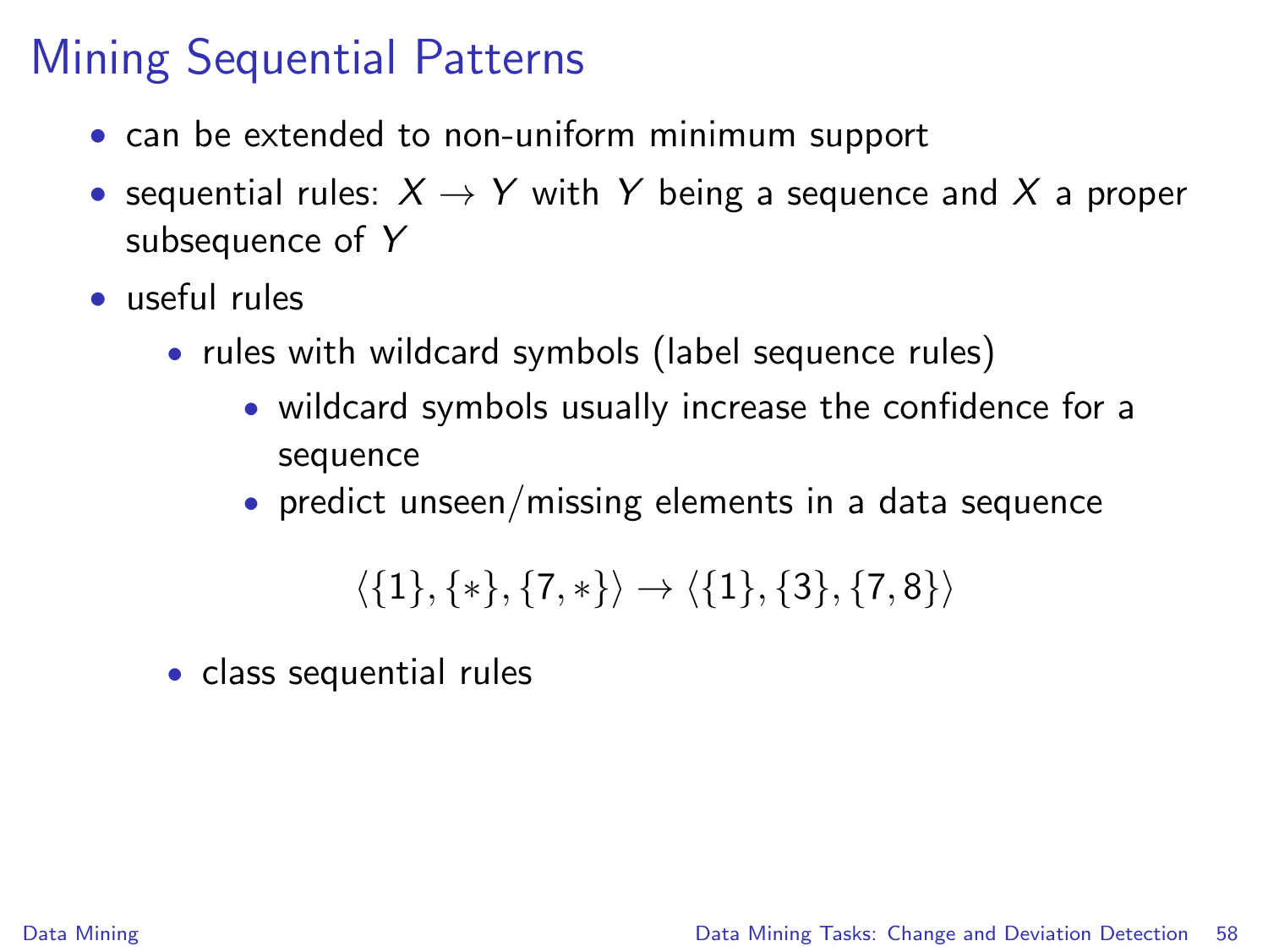- can be extended to non-uniform minimum support
- sequential rules:  $X \rightarrow Y$  with Y being a sequence and X a proper subsequence of Y
- useful rules
	- rules with wildcard symbols (label sequence rules)
		- wildcard symbols usually increase the confidence for a sequence
		- predict unseen/missing elements in a data sequence

$$
\langle \{1\}, \{*\}, \{7,*\} \rangle \rightarrow \langle \{1\}, \{3\}, \{7,8\} \rangle
$$

• class sequential rules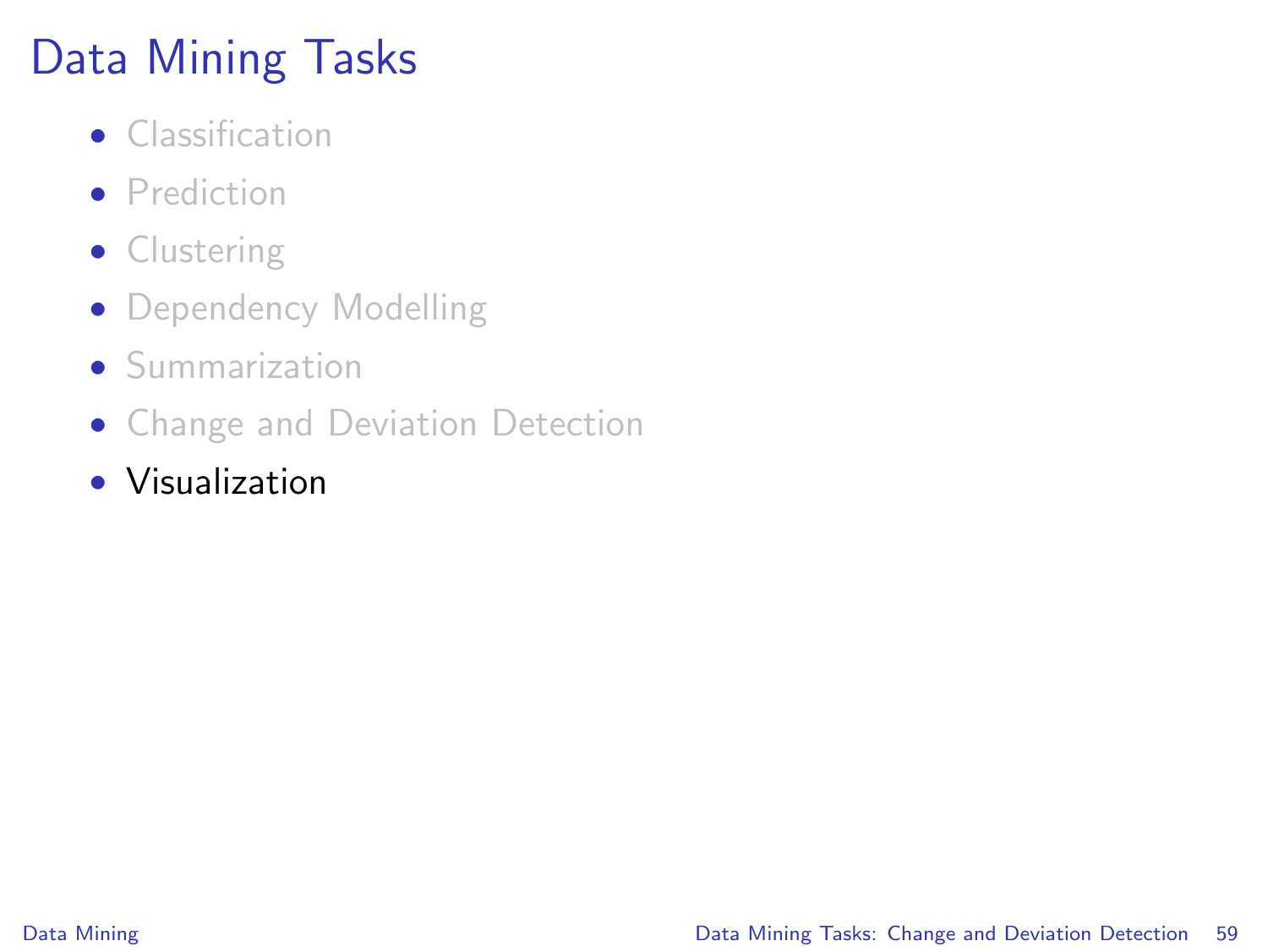# Data Mining Tasks

- Classification
- **•** Prediction
- Clustering
- Dependency Modelling
- Summarization
- Change and Deviation Detection
- Visualization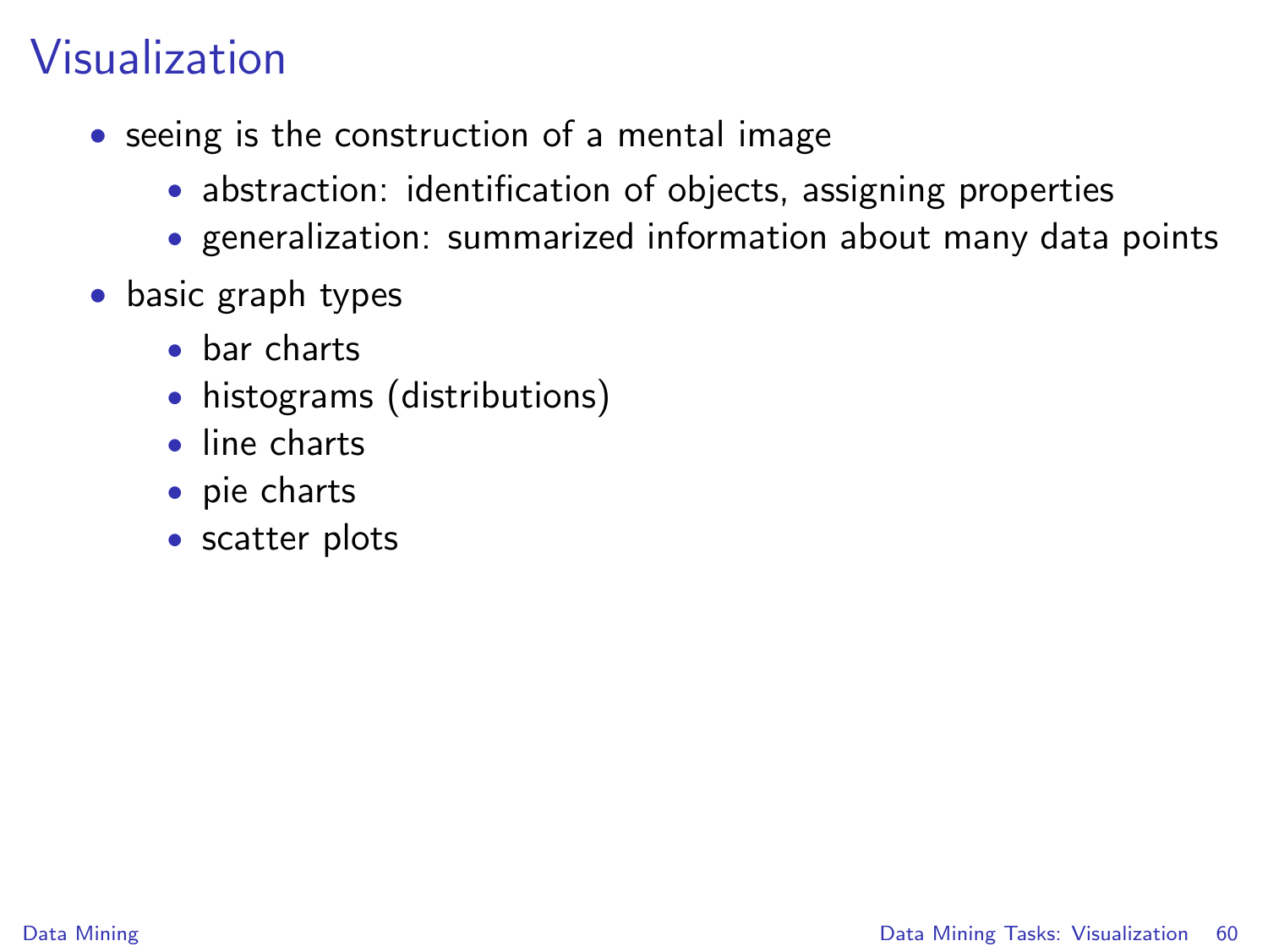# Visualization

- seeing is the construction of a mental image
	- abstraction: identification of objects, assigning properties
	- generalization: summarized information about many data points
- <span id="page-59-0"></span>• basic graph types
	- bar charts
	- histograms (distributions)
	- line charts
	- pie charts
	- scatter plots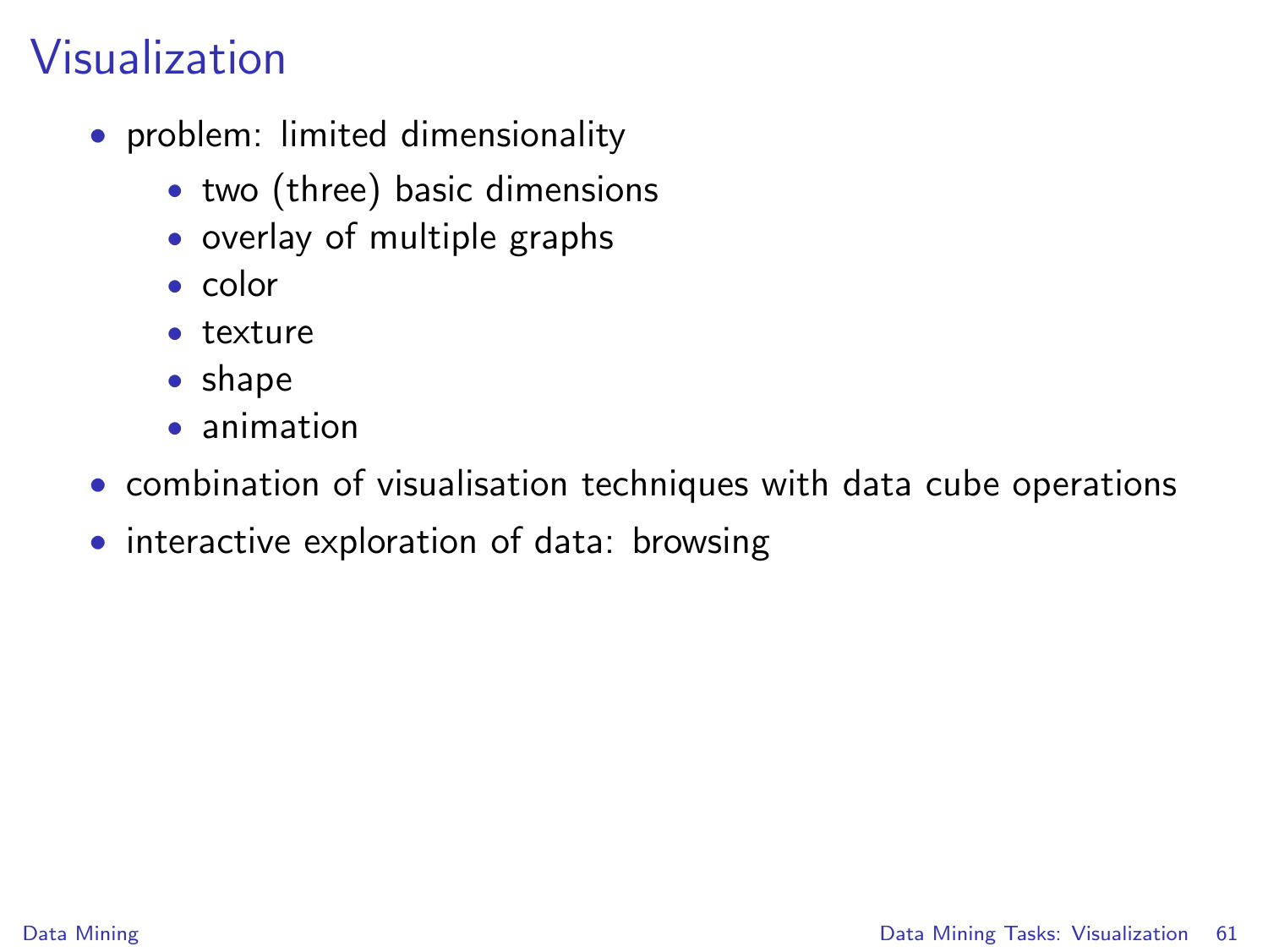# Visualization

- problem: limited dimensionality
	- two (three) basic dimensions
	- overlay of multiple graphs
	- color
	- texture
	- shape
	- animation
- combination of visualisation techniques with data cube operations
- interactive exploration of data: browsing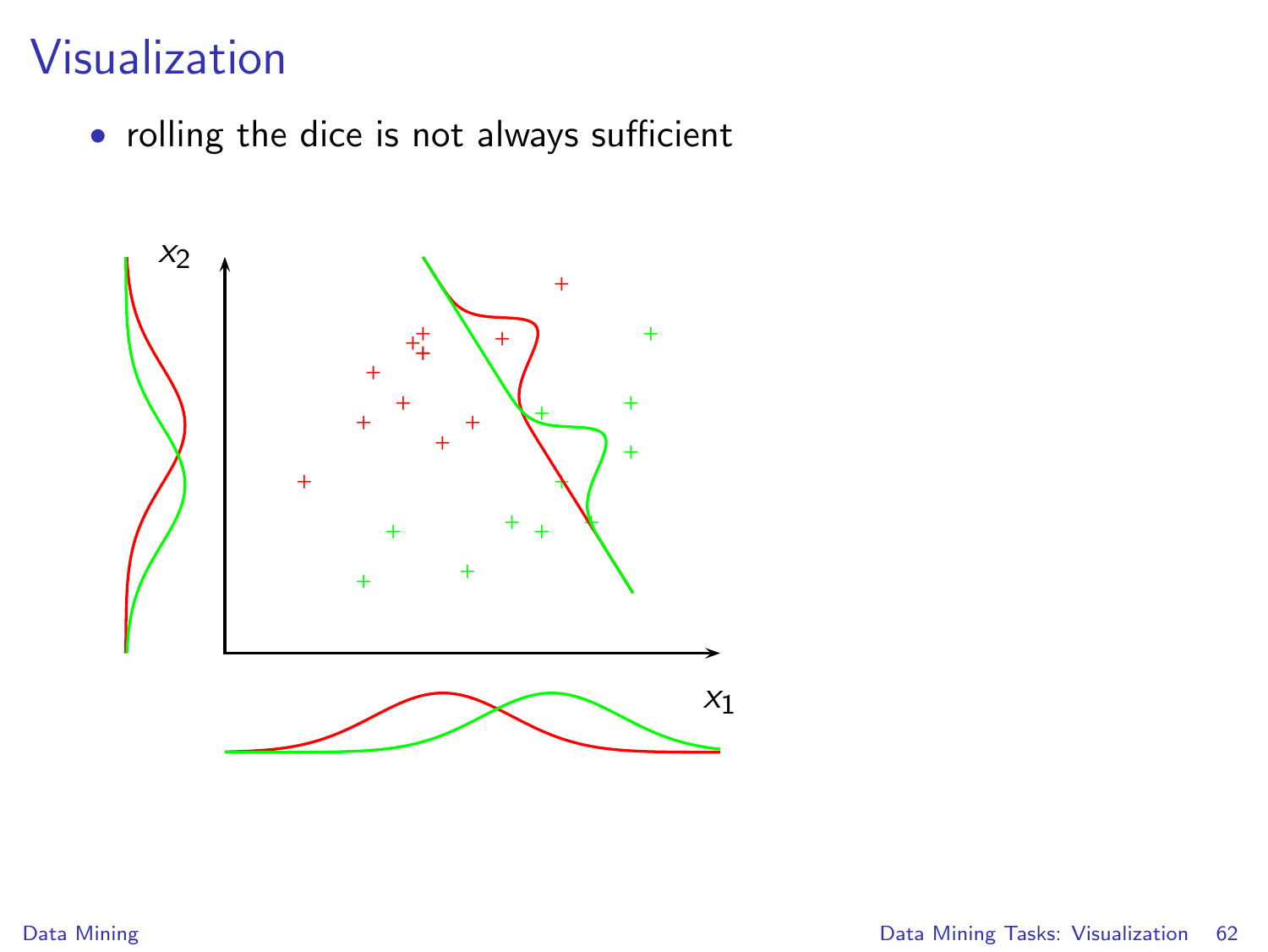#### Visualization

• rolling the dice is not always sufficient

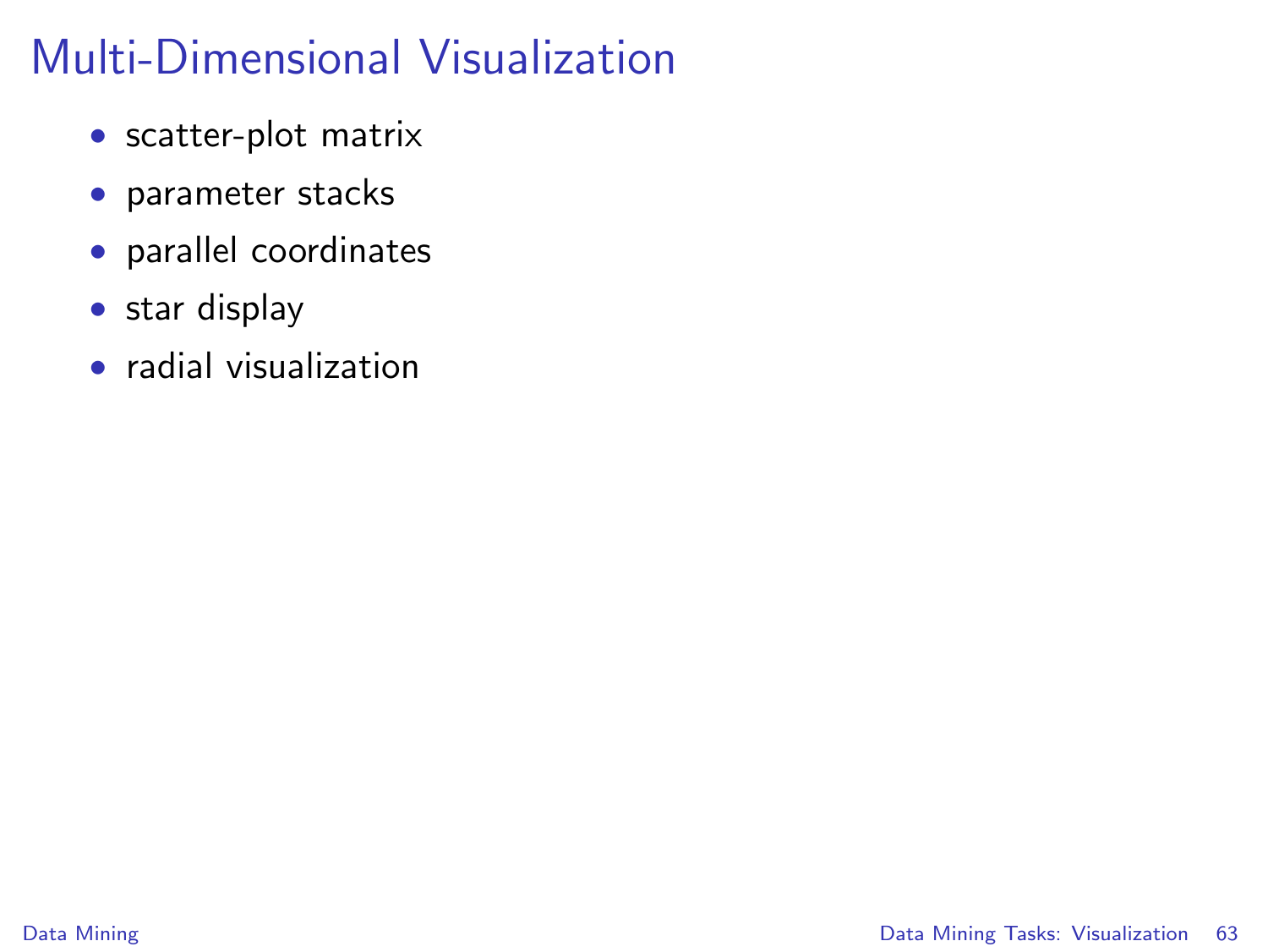# Multi-Dimensional Visualization

- scatter-plot matrix
- parameter stacks
- parallel coordinates
- star display
- radial visualization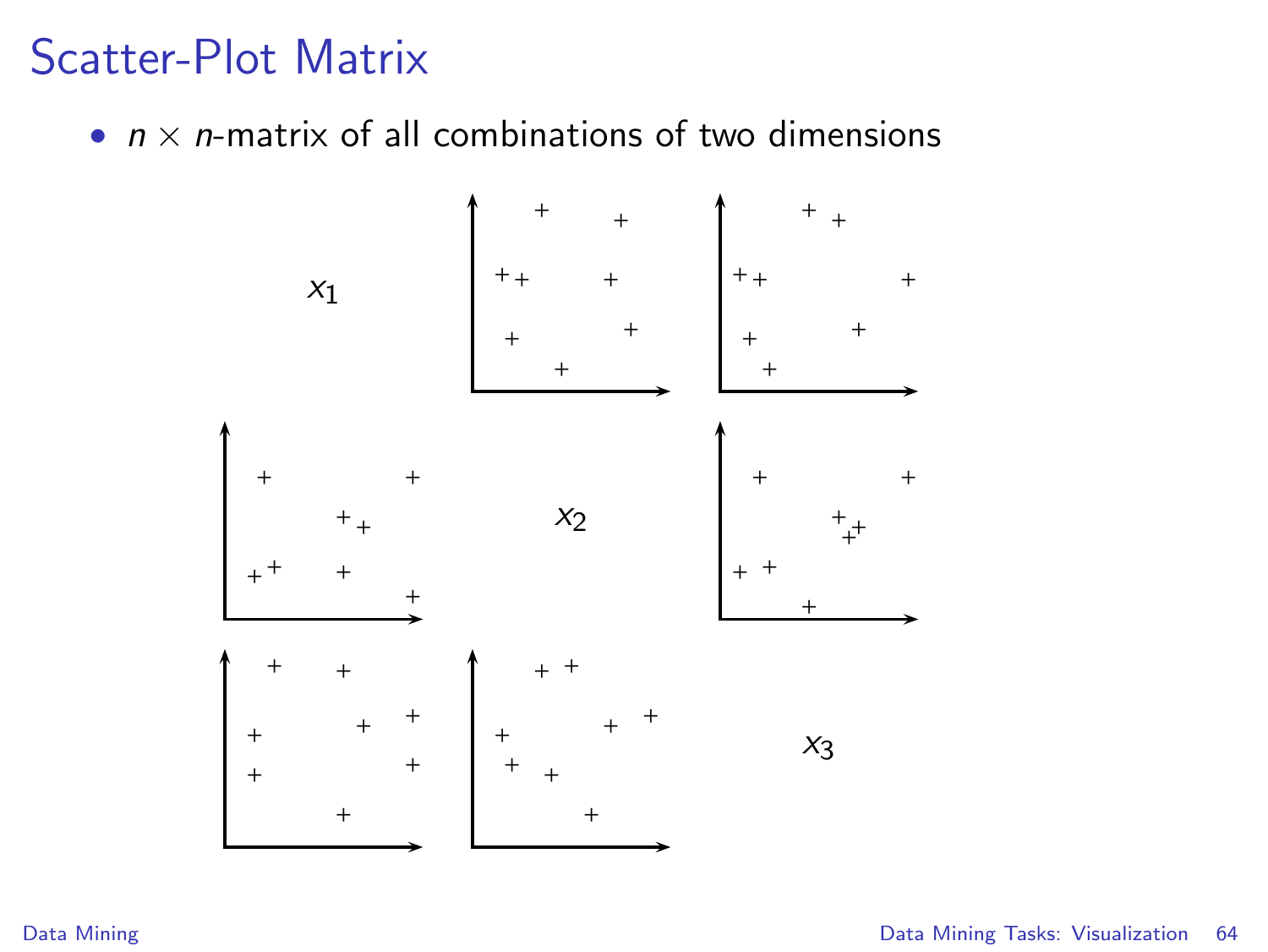#### Scatter-Plot Matrix

•  $n \times n$ -matrix of all combinations of two dimensions

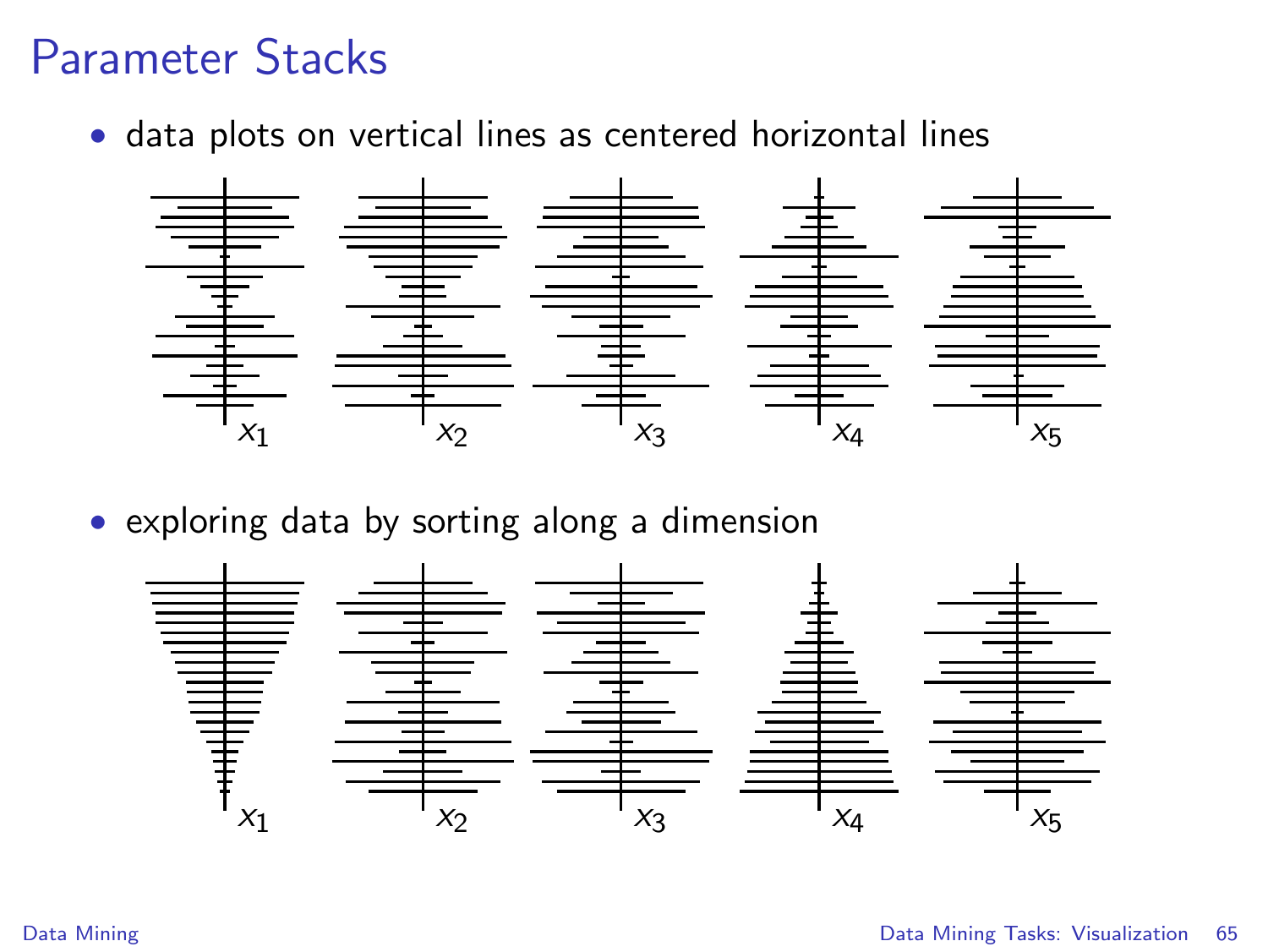#### Parameter Stacks

• data plots on vertical lines as centered horizontal lines



• exploring data by sorting along a dimension

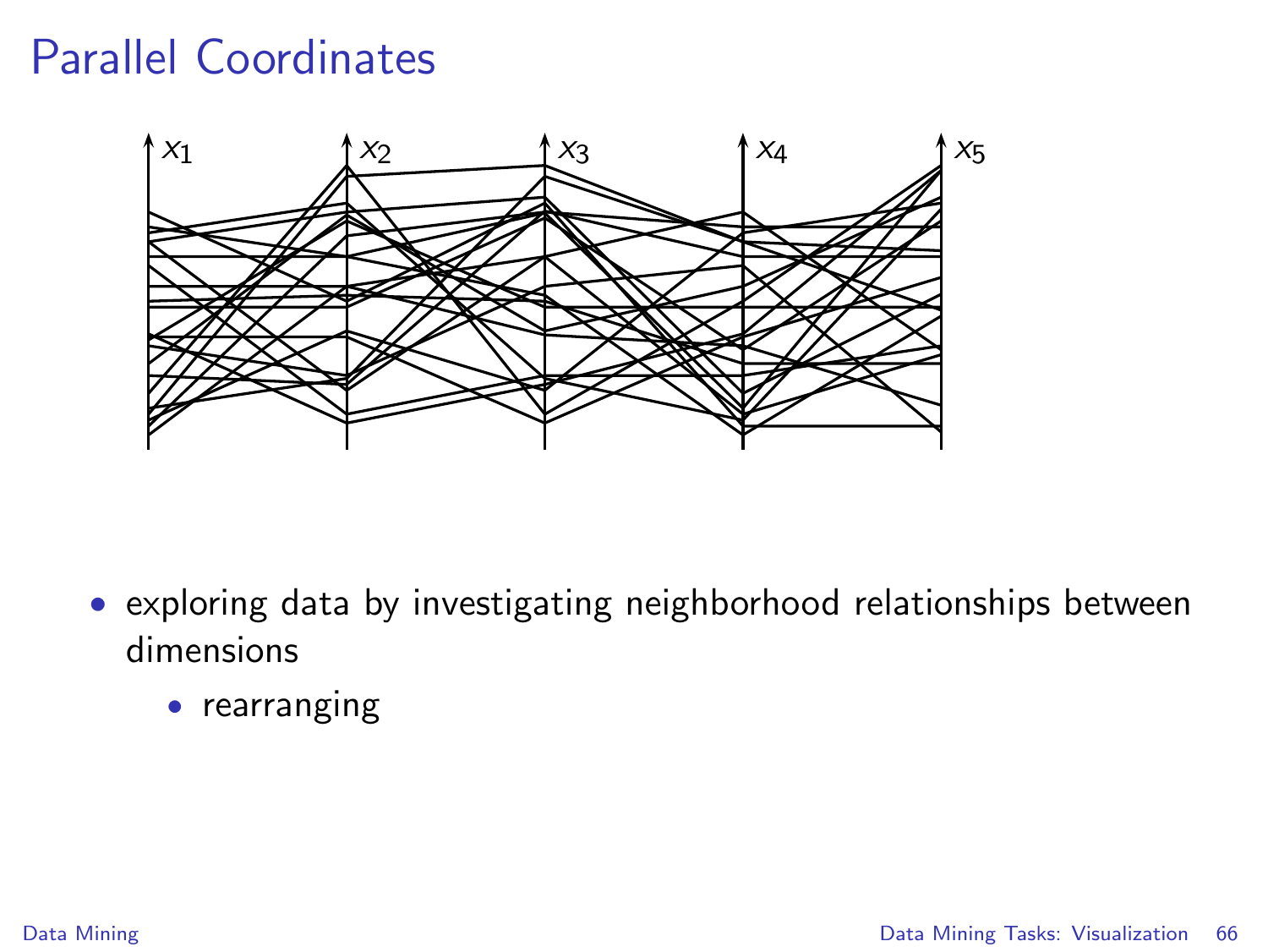#### Parallel Coordinates



- exploring data by investigating neighborhood relationships between dimensions
	- rearranging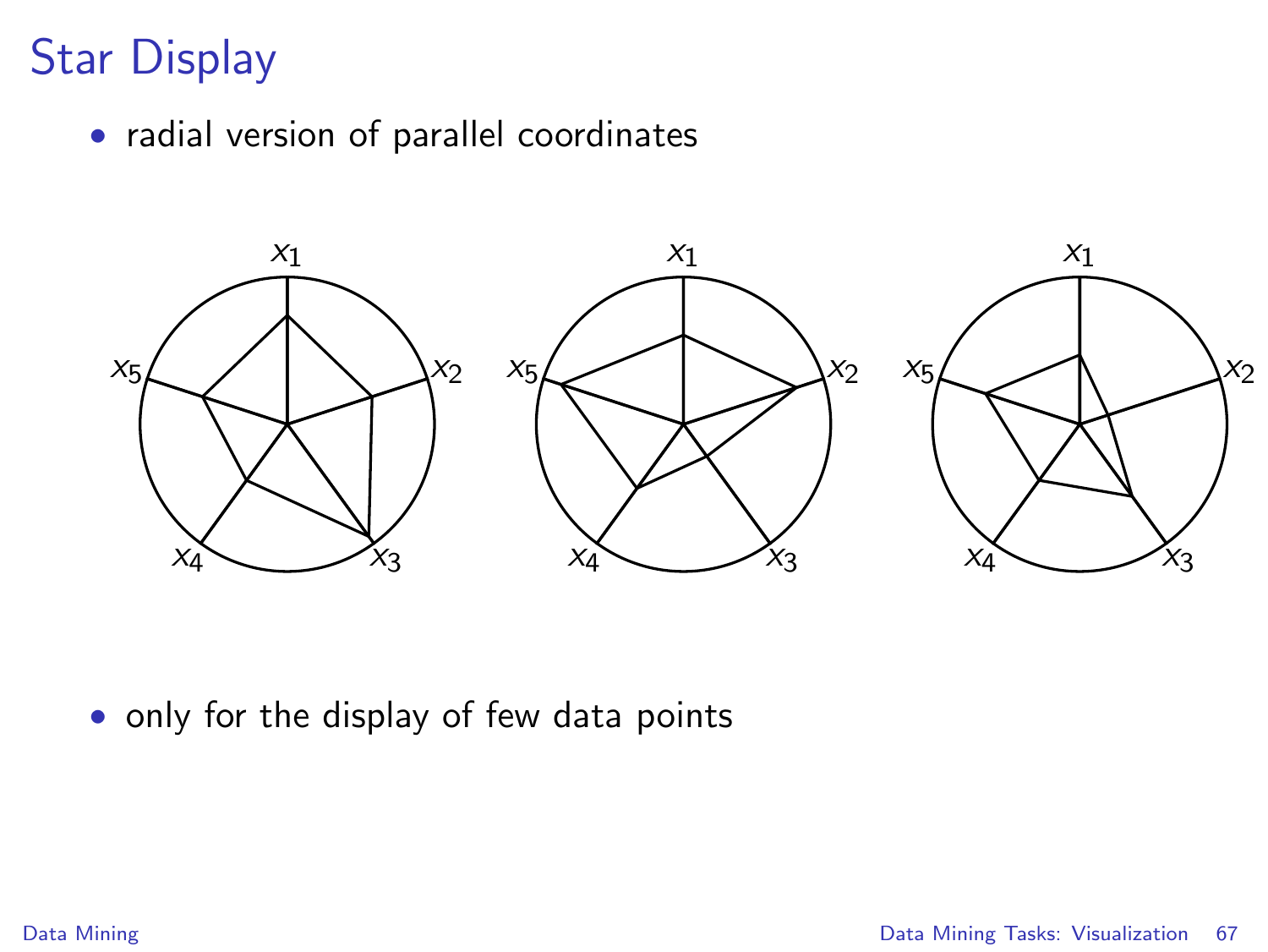# Star Display

• radial version of parallel coordinates



• only for the display of few data points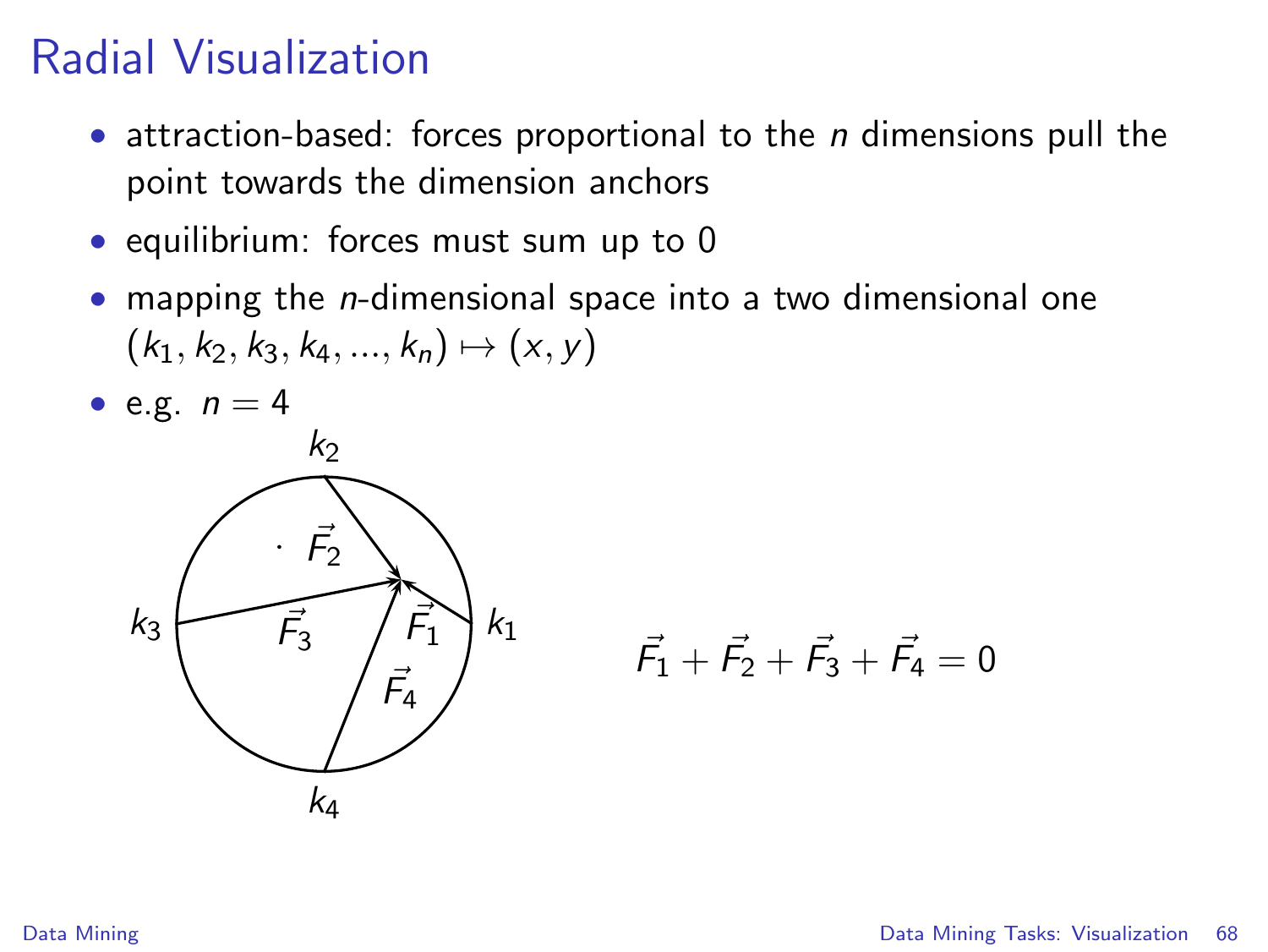#### Radial Visualization

- attraction-based: forces proportional to the  $n$  dimensions pull the point towards the dimension anchors
- equilibrium: forces must sum up to 0
- mapping the *n*-dimensional space into a two dimensional one  $(k_1, k_2, k_3, k_4, ..., k_n) \mapsto (x, y)$



$$
\vec{F_1} + \vec{F_2} + \vec{F_3} + \vec{F_4} = 0
$$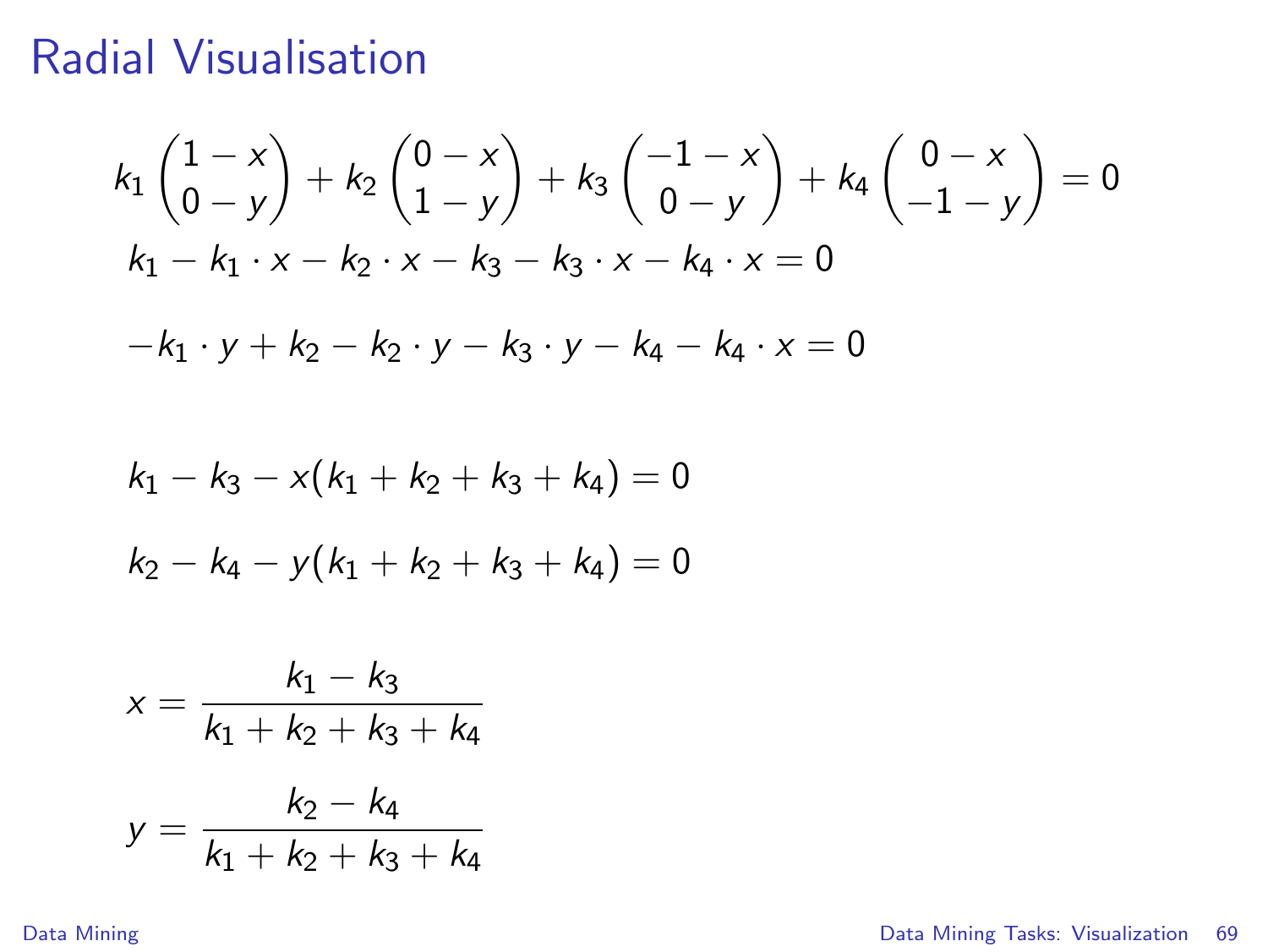#### Radial Visualisation

$$
k_{1}\begin{pmatrix} 1-x \\ 0-y \end{pmatrix} + k_{2}\begin{pmatrix} 0-x \\ 1-y \end{pmatrix} + k_{3}\begin{pmatrix} -1-x \\ 0-y \end{pmatrix} + k_{4}\begin{pmatrix} 0-x \\ -1-y \end{pmatrix} = 0
$$
  
\n
$$
k_{1} - k_{1} \cdot x - k_{2} \cdot x - k_{3} - k_{3} \cdot x - k_{4} \cdot x = 0
$$
  
\n
$$
-k_{1} \cdot y + k_{2} - k_{2} \cdot y - k_{3} \cdot y - k_{4} - k_{4} \cdot x = 0
$$
  
\n
$$
k_{1} - k_{3} - x(k_{1} + k_{2} + k_{3} + k_{4}) = 0
$$
  
\n
$$
k_{2} - k_{4} - y(k_{1} + k_{2} + k_{3} + k_{4}) = 0
$$
  
\n
$$
x = \frac{k_{1} - k_{3}}{k_{1} + k_{2} + k_{3} + k_{4}}
$$

$$
y = \frac{k_2 - k_4}{k_1 + k_2 + k_3 + k_4}
$$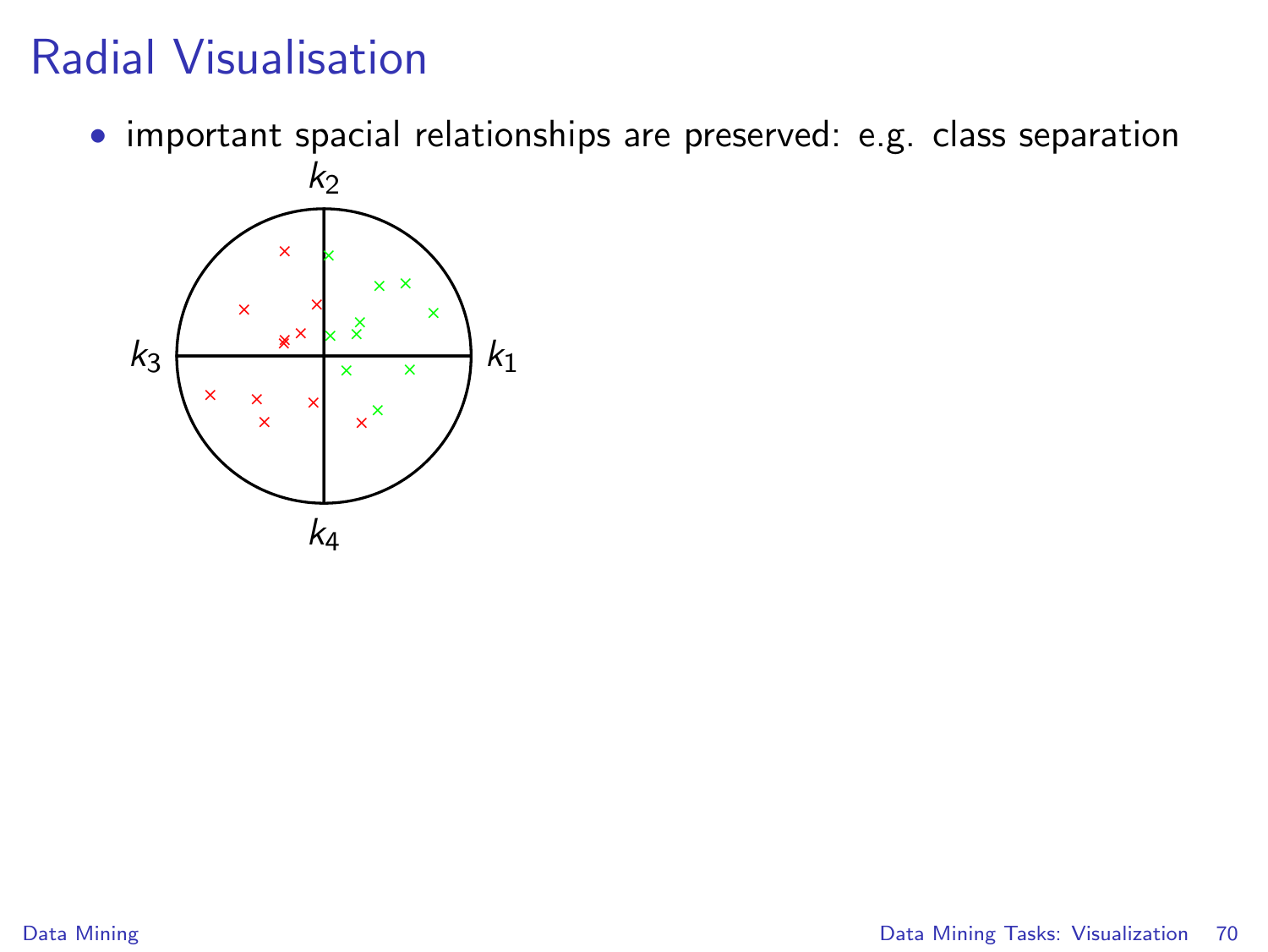## Radial Visualisation

• important spacial relationships are preserved: e.g. class separation

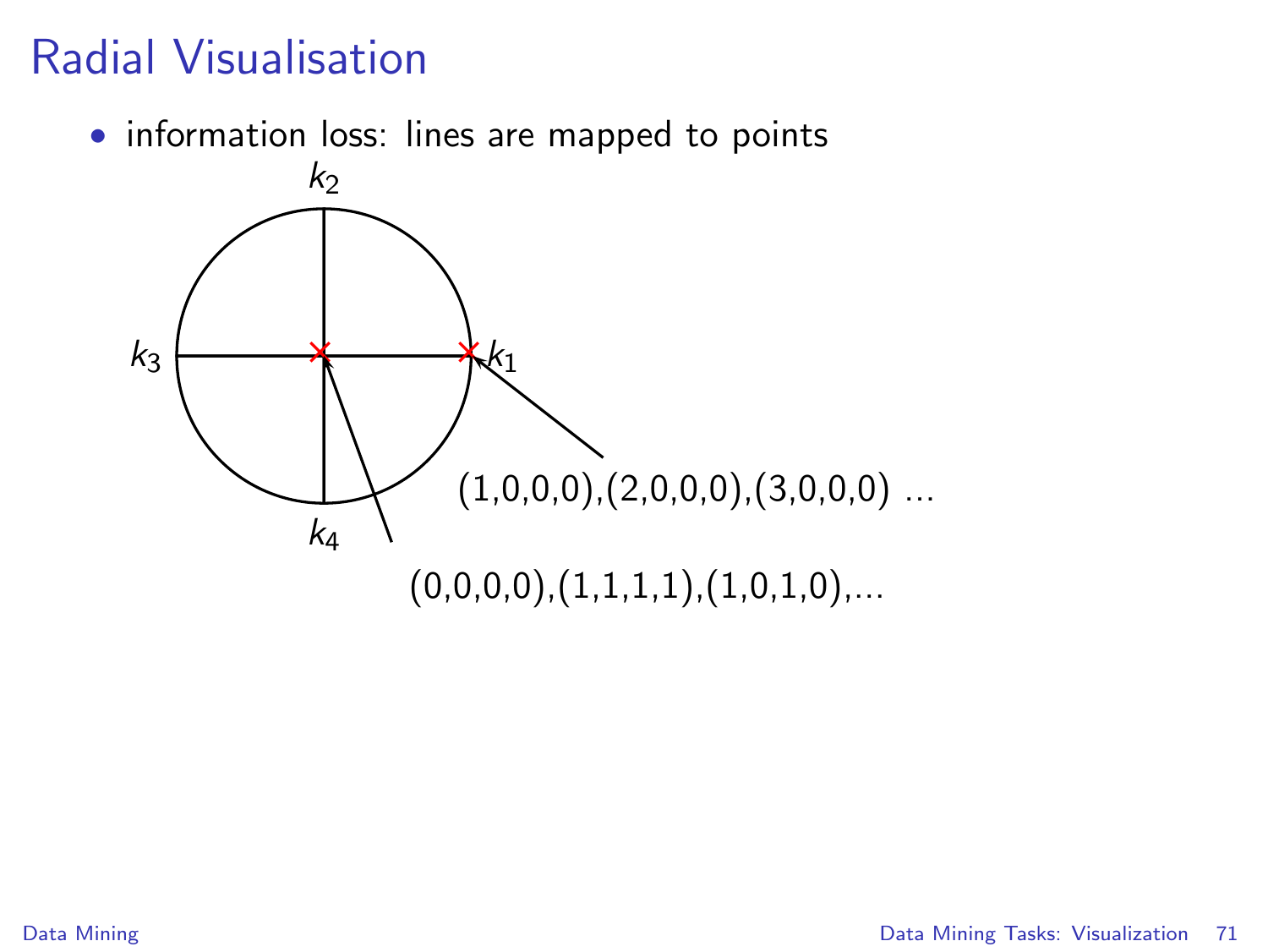## Radial Visualisation

• information loss: lines are mapped to points

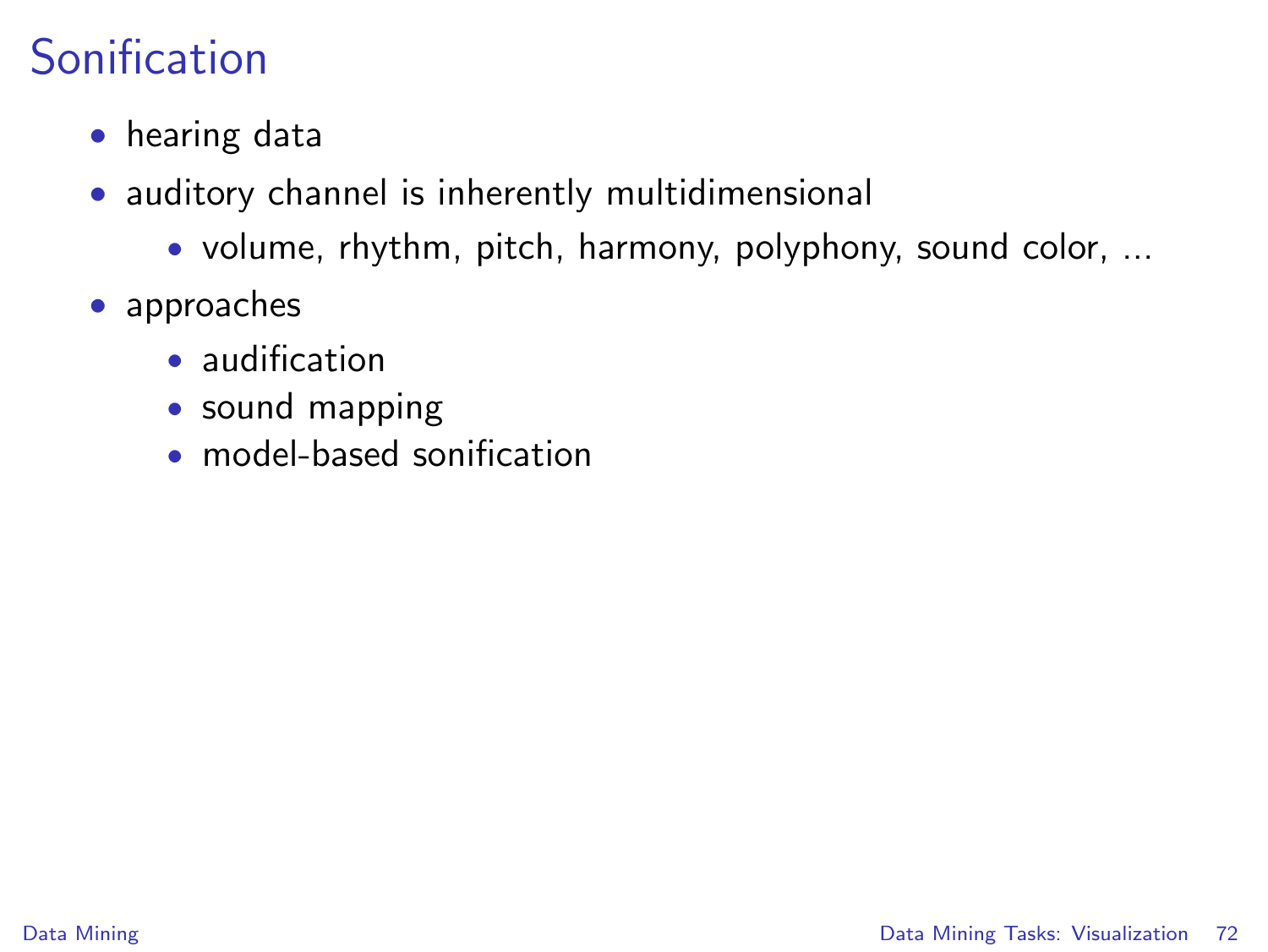# Sonification

- hearing data
- auditory channel is inherently multidimensional
	- volume, rhythm, pitch, harmony, polyphony, sound color, ...
- approaches
	- audification
	- sound mapping
	- model-based sonification